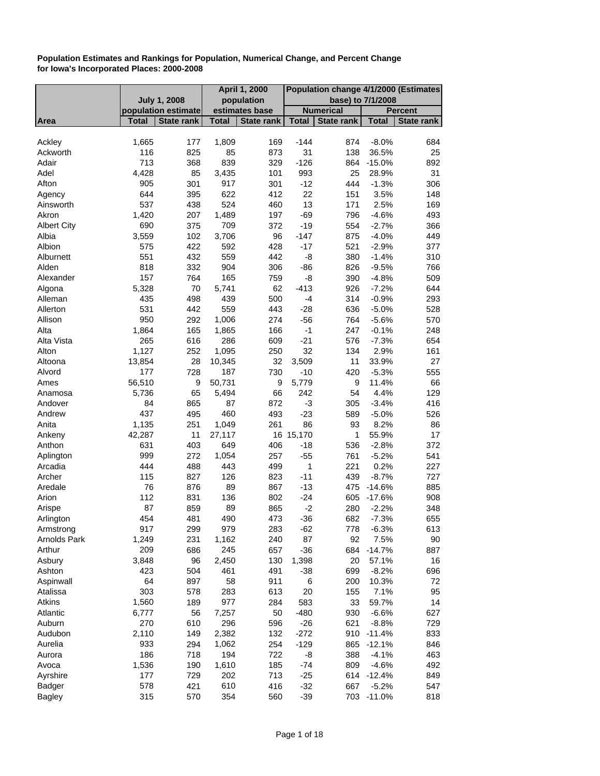| <b>July 1, 2008</b><br>population<br>base) to 7/1/2008<br><b>Numerical</b><br>population estimate<br>estimates base<br><b>Percent</b><br><b>State rank</b><br><b>Total</b><br>State rank<br><b>Total</b><br>State rank<br><b>Total</b><br><b>Total</b><br><b>State rank</b><br>Area<br>Ackley<br>1,665<br>1,809<br>169<br>$-144$<br>177<br>874<br>$-8.0%$<br>684<br>116<br>825<br>85<br>873<br>31<br>138<br>36.5%<br>25<br>Ackworth<br>Adair<br>713<br>839<br>$-126$<br>368<br>329<br>864<br>$-15.0%$<br>892<br>85<br>Adel<br>4,428<br>3,435<br>101<br>993<br>25<br>31<br>28.9%<br>$-12$<br>Afton<br>905<br>301<br>917<br>301<br>444<br>$-1.3%$<br>306<br>22<br>622<br>3.5%<br>644<br>395<br>412<br>151<br>148<br>Agency<br>537<br>524<br>13<br>438<br>460<br>171<br>2.5%<br>169<br>Ainsworth<br>1,420<br>$-69$<br>207<br>1,489<br>197<br>796<br>$-4.6%$<br>493<br>Akron<br>690<br>375<br>709<br>372<br>$-19$<br>554<br>$-2.7%$<br>366<br><b>Albert City</b><br>Albia<br>3,559<br>102<br>3,706<br>96<br>$-147$<br>875<br>$-4.0%$<br>449<br>$-17$<br>Albion<br>575<br>422<br>592<br>428<br>521<br>$-2.9%$<br>377<br>$-8$<br>551<br>432<br>559<br>442<br>380<br>$-1.4%$<br>310<br>Alburnett<br>Alden<br>818<br>332<br>904<br>$-86$<br>$-9.5%$<br>306<br>826<br>766<br>165<br>157<br>764<br>Alexander<br>759<br>-8<br>390<br>$-4.8%$<br>509<br>5,328<br>62<br>$-413$<br>70<br>5,741<br>926<br>$-7.2%$<br>644<br>Algona<br>439<br>Alleman<br>435<br>498<br>500<br>$-4$<br>314<br>$-0.9%$<br>293<br>531<br>559<br>442<br>443<br>$-28$<br>636<br>$-5.0%$<br>528<br>Allerton<br>950<br>Allison<br>1,006<br>292<br>274<br>$-56$<br>764<br>$-5.6%$<br>570<br>$-1$<br>Alta<br>1,864<br>165<br>1,865<br>166<br>247<br>$-0.1%$<br>248<br>265<br>286<br>Alta Vista<br>$-21$<br>616<br>609<br>576<br>$-7.3%$<br>654<br>32<br>Alton<br>1,127<br>252<br>1,095<br>250<br>134<br>2.9%<br>161<br>28<br>Altoona<br>13,854<br>10,345<br>32<br>3,509<br>11<br>33.9%<br>27<br>Alvord<br>177<br>728<br>187<br>730<br>$-10$<br>420<br>$-5.3%$<br>555<br>56,510<br>$\boldsymbol{9}$<br>50,731<br>9<br>Ames<br>5,779<br>9<br>11.4%<br>66<br>65<br>66<br>242<br>4.4%<br>5,736<br>5,494<br>54<br>129<br>Anamosa<br>87<br>Andover<br>84<br>865<br>872<br>-3<br>$-3.4%$<br>416<br>305<br>460<br>437<br>495<br>493<br>$-23$<br>526<br>Andrew<br>589<br>$-5.0%$<br>Anita<br>1,135<br>251<br>86<br>1,049<br>261<br>93<br>8.2%<br>86<br>42,287<br>11<br>27,117<br>16 15,170<br>1<br>55.9%<br>17<br>Ankeny<br>631<br>403<br>649<br>406<br>$-18$<br>$-2.8%$<br>372<br>Anthon<br>536<br>999<br>272<br>1,054<br>257<br>$-55$<br>$-5.2%$<br>541<br>Aplington<br>761<br>444<br>488<br>443<br>499<br>1<br>221<br>0.2%<br>227<br>Arcadia<br>827<br>126<br>$-11$<br>Archer<br>115<br>823<br>439<br>$-8.7%$<br>727<br>76<br>876<br>89<br>867<br>$-13$<br>475 -14.6%<br>885<br>Aredale<br>Arion<br>112<br>831<br>136<br>$-24$<br>908<br>802<br>605<br>$-17.6%$<br>87<br>859<br>89<br>865<br>$-2$<br>Arispe<br>280<br>$-2.2%$<br>348<br>454<br>481<br>490<br>$-36$<br>473<br>682<br>$-7.3%$<br>655<br>Arlington<br>917<br>299<br>979<br>$-62$<br>613<br>Armstrong<br>283<br>778<br>$-6.3%$<br>1,249<br>92<br><b>Arnolds Park</b><br>231<br>1,162<br>240<br>87<br>7.5%<br>90<br>Arthur<br>209<br>686<br>245<br>657<br>$-36$<br>684<br>$-14.7%$<br>887<br>3,848<br>2,450<br>Asbury<br>96<br>130<br>1,398<br>20<br>16<br>57.1%<br>Ashton<br>423<br>504<br>461<br>491<br>$-38$<br>699<br>$-8.2%$<br>696<br>64<br>58<br>Aspinwall<br>897<br>911<br>6<br>10.3%<br>200<br>72<br>303<br>283<br>20<br>7.1%<br>95<br>Atalissa<br>578<br>613<br>155<br>1,560<br>977<br>Atkins<br>189<br>583<br>33<br>14<br>284<br>59.7%<br>6,777<br>56<br>7,257<br>50<br>$-480$<br>930<br>627<br>Atlantic<br>$-6.6%$<br>270<br>296<br>$-26$<br>Auburn<br>610<br>596<br>621<br>$-8.8%$<br>729<br>2,110<br>149<br>2,382<br>132<br>$-272$<br>910<br>833<br>Audubon<br>$-11.4%$<br>933<br>Aurelia<br>294<br>1,062<br>254<br>$-129$<br>865<br>846<br>$-12.1%$<br>186<br>718<br>194<br>722<br>-8<br>388<br>463<br>Aurora<br>$-4.1%$<br>1,536<br>1,610<br>Avoca<br>185<br>$-74$<br>809<br>492<br>190<br>$-4.6%$<br>177<br>202<br>713<br>$-25$<br>Ayrshire<br>729<br>614 -12.4%<br>849<br>578<br>610<br>Badger<br>421<br>$-32$<br>667<br>547<br>416<br>$-5.2%$ |               |     |     | <b>April 1, 2000</b> |     | Population change 4/1/2000 (Estimates |  |  |     |
|------------------------------------------------------------------------------------------------------------------------------------------------------------------------------------------------------------------------------------------------------------------------------------------------------------------------------------------------------------------------------------------------------------------------------------------------------------------------------------------------------------------------------------------------------------------------------------------------------------------------------------------------------------------------------------------------------------------------------------------------------------------------------------------------------------------------------------------------------------------------------------------------------------------------------------------------------------------------------------------------------------------------------------------------------------------------------------------------------------------------------------------------------------------------------------------------------------------------------------------------------------------------------------------------------------------------------------------------------------------------------------------------------------------------------------------------------------------------------------------------------------------------------------------------------------------------------------------------------------------------------------------------------------------------------------------------------------------------------------------------------------------------------------------------------------------------------------------------------------------------------------------------------------------------------------------------------------------------------------------------------------------------------------------------------------------------------------------------------------------------------------------------------------------------------------------------------------------------------------------------------------------------------------------------------------------------------------------------------------------------------------------------------------------------------------------------------------------------------------------------------------------------------------------------------------------------------------------------------------------------------------------------------------------------------------------------------------------------------------------------------------------------------------------------------------------------------------------------------------------------------------------------------------------------------------------------------------------------------------------------------------------------------------------------------------------------------------------------------------------------------------------------------------------------------------------------------------------------------------------------------------------------------------------------------------------------------------------------------------------------------------------------------------------------------------------------------------------------------------------------------------------------------------------------------------------------------------------------------------------------------------------------------------------------------------------------------------------------------------------------------------------------------------------------------------------------------------------------------------------------------------------------------------------------------------------------------------------------------------------------------------------------------------------------------------------------------------------------------------------------------------------------------------------------------------------------------------------------------------------------------------------------------|---------------|-----|-----|----------------------|-----|---------------------------------------|--|--|-----|
|                                                                                                                                                                                                                                                                                                                                                                                                                                                                                                                                                                                                                                                                                                                                                                                                                                                                                                                                                                                                                                                                                                                                                                                                                                                                                                                                                                                                                                                                                                                                                                                                                                                                                                                                                                                                                                                                                                                                                                                                                                                                                                                                                                                                                                                                                                                                                                                                                                                                                                                                                                                                                                                                                                                                                                                                                                                                                                                                                                                                                                                                                                                                                                                                                                                                                                                                                                                                                                                                                                                                                                                                                                                                                                                                                                                                                                                                                                                                                                                                                                                                                                                                                                                                                                                                              |               |     |     |                      |     |                                       |  |  |     |
|                                                                                                                                                                                                                                                                                                                                                                                                                                                                                                                                                                                                                                                                                                                                                                                                                                                                                                                                                                                                                                                                                                                                                                                                                                                                                                                                                                                                                                                                                                                                                                                                                                                                                                                                                                                                                                                                                                                                                                                                                                                                                                                                                                                                                                                                                                                                                                                                                                                                                                                                                                                                                                                                                                                                                                                                                                                                                                                                                                                                                                                                                                                                                                                                                                                                                                                                                                                                                                                                                                                                                                                                                                                                                                                                                                                                                                                                                                                                                                                                                                                                                                                                                                                                                                                                              |               |     |     |                      |     |                                       |  |  |     |
|                                                                                                                                                                                                                                                                                                                                                                                                                                                                                                                                                                                                                                                                                                                                                                                                                                                                                                                                                                                                                                                                                                                                                                                                                                                                                                                                                                                                                                                                                                                                                                                                                                                                                                                                                                                                                                                                                                                                                                                                                                                                                                                                                                                                                                                                                                                                                                                                                                                                                                                                                                                                                                                                                                                                                                                                                                                                                                                                                                                                                                                                                                                                                                                                                                                                                                                                                                                                                                                                                                                                                                                                                                                                                                                                                                                                                                                                                                                                                                                                                                                                                                                                                                                                                                                                              |               |     |     |                      |     |                                       |  |  |     |
|                                                                                                                                                                                                                                                                                                                                                                                                                                                                                                                                                                                                                                                                                                                                                                                                                                                                                                                                                                                                                                                                                                                                                                                                                                                                                                                                                                                                                                                                                                                                                                                                                                                                                                                                                                                                                                                                                                                                                                                                                                                                                                                                                                                                                                                                                                                                                                                                                                                                                                                                                                                                                                                                                                                                                                                                                                                                                                                                                                                                                                                                                                                                                                                                                                                                                                                                                                                                                                                                                                                                                                                                                                                                                                                                                                                                                                                                                                                                                                                                                                                                                                                                                                                                                                                                              |               |     |     |                      |     |                                       |  |  |     |
|                                                                                                                                                                                                                                                                                                                                                                                                                                                                                                                                                                                                                                                                                                                                                                                                                                                                                                                                                                                                                                                                                                                                                                                                                                                                                                                                                                                                                                                                                                                                                                                                                                                                                                                                                                                                                                                                                                                                                                                                                                                                                                                                                                                                                                                                                                                                                                                                                                                                                                                                                                                                                                                                                                                                                                                                                                                                                                                                                                                                                                                                                                                                                                                                                                                                                                                                                                                                                                                                                                                                                                                                                                                                                                                                                                                                                                                                                                                                                                                                                                                                                                                                                                                                                                                                              |               |     |     |                      |     |                                       |  |  |     |
|                                                                                                                                                                                                                                                                                                                                                                                                                                                                                                                                                                                                                                                                                                                                                                                                                                                                                                                                                                                                                                                                                                                                                                                                                                                                                                                                                                                                                                                                                                                                                                                                                                                                                                                                                                                                                                                                                                                                                                                                                                                                                                                                                                                                                                                                                                                                                                                                                                                                                                                                                                                                                                                                                                                                                                                                                                                                                                                                                                                                                                                                                                                                                                                                                                                                                                                                                                                                                                                                                                                                                                                                                                                                                                                                                                                                                                                                                                                                                                                                                                                                                                                                                                                                                                                                              |               |     |     |                      |     |                                       |  |  |     |
|                                                                                                                                                                                                                                                                                                                                                                                                                                                                                                                                                                                                                                                                                                                                                                                                                                                                                                                                                                                                                                                                                                                                                                                                                                                                                                                                                                                                                                                                                                                                                                                                                                                                                                                                                                                                                                                                                                                                                                                                                                                                                                                                                                                                                                                                                                                                                                                                                                                                                                                                                                                                                                                                                                                                                                                                                                                                                                                                                                                                                                                                                                                                                                                                                                                                                                                                                                                                                                                                                                                                                                                                                                                                                                                                                                                                                                                                                                                                                                                                                                                                                                                                                                                                                                                                              |               |     |     |                      |     |                                       |  |  |     |
|                                                                                                                                                                                                                                                                                                                                                                                                                                                                                                                                                                                                                                                                                                                                                                                                                                                                                                                                                                                                                                                                                                                                                                                                                                                                                                                                                                                                                                                                                                                                                                                                                                                                                                                                                                                                                                                                                                                                                                                                                                                                                                                                                                                                                                                                                                                                                                                                                                                                                                                                                                                                                                                                                                                                                                                                                                                                                                                                                                                                                                                                                                                                                                                                                                                                                                                                                                                                                                                                                                                                                                                                                                                                                                                                                                                                                                                                                                                                                                                                                                                                                                                                                                                                                                                                              |               |     |     |                      |     |                                       |  |  |     |
|                                                                                                                                                                                                                                                                                                                                                                                                                                                                                                                                                                                                                                                                                                                                                                                                                                                                                                                                                                                                                                                                                                                                                                                                                                                                                                                                                                                                                                                                                                                                                                                                                                                                                                                                                                                                                                                                                                                                                                                                                                                                                                                                                                                                                                                                                                                                                                                                                                                                                                                                                                                                                                                                                                                                                                                                                                                                                                                                                                                                                                                                                                                                                                                                                                                                                                                                                                                                                                                                                                                                                                                                                                                                                                                                                                                                                                                                                                                                                                                                                                                                                                                                                                                                                                                                              |               |     |     |                      |     |                                       |  |  |     |
|                                                                                                                                                                                                                                                                                                                                                                                                                                                                                                                                                                                                                                                                                                                                                                                                                                                                                                                                                                                                                                                                                                                                                                                                                                                                                                                                                                                                                                                                                                                                                                                                                                                                                                                                                                                                                                                                                                                                                                                                                                                                                                                                                                                                                                                                                                                                                                                                                                                                                                                                                                                                                                                                                                                                                                                                                                                                                                                                                                                                                                                                                                                                                                                                                                                                                                                                                                                                                                                                                                                                                                                                                                                                                                                                                                                                                                                                                                                                                                                                                                                                                                                                                                                                                                                                              |               |     |     |                      |     |                                       |  |  |     |
|                                                                                                                                                                                                                                                                                                                                                                                                                                                                                                                                                                                                                                                                                                                                                                                                                                                                                                                                                                                                                                                                                                                                                                                                                                                                                                                                                                                                                                                                                                                                                                                                                                                                                                                                                                                                                                                                                                                                                                                                                                                                                                                                                                                                                                                                                                                                                                                                                                                                                                                                                                                                                                                                                                                                                                                                                                                                                                                                                                                                                                                                                                                                                                                                                                                                                                                                                                                                                                                                                                                                                                                                                                                                                                                                                                                                                                                                                                                                                                                                                                                                                                                                                                                                                                                                              |               |     |     |                      |     |                                       |  |  |     |
|                                                                                                                                                                                                                                                                                                                                                                                                                                                                                                                                                                                                                                                                                                                                                                                                                                                                                                                                                                                                                                                                                                                                                                                                                                                                                                                                                                                                                                                                                                                                                                                                                                                                                                                                                                                                                                                                                                                                                                                                                                                                                                                                                                                                                                                                                                                                                                                                                                                                                                                                                                                                                                                                                                                                                                                                                                                                                                                                                                                                                                                                                                                                                                                                                                                                                                                                                                                                                                                                                                                                                                                                                                                                                                                                                                                                                                                                                                                                                                                                                                                                                                                                                                                                                                                                              |               |     |     |                      |     |                                       |  |  |     |
|                                                                                                                                                                                                                                                                                                                                                                                                                                                                                                                                                                                                                                                                                                                                                                                                                                                                                                                                                                                                                                                                                                                                                                                                                                                                                                                                                                                                                                                                                                                                                                                                                                                                                                                                                                                                                                                                                                                                                                                                                                                                                                                                                                                                                                                                                                                                                                                                                                                                                                                                                                                                                                                                                                                                                                                                                                                                                                                                                                                                                                                                                                                                                                                                                                                                                                                                                                                                                                                                                                                                                                                                                                                                                                                                                                                                                                                                                                                                                                                                                                                                                                                                                                                                                                                                              |               |     |     |                      |     |                                       |  |  |     |
|                                                                                                                                                                                                                                                                                                                                                                                                                                                                                                                                                                                                                                                                                                                                                                                                                                                                                                                                                                                                                                                                                                                                                                                                                                                                                                                                                                                                                                                                                                                                                                                                                                                                                                                                                                                                                                                                                                                                                                                                                                                                                                                                                                                                                                                                                                                                                                                                                                                                                                                                                                                                                                                                                                                                                                                                                                                                                                                                                                                                                                                                                                                                                                                                                                                                                                                                                                                                                                                                                                                                                                                                                                                                                                                                                                                                                                                                                                                                                                                                                                                                                                                                                                                                                                                                              |               |     |     |                      |     |                                       |  |  |     |
|                                                                                                                                                                                                                                                                                                                                                                                                                                                                                                                                                                                                                                                                                                                                                                                                                                                                                                                                                                                                                                                                                                                                                                                                                                                                                                                                                                                                                                                                                                                                                                                                                                                                                                                                                                                                                                                                                                                                                                                                                                                                                                                                                                                                                                                                                                                                                                                                                                                                                                                                                                                                                                                                                                                                                                                                                                                                                                                                                                                                                                                                                                                                                                                                                                                                                                                                                                                                                                                                                                                                                                                                                                                                                                                                                                                                                                                                                                                                                                                                                                                                                                                                                                                                                                                                              |               |     |     |                      |     |                                       |  |  |     |
|                                                                                                                                                                                                                                                                                                                                                                                                                                                                                                                                                                                                                                                                                                                                                                                                                                                                                                                                                                                                                                                                                                                                                                                                                                                                                                                                                                                                                                                                                                                                                                                                                                                                                                                                                                                                                                                                                                                                                                                                                                                                                                                                                                                                                                                                                                                                                                                                                                                                                                                                                                                                                                                                                                                                                                                                                                                                                                                                                                                                                                                                                                                                                                                                                                                                                                                                                                                                                                                                                                                                                                                                                                                                                                                                                                                                                                                                                                                                                                                                                                                                                                                                                                                                                                                                              |               |     |     |                      |     |                                       |  |  |     |
|                                                                                                                                                                                                                                                                                                                                                                                                                                                                                                                                                                                                                                                                                                                                                                                                                                                                                                                                                                                                                                                                                                                                                                                                                                                                                                                                                                                                                                                                                                                                                                                                                                                                                                                                                                                                                                                                                                                                                                                                                                                                                                                                                                                                                                                                                                                                                                                                                                                                                                                                                                                                                                                                                                                                                                                                                                                                                                                                                                                                                                                                                                                                                                                                                                                                                                                                                                                                                                                                                                                                                                                                                                                                                                                                                                                                                                                                                                                                                                                                                                                                                                                                                                                                                                                                              |               |     |     |                      |     |                                       |  |  |     |
|                                                                                                                                                                                                                                                                                                                                                                                                                                                                                                                                                                                                                                                                                                                                                                                                                                                                                                                                                                                                                                                                                                                                                                                                                                                                                                                                                                                                                                                                                                                                                                                                                                                                                                                                                                                                                                                                                                                                                                                                                                                                                                                                                                                                                                                                                                                                                                                                                                                                                                                                                                                                                                                                                                                                                                                                                                                                                                                                                                                                                                                                                                                                                                                                                                                                                                                                                                                                                                                                                                                                                                                                                                                                                                                                                                                                                                                                                                                                                                                                                                                                                                                                                                                                                                                                              |               |     |     |                      |     |                                       |  |  |     |
|                                                                                                                                                                                                                                                                                                                                                                                                                                                                                                                                                                                                                                                                                                                                                                                                                                                                                                                                                                                                                                                                                                                                                                                                                                                                                                                                                                                                                                                                                                                                                                                                                                                                                                                                                                                                                                                                                                                                                                                                                                                                                                                                                                                                                                                                                                                                                                                                                                                                                                                                                                                                                                                                                                                                                                                                                                                                                                                                                                                                                                                                                                                                                                                                                                                                                                                                                                                                                                                                                                                                                                                                                                                                                                                                                                                                                                                                                                                                                                                                                                                                                                                                                                                                                                                                              |               |     |     |                      |     |                                       |  |  |     |
|                                                                                                                                                                                                                                                                                                                                                                                                                                                                                                                                                                                                                                                                                                                                                                                                                                                                                                                                                                                                                                                                                                                                                                                                                                                                                                                                                                                                                                                                                                                                                                                                                                                                                                                                                                                                                                                                                                                                                                                                                                                                                                                                                                                                                                                                                                                                                                                                                                                                                                                                                                                                                                                                                                                                                                                                                                                                                                                                                                                                                                                                                                                                                                                                                                                                                                                                                                                                                                                                                                                                                                                                                                                                                                                                                                                                                                                                                                                                                                                                                                                                                                                                                                                                                                                                              |               |     |     |                      |     |                                       |  |  |     |
|                                                                                                                                                                                                                                                                                                                                                                                                                                                                                                                                                                                                                                                                                                                                                                                                                                                                                                                                                                                                                                                                                                                                                                                                                                                                                                                                                                                                                                                                                                                                                                                                                                                                                                                                                                                                                                                                                                                                                                                                                                                                                                                                                                                                                                                                                                                                                                                                                                                                                                                                                                                                                                                                                                                                                                                                                                                                                                                                                                                                                                                                                                                                                                                                                                                                                                                                                                                                                                                                                                                                                                                                                                                                                                                                                                                                                                                                                                                                                                                                                                                                                                                                                                                                                                                                              |               |     |     |                      |     |                                       |  |  |     |
|                                                                                                                                                                                                                                                                                                                                                                                                                                                                                                                                                                                                                                                                                                                                                                                                                                                                                                                                                                                                                                                                                                                                                                                                                                                                                                                                                                                                                                                                                                                                                                                                                                                                                                                                                                                                                                                                                                                                                                                                                                                                                                                                                                                                                                                                                                                                                                                                                                                                                                                                                                                                                                                                                                                                                                                                                                                                                                                                                                                                                                                                                                                                                                                                                                                                                                                                                                                                                                                                                                                                                                                                                                                                                                                                                                                                                                                                                                                                                                                                                                                                                                                                                                                                                                                                              |               |     |     |                      |     |                                       |  |  |     |
|                                                                                                                                                                                                                                                                                                                                                                                                                                                                                                                                                                                                                                                                                                                                                                                                                                                                                                                                                                                                                                                                                                                                                                                                                                                                                                                                                                                                                                                                                                                                                                                                                                                                                                                                                                                                                                                                                                                                                                                                                                                                                                                                                                                                                                                                                                                                                                                                                                                                                                                                                                                                                                                                                                                                                                                                                                                                                                                                                                                                                                                                                                                                                                                                                                                                                                                                                                                                                                                                                                                                                                                                                                                                                                                                                                                                                                                                                                                                                                                                                                                                                                                                                                                                                                                                              |               |     |     |                      |     |                                       |  |  |     |
|                                                                                                                                                                                                                                                                                                                                                                                                                                                                                                                                                                                                                                                                                                                                                                                                                                                                                                                                                                                                                                                                                                                                                                                                                                                                                                                                                                                                                                                                                                                                                                                                                                                                                                                                                                                                                                                                                                                                                                                                                                                                                                                                                                                                                                                                                                                                                                                                                                                                                                                                                                                                                                                                                                                                                                                                                                                                                                                                                                                                                                                                                                                                                                                                                                                                                                                                                                                                                                                                                                                                                                                                                                                                                                                                                                                                                                                                                                                                                                                                                                                                                                                                                                                                                                                                              |               |     |     |                      |     |                                       |  |  |     |
|                                                                                                                                                                                                                                                                                                                                                                                                                                                                                                                                                                                                                                                                                                                                                                                                                                                                                                                                                                                                                                                                                                                                                                                                                                                                                                                                                                                                                                                                                                                                                                                                                                                                                                                                                                                                                                                                                                                                                                                                                                                                                                                                                                                                                                                                                                                                                                                                                                                                                                                                                                                                                                                                                                                                                                                                                                                                                                                                                                                                                                                                                                                                                                                                                                                                                                                                                                                                                                                                                                                                                                                                                                                                                                                                                                                                                                                                                                                                                                                                                                                                                                                                                                                                                                                                              |               |     |     |                      |     |                                       |  |  |     |
|                                                                                                                                                                                                                                                                                                                                                                                                                                                                                                                                                                                                                                                                                                                                                                                                                                                                                                                                                                                                                                                                                                                                                                                                                                                                                                                                                                                                                                                                                                                                                                                                                                                                                                                                                                                                                                                                                                                                                                                                                                                                                                                                                                                                                                                                                                                                                                                                                                                                                                                                                                                                                                                                                                                                                                                                                                                                                                                                                                                                                                                                                                                                                                                                                                                                                                                                                                                                                                                                                                                                                                                                                                                                                                                                                                                                                                                                                                                                                                                                                                                                                                                                                                                                                                                                              |               |     |     |                      |     |                                       |  |  |     |
|                                                                                                                                                                                                                                                                                                                                                                                                                                                                                                                                                                                                                                                                                                                                                                                                                                                                                                                                                                                                                                                                                                                                                                                                                                                                                                                                                                                                                                                                                                                                                                                                                                                                                                                                                                                                                                                                                                                                                                                                                                                                                                                                                                                                                                                                                                                                                                                                                                                                                                                                                                                                                                                                                                                                                                                                                                                                                                                                                                                                                                                                                                                                                                                                                                                                                                                                                                                                                                                                                                                                                                                                                                                                                                                                                                                                                                                                                                                                                                                                                                                                                                                                                                                                                                                                              |               |     |     |                      |     |                                       |  |  |     |
|                                                                                                                                                                                                                                                                                                                                                                                                                                                                                                                                                                                                                                                                                                                                                                                                                                                                                                                                                                                                                                                                                                                                                                                                                                                                                                                                                                                                                                                                                                                                                                                                                                                                                                                                                                                                                                                                                                                                                                                                                                                                                                                                                                                                                                                                                                                                                                                                                                                                                                                                                                                                                                                                                                                                                                                                                                                                                                                                                                                                                                                                                                                                                                                                                                                                                                                                                                                                                                                                                                                                                                                                                                                                                                                                                                                                                                                                                                                                                                                                                                                                                                                                                                                                                                                                              |               |     |     |                      |     |                                       |  |  |     |
|                                                                                                                                                                                                                                                                                                                                                                                                                                                                                                                                                                                                                                                                                                                                                                                                                                                                                                                                                                                                                                                                                                                                                                                                                                                                                                                                                                                                                                                                                                                                                                                                                                                                                                                                                                                                                                                                                                                                                                                                                                                                                                                                                                                                                                                                                                                                                                                                                                                                                                                                                                                                                                                                                                                                                                                                                                                                                                                                                                                                                                                                                                                                                                                                                                                                                                                                                                                                                                                                                                                                                                                                                                                                                                                                                                                                                                                                                                                                                                                                                                                                                                                                                                                                                                                                              |               |     |     |                      |     |                                       |  |  |     |
|                                                                                                                                                                                                                                                                                                                                                                                                                                                                                                                                                                                                                                                                                                                                                                                                                                                                                                                                                                                                                                                                                                                                                                                                                                                                                                                                                                                                                                                                                                                                                                                                                                                                                                                                                                                                                                                                                                                                                                                                                                                                                                                                                                                                                                                                                                                                                                                                                                                                                                                                                                                                                                                                                                                                                                                                                                                                                                                                                                                                                                                                                                                                                                                                                                                                                                                                                                                                                                                                                                                                                                                                                                                                                                                                                                                                                                                                                                                                                                                                                                                                                                                                                                                                                                                                              |               |     |     |                      |     |                                       |  |  |     |
|                                                                                                                                                                                                                                                                                                                                                                                                                                                                                                                                                                                                                                                                                                                                                                                                                                                                                                                                                                                                                                                                                                                                                                                                                                                                                                                                                                                                                                                                                                                                                                                                                                                                                                                                                                                                                                                                                                                                                                                                                                                                                                                                                                                                                                                                                                                                                                                                                                                                                                                                                                                                                                                                                                                                                                                                                                                                                                                                                                                                                                                                                                                                                                                                                                                                                                                                                                                                                                                                                                                                                                                                                                                                                                                                                                                                                                                                                                                                                                                                                                                                                                                                                                                                                                                                              |               |     |     |                      |     |                                       |  |  |     |
|                                                                                                                                                                                                                                                                                                                                                                                                                                                                                                                                                                                                                                                                                                                                                                                                                                                                                                                                                                                                                                                                                                                                                                                                                                                                                                                                                                                                                                                                                                                                                                                                                                                                                                                                                                                                                                                                                                                                                                                                                                                                                                                                                                                                                                                                                                                                                                                                                                                                                                                                                                                                                                                                                                                                                                                                                                                                                                                                                                                                                                                                                                                                                                                                                                                                                                                                                                                                                                                                                                                                                                                                                                                                                                                                                                                                                                                                                                                                                                                                                                                                                                                                                                                                                                                                              |               |     |     |                      |     |                                       |  |  |     |
|                                                                                                                                                                                                                                                                                                                                                                                                                                                                                                                                                                                                                                                                                                                                                                                                                                                                                                                                                                                                                                                                                                                                                                                                                                                                                                                                                                                                                                                                                                                                                                                                                                                                                                                                                                                                                                                                                                                                                                                                                                                                                                                                                                                                                                                                                                                                                                                                                                                                                                                                                                                                                                                                                                                                                                                                                                                                                                                                                                                                                                                                                                                                                                                                                                                                                                                                                                                                                                                                                                                                                                                                                                                                                                                                                                                                                                                                                                                                                                                                                                                                                                                                                                                                                                                                              |               |     |     |                      |     |                                       |  |  |     |
|                                                                                                                                                                                                                                                                                                                                                                                                                                                                                                                                                                                                                                                                                                                                                                                                                                                                                                                                                                                                                                                                                                                                                                                                                                                                                                                                                                                                                                                                                                                                                                                                                                                                                                                                                                                                                                                                                                                                                                                                                                                                                                                                                                                                                                                                                                                                                                                                                                                                                                                                                                                                                                                                                                                                                                                                                                                                                                                                                                                                                                                                                                                                                                                                                                                                                                                                                                                                                                                                                                                                                                                                                                                                                                                                                                                                                                                                                                                                                                                                                                                                                                                                                                                                                                                                              |               |     |     |                      |     |                                       |  |  |     |
|                                                                                                                                                                                                                                                                                                                                                                                                                                                                                                                                                                                                                                                                                                                                                                                                                                                                                                                                                                                                                                                                                                                                                                                                                                                                                                                                                                                                                                                                                                                                                                                                                                                                                                                                                                                                                                                                                                                                                                                                                                                                                                                                                                                                                                                                                                                                                                                                                                                                                                                                                                                                                                                                                                                                                                                                                                                                                                                                                                                                                                                                                                                                                                                                                                                                                                                                                                                                                                                                                                                                                                                                                                                                                                                                                                                                                                                                                                                                                                                                                                                                                                                                                                                                                                                                              |               |     |     |                      |     |                                       |  |  |     |
|                                                                                                                                                                                                                                                                                                                                                                                                                                                                                                                                                                                                                                                                                                                                                                                                                                                                                                                                                                                                                                                                                                                                                                                                                                                                                                                                                                                                                                                                                                                                                                                                                                                                                                                                                                                                                                                                                                                                                                                                                                                                                                                                                                                                                                                                                                                                                                                                                                                                                                                                                                                                                                                                                                                                                                                                                                                                                                                                                                                                                                                                                                                                                                                                                                                                                                                                                                                                                                                                                                                                                                                                                                                                                                                                                                                                                                                                                                                                                                                                                                                                                                                                                                                                                                                                              |               |     |     |                      |     |                                       |  |  |     |
|                                                                                                                                                                                                                                                                                                                                                                                                                                                                                                                                                                                                                                                                                                                                                                                                                                                                                                                                                                                                                                                                                                                                                                                                                                                                                                                                                                                                                                                                                                                                                                                                                                                                                                                                                                                                                                                                                                                                                                                                                                                                                                                                                                                                                                                                                                                                                                                                                                                                                                                                                                                                                                                                                                                                                                                                                                                                                                                                                                                                                                                                                                                                                                                                                                                                                                                                                                                                                                                                                                                                                                                                                                                                                                                                                                                                                                                                                                                                                                                                                                                                                                                                                                                                                                                                              |               |     |     |                      |     |                                       |  |  |     |
|                                                                                                                                                                                                                                                                                                                                                                                                                                                                                                                                                                                                                                                                                                                                                                                                                                                                                                                                                                                                                                                                                                                                                                                                                                                                                                                                                                                                                                                                                                                                                                                                                                                                                                                                                                                                                                                                                                                                                                                                                                                                                                                                                                                                                                                                                                                                                                                                                                                                                                                                                                                                                                                                                                                                                                                                                                                                                                                                                                                                                                                                                                                                                                                                                                                                                                                                                                                                                                                                                                                                                                                                                                                                                                                                                                                                                                                                                                                                                                                                                                                                                                                                                                                                                                                                              |               |     |     |                      |     |                                       |  |  |     |
|                                                                                                                                                                                                                                                                                                                                                                                                                                                                                                                                                                                                                                                                                                                                                                                                                                                                                                                                                                                                                                                                                                                                                                                                                                                                                                                                                                                                                                                                                                                                                                                                                                                                                                                                                                                                                                                                                                                                                                                                                                                                                                                                                                                                                                                                                                                                                                                                                                                                                                                                                                                                                                                                                                                                                                                                                                                                                                                                                                                                                                                                                                                                                                                                                                                                                                                                                                                                                                                                                                                                                                                                                                                                                                                                                                                                                                                                                                                                                                                                                                                                                                                                                                                                                                                                              |               |     |     |                      |     |                                       |  |  |     |
|                                                                                                                                                                                                                                                                                                                                                                                                                                                                                                                                                                                                                                                                                                                                                                                                                                                                                                                                                                                                                                                                                                                                                                                                                                                                                                                                                                                                                                                                                                                                                                                                                                                                                                                                                                                                                                                                                                                                                                                                                                                                                                                                                                                                                                                                                                                                                                                                                                                                                                                                                                                                                                                                                                                                                                                                                                                                                                                                                                                                                                                                                                                                                                                                                                                                                                                                                                                                                                                                                                                                                                                                                                                                                                                                                                                                                                                                                                                                                                                                                                                                                                                                                                                                                                                                              |               |     |     |                      |     |                                       |  |  |     |
|                                                                                                                                                                                                                                                                                                                                                                                                                                                                                                                                                                                                                                                                                                                                                                                                                                                                                                                                                                                                                                                                                                                                                                                                                                                                                                                                                                                                                                                                                                                                                                                                                                                                                                                                                                                                                                                                                                                                                                                                                                                                                                                                                                                                                                                                                                                                                                                                                                                                                                                                                                                                                                                                                                                                                                                                                                                                                                                                                                                                                                                                                                                                                                                                                                                                                                                                                                                                                                                                                                                                                                                                                                                                                                                                                                                                                                                                                                                                                                                                                                                                                                                                                                                                                                                                              |               |     |     |                      |     |                                       |  |  |     |
|                                                                                                                                                                                                                                                                                                                                                                                                                                                                                                                                                                                                                                                                                                                                                                                                                                                                                                                                                                                                                                                                                                                                                                                                                                                                                                                                                                                                                                                                                                                                                                                                                                                                                                                                                                                                                                                                                                                                                                                                                                                                                                                                                                                                                                                                                                                                                                                                                                                                                                                                                                                                                                                                                                                                                                                                                                                                                                                                                                                                                                                                                                                                                                                                                                                                                                                                                                                                                                                                                                                                                                                                                                                                                                                                                                                                                                                                                                                                                                                                                                                                                                                                                                                                                                                                              |               |     |     |                      |     |                                       |  |  |     |
|                                                                                                                                                                                                                                                                                                                                                                                                                                                                                                                                                                                                                                                                                                                                                                                                                                                                                                                                                                                                                                                                                                                                                                                                                                                                                                                                                                                                                                                                                                                                                                                                                                                                                                                                                                                                                                                                                                                                                                                                                                                                                                                                                                                                                                                                                                                                                                                                                                                                                                                                                                                                                                                                                                                                                                                                                                                                                                                                                                                                                                                                                                                                                                                                                                                                                                                                                                                                                                                                                                                                                                                                                                                                                                                                                                                                                                                                                                                                                                                                                                                                                                                                                                                                                                                                              |               |     |     |                      |     |                                       |  |  |     |
|                                                                                                                                                                                                                                                                                                                                                                                                                                                                                                                                                                                                                                                                                                                                                                                                                                                                                                                                                                                                                                                                                                                                                                                                                                                                                                                                                                                                                                                                                                                                                                                                                                                                                                                                                                                                                                                                                                                                                                                                                                                                                                                                                                                                                                                                                                                                                                                                                                                                                                                                                                                                                                                                                                                                                                                                                                                                                                                                                                                                                                                                                                                                                                                                                                                                                                                                                                                                                                                                                                                                                                                                                                                                                                                                                                                                                                                                                                                                                                                                                                                                                                                                                                                                                                                                              |               |     |     |                      |     |                                       |  |  |     |
|                                                                                                                                                                                                                                                                                                                                                                                                                                                                                                                                                                                                                                                                                                                                                                                                                                                                                                                                                                                                                                                                                                                                                                                                                                                                                                                                                                                                                                                                                                                                                                                                                                                                                                                                                                                                                                                                                                                                                                                                                                                                                                                                                                                                                                                                                                                                                                                                                                                                                                                                                                                                                                                                                                                                                                                                                                                                                                                                                                                                                                                                                                                                                                                                                                                                                                                                                                                                                                                                                                                                                                                                                                                                                                                                                                                                                                                                                                                                                                                                                                                                                                                                                                                                                                                                              |               |     |     |                      |     |                                       |  |  |     |
|                                                                                                                                                                                                                                                                                                                                                                                                                                                                                                                                                                                                                                                                                                                                                                                                                                                                                                                                                                                                                                                                                                                                                                                                                                                                                                                                                                                                                                                                                                                                                                                                                                                                                                                                                                                                                                                                                                                                                                                                                                                                                                                                                                                                                                                                                                                                                                                                                                                                                                                                                                                                                                                                                                                                                                                                                                                                                                                                                                                                                                                                                                                                                                                                                                                                                                                                                                                                                                                                                                                                                                                                                                                                                                                                                                                                                                                                                                                                                                                                                                                                                                                                                                                                                                                                              |               |     |     |                      |     |                                       |  |  |     |
|                                                                                                                                                                                                                                                                                                                                                                                                                                                                                                                                                                                                                                                                                                                                                                                                                                                                                                                                                                                                                                                                                                                                                                                                                                                                                                                                                                                                                                                                                                                                                                                                                                                                                                                                                                                                                                                                                                                                                                                                                                                                                                                                                                                                                                                                                                                                                                                                                                                                                                                                                                                                                                                                                                                                                                                                                                                                                                                                                                                                                                                                                                                                                                                                                                                                                                                                                                                                                                                                                                                                                                                                                                                                                                                                                                                                                                                                                                                                                                                                                                                                                                                                                                                                                                                                              |               |     |     |                      |     |                                       |  |  |     |
|                                                                                                                                                                                                                                                                                                                                                                                                                                                                                                                                                                                                                                                                                                                                                                                                                                                                                                                                                                                                                                                                                                                                                                                                                                                                                                                                                                                                                                                                                                                                                                                                                                                                                                                                                                                                                                                                                                                                                                                                                                                                                                                                                                                                                                                                                                                                                                                                                                                                                                                                                                                                                                                                                                                                                                                                                                                                                                                                                                                                                                                                                                                                                                                                                                                                                                                                                                                                                                                                                                                                                                                                                                                                                                                                                                                                                                                                                                                                                                                                                                                                                                                                                                                                                                                                              |               |     |     |                      |     |                                       |  |  |     |
|                                                                                                                                                                                                                                                                                                                                                                                                                                                                                                                                                                                                                                                                                                                                                                                                                                                                                                                                                                                                                                                                                                                                                                                                                                                                                                                                                                                                                                                                                                                                                                                                                                                                                                                                                                                                                                                                                                                                                                                                                                                                                                                                                                                                                                                                                                                                                                                                                                                                                                                                                                                                                                                                                                                                                                                                                                                                                                                                                                                                                                                                                                                                                                                                                                                                                                                                                                                                                                                                                                                                                                                                                                                                                                                                                                                                                                                                                                                                                                                                                                                                                                                                                                                                                                                                              |               |     |     |                      |     |                                       |  |  |     |
|                                                                                                                                                                                                                                                                                                                                                                                                                                                                                                                                                                                                                                                                                                                                                                                                                                                                                                                                                                                                                                                                                                                                                                                                                                                                                                                                                                                                                                                                                                                                                                                                                                                                                                                                                                                                                                                                                                                                                                                                                                                                                                                                                                                                                                                                                                                                                                                                                                                                                                                                                                                                                                                                                                                                                                                                                                                                                                                                                                                                                                                                                                                                                                                                                                                                                                                                                                                                                                                                                                                                                                                                                                                                                                                                                                                                                                                                                                                                                                                                                                                                                                                                                                                                                                                                              |               |     |     |                      |     |                                       |  |  |     |
|                                                                                                                                                                                                                                                                                                                                                                                                                                                                                                                                                                                                                                                                                                                                                                                                                                                                                                                                                                                                                                                                                                                                                                                                                                                                                                                                                                                                                                                                                                                                                                                                                                                                                                                                                                                                                                                                                                                                                                                                                                                                                                                                                                                                                                                                                                                                                                                                                                                                                                                                                                                                                                                                                                                                                                                                                                                                                                                                                                                                                                                                                                                                                                                                                                                                                                                                                                                                                                                                                                                                                                                                                                                                                                                                                                                                                                                                                                                                                                                                                                                                                                                                                                                                                                                                              |               |     |     |                      |     |                                       |  |  |     |
|                                                                                                                                                                                                                                                                                                                                                                                                                                                                                                                                                                                                                                                                                                                                                                                                                                                                                                                                                                                                                                                                                                                                                                                                                                                                                                                                                                                                                                                                                                                                                                                                                                                                                                                                                                                                                                                                                                                                                                                                                                                                                                                                                                                                                                                                                                                                                                                                                                                                                                                                                                                                                                                                                                                                                                                                                                                                                                                                                                                                                                                                                                                                                                                                                                                                                                                                                                                                                                                                                                                                                                                                                                                                                                                                                                                                                                                                                                                                                                                                                                                                                                                                                                                                                                                                              |               |     |     |                      |     |                                       |  |  |     |
|                                                                                                                                                                                                                                                                                                                                                                                                                                                                                                                                                                                                                                                                                                                                                                                                                                                                                                                                                                                                                                                                                                                                                                                                                                                                                                                                                                                                                                                                                                                                                                                                                                                                                                                                                                                                                                                                                                                                                                                                                                                                                                                                                                                                                                                                                                                                                                                                                                                                                                                                                                                                                                                                                                                                                                                                                                                                                                                                                                                                                                                                                                                                                                                                                                                                                                                                                                                                                                                                                                                                                                                                                                                                                                                                                                                                                                                                                                                                                                                                                                                                                                                                                                                                                                                                              |               |     |     |                      |     |                                       |  |  |     |
|                                                                                                                                                                                                                                                                                                                                                                                                                                                                                                                                                                                                                                                                                                                                                                                                                                                                                                                                                                                                                                                                                                                                                                                                                                                                                                                                                                                                                                                                                                                                                                                                                                                                                                                                                                                                                                                                                                                                                                                                                                                                                                                                                                                                                                                                                                                                                                                                                                                                                                                                                                                                                                                                                                                                                                                                                                                                                                                                                                                                                                                                                                                                                                                                                                                                                                                                                                                                                                                                                                                                                                                                                                                                                                                                                                                                                                                                                                                                                                                                                                                                                                                                                                                                                                                                              |               |     |     |                      |     |                                       |  |  |     |
|                                                                                                                                                                                                                                                                                                                                                                                                                                                                                                                                                                                                                                                                                                                                                                                                                                                                                                                                                                                                                                                                                                                                                                                                                                                                                                                                                                                                                                                                                                                                                                                                                                                                                                                                                                                                                                                                                                                                                                                                                                                                                                                                                                                                                                                                                                                                                                                                                                                                                                                                                                                                                                                                                                                                                                                                                                                                                                                                                                                                                                                                                                                                                                                                                                                                                                                                                                                                                                                                                                                                                                                                                                                                                                                                                                                                                                                                                                                                                                                                                                                                                                                                                                                                                                                                              |               |     |     |                      |     |                                       |  |  |     |
|                                                                                                                                                                                                                                                                                                                                                                                                                                                                                                                                                                                                                                                                                                                                                                                                                                                                                                                                                                                                                                                                                                                                                                                                                                                                                                                                                                                                                                                                                                                                                                                                                                                                                                                                                                                                                                                                                                                                                                                                                                                                                                                                                                                                                                                                                                                                                                                                                                                                                                                                                                                                                                                                                                                                                                                                                                                                                                                                                                                                                                                                                                                                                                                                                                                                                                                                                                                                                                                                                                                                                                                                                                                                                                                                                                                                                                                                                                                                                                                                                                                                                                                                                                                                                                                                              |               |     |     |                      |     |                                       |  |  |     |
|                                                                                                                                                                                                                                                                                                                                                                                                                                                                                                                                                                                                                                                                                                                                                                                                                                                                                                                                                                                                                                                                                                                                                                                                                                                                                                                                                                                                                                                                                                                                                                                                                                                                                                                                                                                                                                                                                                                                                                                                                                                                                                                                                                                                                                                                                                                                                                                                                                                                                                                                                                                                                                                                                                                                                                                                                                                                                                                                                                                                                                                                                                                                                                                                                                                                                                                                                                                                                                                                                                                                                                                                                                                                                                                                                                                                                                                                                                                                                                                                                                                                                                                                                                                                                                                                              |               |     |     |                      |     |                                       |  |  |     |
| 703 -11.0%                                                                                                                                                                                                                                                                                                                                                                                                                                                                                                                                                                                                                                                                                                                                                                                                                                                                                                                                                                                                                                                                                                                                                                                                                                                                                                                                                                                                                                                                                                                                                                                                                                                                                                                                                                                                                                                                                                                                                                                                                                                                                                                                                                                                                                                                                                                                                                                                                                                                                                                                                                                                                                                                                                                                                                                                                                                                                                                                                                                                                                                                                                                                                                                                                                                                                                                                                                                                                                                                                                                                                                                                                                                                                                                                                                                                                                                                                                                                                                                                                                                                                                                                                                                                                                                                   | <b>Bagley</b> | 315 | 570 | 354                  | 560 | $-39$                                 |  |  | 818 |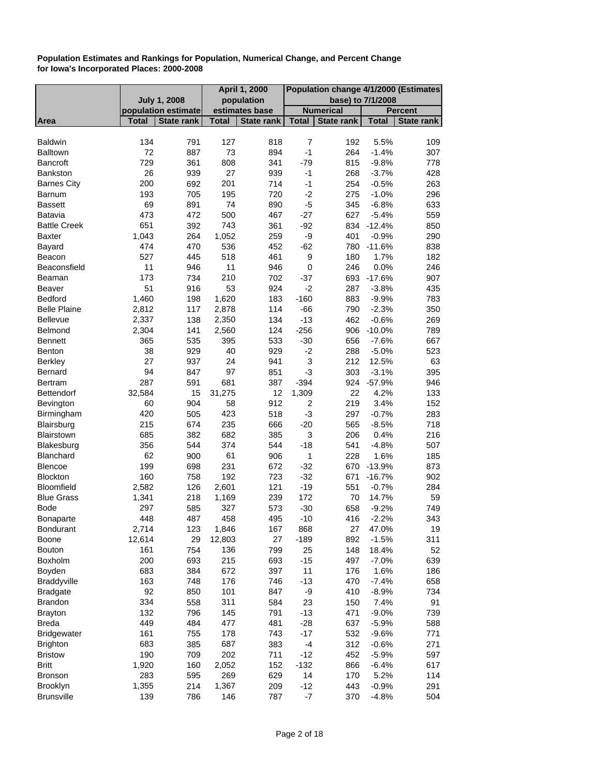|                       |                     |                   |              | <b>April 1, 2000</b> | Population change 4/1/2000 (Estimates |                   |              |                   |
|-----------------------|---------------------|-------------------|--------------|----------------------|---------------------------------------|-------------------|--------------|-------------------|
|                       | <b>July 1, 2008</b> |                   |              | population           |                                       | base) to 7/1/2008 |              |                   |
|                       | population estimate |                   |              | estimates base       |                                       | <b>Numerical</b>  |              | <b>Percent</b>    |
| <b>Area</b>           | <b>Total</b>        | <b>State rank</b> | <b>Total</b> | <b>State rank</b>    | Total                                 | <b>State rank</b> | <b>Total</b> | <b>State rank</b> |
| <b>Baldwin</b>        | 134                 | 791               | 127          | 818                  | $\overline{7}$                        | 192               | 5.5%         | 109               |
| <b>Balltown</b>       | 72                  | 887               | 73           | 894                  | $-1$                                  | 264               | $-1.4%$      | 307               |
| <b>Bancroft</b>       | 729                 | 361               | 808          | 341                  | $-79$                                 | 815               | $-9.8%$      | 778               |
| Bankston              | 26                  |                   | 27           | 939                  | $-1$                                  | 268               |              |                   |
|                       | 200                 | 939               | 201          | 714                  | $-1$                                  | 254               | $-3.7%$      | 428               |
| <b>Barnes City</b>    |                     | 692               |              |                      | $-2$                                  |                   | $-0.5%$      | 263               |
| Barnum                | 193                 | 705               | 195          | 720                  |                                       | 275               | $-1.0%$      | 296               |
| <b>Bassett</b>        | 69                  | 891               | 74           | 890                  | $-5$                                  | 345               | $-6.8%$      | 633               |
| Batavia               | 473                 | 472               | 500          | 467                  | $-27$                                 | 627               | $-5.4%$      | 559               |
| <b>Battle Creek</b>   | 651                 | 392               | 743          | 361                  | $-92$                                 |                   | 834 -12.4%   | 850               |
| Baxter                | 1,043               | 264               | 1,052        | 259                  | -9                                    | 401               | $-0.9%$      | 290               |
| Bayard                | 474                 | 470               | 536          | 452                  | $-62$                                 | 780               | $-11.6%$     | 838               |
| Beacon                | 527                 | 445               | 518          | 461                  | 9                                     | 180               | 1.7%         | 182               |
| Beaconsfield          | 11                  | 946               | 11           | 946                  | $\mathbf 0$                           | 246               | 0.0%         | 246               |
| Beaman                | 173                 | 734               | 210          | 702                  | $-37$                                 | 693               | $-17.6%$     | 907               |
| Beaver                | 51                  | 916               | 53           | 924                  | $-2$                                  | 287               | $-3.8%$      | 435               |
| Bedford               | 1,460               | 198               | 1,620        | 183                  | $-160$                                | 883               | $-9.9%$      | 783               |
| <b>Belle Plaine</b>   | 2,812               | 117               | 2,878        | 114                  | $-66$                                 | 790               | $-2.3%$      | 350               |
| Bellevue              | 2,337               | 138               | 2,350        | 134                  | $-13$                                 | 462               | $-0.6%$      | 269               |
| Belmond               | 2,304               | 141               | 2,560        | 124                  | $-256$                                | 906               | $-10.0%$     | 789               |
| <b>Bennett</b>        | 365                 | 535               | 395          | 533                  | $-30$                                 | 656               | $-7.6%$      | 667               |
| Benton                | 38                  | 929               | 40           | 929                  | $-2$                                  | 288               | $-5.0%$      | 523               |
| <b>Berkley</b>        | 27                  | 937               | 24           | 941                  | 3                                     | 212               | 12.5%        | 63                |
| Bernard               | 94                  | 847               | 97           | 851                  | $-3$                                  | 303               | $-3.1%$      | 395               |
| Bertram               | 287                 | 591               | 681          | 387                  | $-394$                                |                   | 924 - 57.9%  | 946               |
| Bettendorf            | 32,584              | 15                | 31,275       | 12                   | 1,309                                 | 22                | 4.2%         | 133               |
| Bevington             | 60                  | 904               | 58           | 912                  | $\overline{\mathbf{c}}$               | 219               | 3.4%         | 152               |
| Birmingham            | 420                 | 505               | 423          | 518                  | -3                                    | 297               | $-0.7%$      | 283               |
| Blairsburg            | 215                 | 674               | 235          | 666                  | $-20$                                 | 565               | $-8.5%$      | 718               |
| Blairstown            | 685                 | 382               | 682          | 385                  | 3                                     | 206               | 0.4%         | 216               |
| Blakesburg            | 356                 | 544               | 374          | 544                  | $-18$                                 | 541               | $-4.8%$      | 507               |
| Blanchard             | 62                  | 900               | 61           | 906                  | 1                                     | 228               | 1.6%         | 185               |
| <b>Blencoe</b>        | 199                 | 698               | 231          | 672                  | $-32$                                 | 670               | $-13.9%$     | 873               |
| Blockton              | 160                 | 758               | 192          | 723                  | $-32$                                 | 671               | $-16.7%$     | 902               |
| Bloomfield            | 2,582               | 126               | 2,601        | 121                  | $-19$                                 | 551               | $-0.7%$      | 284               |
| <b>Blue Grass</b>     | 1,341               | 218               | 1,169        | 239                  | 172                                   | 70                | 14.7%        | 59                |
| Bode                  | 297                 | 585               | 327          | 573                  | $-30$                                 | 658               | $-9.2%$      | 749               |
| <b>Bonaparte</b>      | 448                 | 487               | 458          | 495                  | $-10$                                 | 416               | $-2.2%$      | 343               |
| <b>Bondurant</b>      | 2,714               | 123               | 1,846        | 167                  | 868                                   | 27                | 47.0%        | 19                |
| Boone                 | 12,614              | 29                | 12,803       | 27                   | $-189$                                | 892               | $-1.5%$      | 311               |
| Bouton                | 161                 | 754               | 136          | 799                  | 25                                    | 148               | 18.4%        | 52                |
| <b>Boxholm</b>        | 200                 | 693               | 215          | 693                  | $-15$                                 | 497               | $-7.0%$      | 639               |
|                       | 683                 | 384               | 672          | 397                  | 11                                    | 176               | 1.6%         | 186               |
| Boyden<br>Braddyville | 163                 |                   | 176          |                      |                                       |                   |              |                   |
|                       |                     | 748               |              | 746                  | $-13$                                 | 470               | $-7.4%$      | 658               |
| <b>Bradgate</b>       | 92                  | 850               | 101          | 847                  | -9                                    | 410               | $-8.9%$      | 734               |
| <b>Brandon</b>        | 334                 | 558               | 311          | 584                  | 23                                    | 150               | 7.4%         | 91                |
| <b>Brayton</b>        | 132                 | 796               | 145          | 791                  | $-13$                                 | 471               | $-9.0%$      | 739               |
| <b>Breda</b>          | 449                 | 484               | 477          | 481                  | $-28$                                 | 637               | $-5.9%$      | 588               |
| <b>Bridgewater</b>    | 161                 | 755               | 178          | 743                  | $-17$                                 | 532               | $-9.6%$      | 771               |
| <b>Brighton</b>       | 683                 | 385               | 687          | 383                  | $-4$                                  | 312               | $-0.6%$      | 271               |
| <b>Bristow</b>        | 190                 | 709               | 202          | 711                  | $-12$                                 | 452               | $-5.9%$      | 597               |
| <b>Britt</b>          | 1,920               | 160               | 2,052        | 152                  | $-132$                                | 866               | $-6.4%$      | 617               |
| Bronson               | 283                 | 595               | 269          | 629                  | 14                                    | 170               | 5.2%         | 114               |
| <b>Brooklyn</b>       | 1,355               | 214               | 1,367        | 209                  | $-12$                                 | 443               | $-0.9%$      | 291               |
| <b>Brunsville</b>     | 139                 | 786               | 146          | 787                  | $-7$                                  | 370               | $-4.8%$      | 504               |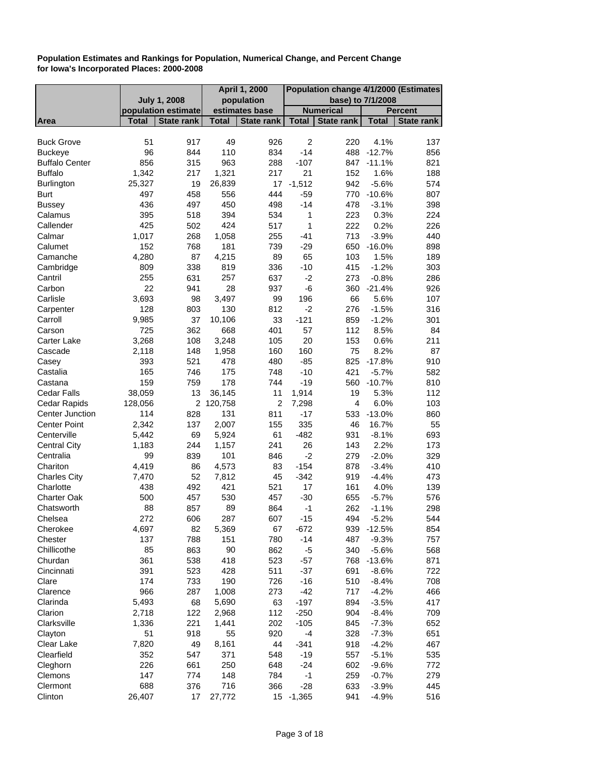| <b>July 1, 2008</b><br>population<br>base) to 7/1/2008<br><b>Numerical</b><br>population estimate<br>estimates base<br><b>Percent</b><br>State rank<br>State rank<br><b>State rank</b><br><b>Total</b><br><b>Total</b><br><b>State rank</b><br>Area<br><b>Total</b><br><b>Total</b><br>51<br>49<br>$\overline{c}$<br><b>Buck Grove</b><br>917<br>926<br>220<br>4.1%<br>137<br>96<br>110<br>$-14$<br>$-12.7%$<br>844<br>834<br>488<br>856<br><b>Buckeye</b><br><b>Buffalo Center</b><br>856<br>963<br>288<br>$-107$<br>$-11.1%$<br>821<br>315<br>847<br>1.6%<br><b>Buffalo</b><br>1,342<br>217<br>1,321<br>217<br>21<br>152<br>188<br>$-1,512$<br>25,327<br>19<br>26,839<br>17<br>942<br>$-5.6%$<br>574<br><b>Burlington</b><br>458<br>556<br>$-59$<br>497<br>444<br>770 -10.6%<br>807<br><b>Burt</b><br>436<br>497<br>450<br>498<br>$-14$<br>$-3.1%$<br>398<br><b>Bussey</b><br>478<br>Calamus<br>395<br>518<br>394<br>1<br>223<br>0.3%<br>224<br>534<br>424<br>0.2%<br>Callender<br>425<br>502<br>517<br>1<br>222<br>226<br>Calmar<br>1,017<br>268<br>1,058<br>255<br>$-41$<br>713<br>$-3.9%$<br>440<br>152<br>768<br>181<br>739<br>$-29$<br>650<br>$-16.0%$<br>898<br>Calumet<br>4,280<br>87<br>4,215<br>89<br>65<br>1.5%<br>Camanche<br>103<br>189<br>338<br>819<br>415<br>$-1.2%$<br>Cambridge<br>809<br>336<br>-10<br>303<br>257<br>255<br>$-2$<br>Cantril<br>631<br>637<br>273<br>$-0.8%$<br>286<br>22<br>28<br>-6<br>Carbon<br>941<br>937<br>360<br>$-21.4%$<br>926<br>3,693<br>Carlisle<br>3,497<br>5.6%<br>98<br>99<br>196<br>66<br>107<br>128<br>803<br>130<br>812<br>$-2$<br>$-1.5%$<br>316<br>Carpenter<br>276<br>9,985<br>10,106<br>Carroll<br>37<br>33<br>$-121$<br>859<br>$-1.2%$<br>301<br>725<br>57<br>362<br>668<br>401<br>112<br>8.5%<br>84<br>Carson<br>3,268<br>3,248<br>0.6%<br>Carter Lake<br>108<br>105<br>20<br>153<br>211<br>1,958<br>160<br>75<br>8.2%<br>87<br>Cascade<br>2,118<br>148<br>160<br>478<br>Casey<br>393<br>521<br>$-85$<br>825<br>$-17.8%$<br>910<br>480<br>421<br>165<br>746<br>175<br>748<br>$-10$<br>$-5.7%$<br>582<br>Castalia<br>178<br>159<br>$-19$<br>Castana<br>759<br>744<br>560 -10.7%<br>810<br>5.3%<br><b>Cedar Falls</b><br>38,059<br>13<br>36,145<br>11<br>1,914<br>19<br>112<br>$\overline{c}$<br>6.0%<br>Cedar Rapids<br>128,056<br>2<br>120,758<br>7,298<br>103<br>4<br>Center Junction<br>114<br>828<br>131<br>811<br>$-17$<br>$-13.0%$<br>860<br>533<br><b>Center Point</b><br>2,342<br>2,007<br>137<br>155<br>335<br>46<br>16.7%<br>55<br>69<br>61<br>$-482$<br>$-8.1%$<br>693<br>Centerville<br>5,442<br>5,924<br>931<br>244<br>26<br>2.2%<br>173<br><b>Central City</b><br>1,183<br>1,157<br>241<br>143<br>99<br>839<br>101<br>846<br>$-2$<br>$-2.0%$<br>Centralia<br>279<br>329<br>Chariton<br>4,419<br>86<br>4,573<br>83<br>$-154$<br>878<br>$-3.4%$<br>410<br>52<br>$-342$<br>7,812<br>45<br>919<br>$-4.4%$<br>473<br><b>Charles City</b><br>7,470<br>421<br>Charlotte<br>438<br>492<br>521<br>17<br>161<br>4.0%<br>139<br>500<br>457<br>530<br>457<br>$-30$<br>$-5.7%$<br>576<br>Charter Oak<br>655<br>Chatsworth<br>88<br>857<br>89<br>864<br>$-1$<br>262<br>$-1.1%$<br>298<br>606<br>272<br>287<br>607<br>$-15$<br>494<br>$-5.2%$<br>544<br>Chelsea<br>Cherokee<br>4,697<br>82<br>5,369<br>67<br>$-672$<br>939 -12.5%<br>854<br>137<br>151<br>Chester<br>788<br>780<br>$-14$<br>487<br>757<br>$-9.3%$<br>85<br>863<br>90<br>862<br>$-5$<br>340<br>Chillicothe<br>$-5.6%$<br>568<br>361<br>418<br>Churdan<br>538<br>523<br>$-57$<br>768<br>$-13.6%$<br>871<br>391<br>523<br>428<br>511<br>$-37$<br>691<br>Cincinnati<br>$-8.6%$<br>722<br>174<br>190<br>Clare<br>733<br>$-16$<br>510<br>$-8.4%$<br>708<br>726<br>966<br>287<br>1,008<br>$-42$<br>717<br>$-4.2%$<br>273<br>466<br>Clarence<br>5,493<br>Clarinda<br>68<br>5,690<br>63<br>$-197$<br>894<br>$-3.5%$<br>417<br>2,718<br>122<br>112<br>$-250$<br>904<br>Clarion<br>2,968<br>$-8.4%$<br>709<br>Clarksville<br>1,336<br>221<br>1,441<br>202<br>$-105$<br>845<br>$-7.3%$<br>652<br>51<br>918<br>55<br>920<br>328<br>$-7.3%$<br>Clayton<br>$-4$<br>651<br>7,820<br>Clear Lake<br>8,161<br>44<br>$-4.2%$<br>49<br>$-341$<br>918<br>467<br>Clearfield<br>352<br>547<br>371<br>548<br>$-19$<br>557<br>$-5.1%$<br>535<br>226<br>250<br>Cleghorn<br>661<br>648<br>$-24$<br>602<br>$-9.6%$<br>772<br>774<br>148<br>$-1$<br>259<br>Clemons<br>147<br>784<br>$-0.7%$<br>279<br>688<br>716<br>Clermont<br>376<br>$-3.9%$<br>445<br>366<br>$-28$<br>633<br>15 -1,365 |         |        |    |        | <b>April 1, 2000</b> | Population change 4/1/2000 (Estimates |         |     |  |
|--------------------------------------------------------------------------------------------------------------------------------------------------------------------------------------------------------------------------------------------------------------------------------------------------------------------------------------------------------------------------------------------------------------------------------------------------------------------------------------------------------------------------------------------------------------------------------------------------------------------------------------------------------------------------------------------------------------------------------------------------------------------------------------------------------------------------------------------------------------------------------------------------------------------------------------------------------------------------------------------------------------------------------------------------------------------------------------------------------------------------------------------------------------------------------------------------------------------------------------------------------------------------------------------------------------------------------------------------------------------------------------------------------------------------------------------------------------------------------------------------------------------------------------------------------------------------------------------------------------------------------------------------------------------------------------------------------------------------------------------------------------------------------------------------------------------------------------------------------------------------------------------------------------------------------------------------------------------------------------------------------------------------------------------------------------------------------------------------------------------------------------------------------------------------------------------------------------------------------------------------------------------------------------------------------------------------------------------------------------------------------------------------------------------------------------------------------------------------------------------------------------------------------------------------------------------------------------------------------------------------------------------------------------------------------------------------------------------------------------------------------------------------------------------------------------------------------------------------------------------------------------------------------------------------------------------------------------------------------------------------------------------------------------------------------------------------------------------------------------------------------------------------------------------------------------------------------------------------------------------------------------------------------------------------------------------------------------------------------------------------------------------------------------------------------------------------------------------------------------------------------------------------------------------------------------------------------------------------------------------------------------------------------------------------------------------------------------------------------------------------------------------------------------------------------------------------------------------------------------------------------------------------------------------------------------------------------------------------------------------------------------------------------------------------------------------------------------------------------------------------------------------------------------------------------------------------------------------------------------------------------------------------------------------------------------------------------------------------------------------------------------------------------------------------------------------------------------------------------------|---------|--------|----|--------|----------------------|---------------------------------------|---------|-----|--|
|                                                                                                                                                                                                                                                                                                                                                                                                                                                                                                                                                                                                                                                                                                                                                                                                                                                                                                                                                                                                                                                                                                                                                                                                                                                                                                                                                                                                                                                                                                                                                                                                                                                                                                                                                                                                                                                                                                                                                                                                                                                                                                                                                                                                                                                                                                                                                                                                                                                                                                                                                                                                                                                                                                                                                                                                                                                                                                                                                                                                                                                                                                                                                                                                                                                                                                                                                                                                                                                                                                                                                                                                                                                                                                                                                                                                                                                                                                                                                                                                                                                                                                                                                                                                                                                                                                                                                                                                                                                                                      |         |        |    |        |                      |                                       |         |     |  |
|                                                                                                                                                                                                                                                                                                                                                                                                                                                                                                                                                                                                                                                                                                                                                                                                                                                                                                                                                                                                                                                                                                                                                                                                                                                                                                                                                                                                                                                                                                                                                                                                                                                                                                                                                                                                                                                                                                                                                                                                                                                                                                                                                                                                                                                                                                                                                                                                                                                                                                                                                                                                                                                                                                                                                                                                                                                                                                                                                                                                                                                                                                                                                                                                                                                                                                                                                                                                                                                                                                                                                                                                                                                                                                                                                                                                                                                                                                                                                                                                                                                                                                                                                                                                                                                                                                                                                                                                                                                                                      |         |        |    |        |                      |                                       |         |     |  |
|                                                                                                                                                                                                                                                                                                                                                                                                                                                                                                                                                                                                                                                                                                                                                                                                                                                                                                                                                                                                                                                                                                                                                                                                                                                                                                                                                                                                                                                                                                                                                                                                                                                                                                                                                                                                                                                                                                                                                                                                                                                                                                                                                                                                                                                                                                                                                                                                                                                                                                                                                                                                                                                                                                                                                                                                                                                                                                                                                                                                                                                                                                                                                                                                                                                                                                                                                                                                                                                                                                                                                                                                                                                                                                                                                                                                                                                                                                                                                                                                                                                                                                                                                                                                                                                                                                                                                                                                                                                                                      |         |        |    |        |                      |                                       |         |     |  |
|                                                                                                                                                                                                                                                                                                                                                                                                                                                                                                                                                                                                                                                                                                                                                                                                                                                                                                                                                                                                                                                                                                                                                                                                                                                                                                                                                                                                                                                                                                                                                                                                                                                                                                                                                                                                                                                                                                                                                                                                                                                                                                                                                                                                                                                                                                                                                                                                                                                                                                                                                                                                                                                                                                                                                                                                                                                                                                                                                                                                                                                                                                                                                                                                                                                                                                                                                                                                                                                                                                                                                                                                                                                                                                                                                                                                                                                                                                                                                                                                                                                                                                                                                                                                                                                                                                                                                                                                                                                                                      |         |        |    |        |                      |                                       |         |     |  |
|                                                                                                                                                                                                                                                                                                                                                                                                                                                                                                                                                                                                                                                                                                                                                                                                                                                                                                                                                                                                                                                                                                                                                                                                                                                                                                                                                                                                                                                                                                                                                                                                                                                                                                                                                                                                                                                                                                                                                                                                                                                                                                                                                                                                                                                                                                                                                                                                                                                                                                                                                                                                                                                                                                                                                                                                                                                                                                                                                                                                                                                                                                                                                                                                                                                                                                                                                                                                                                                                                                                                                                                                                                                                                                                                                                                                                                                                                                                                                                                                                                                                                                                                                                                                                                                                                                                                                                                                                                                                                      |         |        |    |        |                      |                                       |         |     |  |
|                                                                                                                                                                                                                                                                                                                                                                                                                                                                                                                                                                                                                                                                                                                                                                                                                                                                                                                                                                                                                                                                                                                                                                                                                                                                                                                                                                                                                                                                                                                                                                                                                                                                                                                                                                                                                                                                                                                                                                                                                                                                                                                                                                                                                                                                                                                                                                                                                                                                                                                                                                                                                                                                                                                                                                                                                                                                                                                                                                                                                                                                                                                                                                                                                                                                                                                                                                                                                                                                                                                                                                                                                                                                                                                                                                                                                                                                                                                                                                                                                                                                                                                                                                                                                                                                                                                                                                                                                                                                                      |         |        |    |        |                      |                                       |         |     |  |
|                                                                                                                                                                                                                                                                                                                                                                                                                                                                                                                                                                                                                                                                                                                                                                                                                                                                                                                                                                                                                                                                                                                                                                                                                                                                                                                                                                                                                                                                                                                                                                                                                                                                                                                                                                                                                                                                                                                                                                                                                                                                                                                                                                                                                                                                                                                                                                                                                                                                                                                                                                                                                                                                                                                                                                                                                                                                                                                                                                                                                                                                                                                                                                                                                                                                                                                                                                                                                                                                                                                                                                                                                                                                                                                                                                                                                                                                                                                                                                                                                                                                                                                                                                                                                                                                                                                                                                                                                                                                                      |         |        |    |        |                      |                                       |         |     |  |
|                                                                                                                                                                                                                                                                                                                                                                                                                                                                                                                                                                                                                                                                                                                                                                                                                                                                                                                                                                                                                                                                                                                                                                                                                                                                                                                                                                                                                                                                                                                                                                                                                                                                                                                                                                                                                                                                                                                                                                                                                                                                                                                                                                                                                                                                                                                                                                                                                                                                                                                                                                                                                                                                                                                                                                                                                                                                                                                                                                                                                                                                                                                                                                                                                                                                                                                                                                                                                                                                                                                                                                                                                                                                                                                                                                                                                                                                                                                                                                                                                                                                                                                                                                                                                                                                                                                                                                                                                                                                                      |         |        |    |        |                      |                                       |         |     |  |
|                                                                                                                                                                                                                                                                                                                                                                                                                                                                                                                                                                                                                                                                                                                                                                                                                                                                                                                                                                                                                                                                                                                                                                                                                                                                                                                                                                                                                                                                                                                                                                                                                                                                                                                                                                                                                                                                                                                                                                                                                                                                                                                                                                                                                                                                                                                                                                                                                                                                                                                                                                                                                                                                                                                                                                                                                                                                                                                                                                                                                                                                                                                                                                                                                                                                                                                                                                                                                                                                                                                                                                                                                                                                                                                                                                                                                                                                                                                                                                                                                                                                                                                                                                                                                                                                                                                                                                                                                                                                                      |         |        |    |        |                      |                                       |         |     |  |
|                                                                                                                                                                                                                                                                                                                                                                                                                                                                                                                                                                                                                                                                                                                                                                                                                                                                                                                                                                                                                                                                                                                                                                                                                                                                                                                                                                                                                                                                                                                                                                                                                                                                                                                                                                                                                                                                                                                                                                                                                                                                                                                                                                                                                                                                                                                                                                                                                                                                                                                                                                                                                                                                                                                                                                                                                                                                                                                                                                                                                                                                                                                                                                                                                                                                                                                                                                                                                                                                                                                                                                                                                                                                                                                                                                                                                                                                                                                                                                                                                                                                                                                                                                                                                                                                                                                                                                                                                                                                                      |         |        |    |        |                      |                                       |         |     |  |
|                                                                                                                                                                                                                                                                                                                                                                                                                                                                                                                                                                                                                                                                                                                                                                                                                                                                                                                                                                                                                                                                                                                                                                                                                                                                                                                                                                                                                                                                                                                                                                                                                                                                                                                                                                                                                                                                                                                                                                                                                                                                                                                                                                                                                                                                                                                                                                                                                                                                                                                                                                                                                                                                                                                                                                                                                                                                                                                                                                                                                                                                                                                                                                                                                                                                                                                                                                                                                                                                                                                                                                                                                                                                                                                                                                                                                                                                                                                                                                                                                                                                                                                                                                                                                                                                                                                                                                                                                                                                                      |         |        |    |        |                      |                                       |         |     |  |
|                                                                                                                                                                                                                                                                                                                                                                                                                                                                                                                                                                                                                                                                                                                                                                                                                                                                                                                                                                                                                                                                                                                                                                                                                                                                                                                                                                                                                                                                                                                                                                                                                                                                                                                                                                                                                                                                                                                                                                                                                                                                                                                                                                                                                                                                                                                                                                                                                                                                                                                                                                                                                                                                                                                                                                                                                                                                                                                                                                                                                                                                                                                                                                                                                                                                                                                                                                                                                                                                                                                                                                                                                                                                                                                                                                                                                                                                                                                                                                                                                                                                                                                                                                                                                                                                                                                                                                                                                                                                                      |         |        |    |        |                      |                                       |         |     |  |
|                                                                                                                                                                                                                                                                                                                                                                                                                                                                                                                                                                                                                                                                                                                                                                                                                                                                                                                                                                                                                                                                                                                                                                                                                                                                                                                                                                                                                                                                                                                                                                                                                                                                                                                                                                                                                                                                                                                                                                                                                                                                                                                                                                                                                                                                                                                                                                                                                                                                                                                                                                                                                                                                                                                                                                                                                                                                                                                                                                                                                                                                                                                                                                                                                                                                                                                                                                                                                                                                                                                                                                                                                                                                                                                                                                                                                                                                                                                                                                                                                                                                                                                                                                                                                                                                                                                                                                                                                                                                                      |         |        |    |        |                      |                                       |         |     |  |
|                                                                                                                                                                                                                                                                                                                                                                                                                                                                                                                                                                                                                                                                                                                                                                                                                                                                                                                                                                                                                                                                                                                                                                                                                                                                                                                                                                                                                                                                                                                                                                                                                                                                                                                                                                                                                                                                                                                                                                                                                                                                                                                                                                                                                                                                                                                                                                                                                                                                                                                                                                                                                                                                                                                                                                                                                                                                                                                                                                                                                                                                                                                                                                                                                                                                                                                                                                                                                                                                                                                                                                                                                                                                                                                                                                                                                                                                                                                                                                                                                                                                                                                                                                                                                                                                                                                                                                                                                                                                                      |         |        |    |        |                      |                                       |         |     |  |
|                                                                                                                                                                                                                                                                                                                                                                                                                                                                                                                                                                                                                                                                                                                                                                                                                                                                                                                                                                                                                                                                                                                                                                                                                                                                                                                                                                                                                                                                                                                                                                                                                                                                                                                                                                                                                                                                                                                                                                                                                                                                                                                                                                                                                                                                                                                                                                                                                                                                                                                                                                                                                                                                                                                                                                                                                                                                                                                                                                                                                                                                                                                                                                                                                                                                                                                                                                                                                                                                                                                                                                                                                                                                                                                                                                                                                                                                                                                                                                                                                                                                                                                                                                                                                                                                                                                                                                                                                                                                                      |         |        |    |        |                      |                                       |         |     |  |
|                                                                                                                                                                                                                                                                                                                                                                                                                                                                                                                                                                                                                                                                                                                                                                                                                                                                                                                                                                                                                                                                                                                                                                                                                                                                                                                                                                                                                                                                                                                                                                                                                                                                                                                                                                                                                                                                                                                                                                                                                                                                                                                                                                                                                                                                                                                                                                                                                                                                                                                                                                                                                                                                                                                                                                                                                                                                                                                                                                                                                                                                                                                                                                                                                                                                                                                                                                                                                                                                                                                                                                                                                                                                                                                                                                                                                                                                                                                                                                                                                                                                                                                                                                                                                                                                                                                                                                                                                                                                                      |         |        |    |        |                      |                                       |         |     |  |
|                                                                                                                                                                                                                                                                                                                                                                                                                                                                                                                                                                                                                                                                                                                                                                                                                                                                                                                                                                                                                                                                                                                                                                                                                                                                                                                                                                                                                                                                                                                                                                                                                                                                                                                                                                                                                                                                                                                                                                                                                                                                                                                                                                                                                                                                                                                                                                                                                                                                                                                                                                                                                                                                                                                                                                                                                                                                                                                                                                                                                                                                                                                                                                                                                                                                                                                                                                                                                                                                                                                                                                                                                                                                                                                                                                                                                                                                                                                                                                                                                                                                                                                                                                                                                                                                                                                                                                                                                                                                                      |         |        |    |        |                      |                                       |         |     |  |
|                                                                                                                                                                                                                                                                                                                                                                                                                                                                                                                                                                                                                                                                                                                                                                                                                                                                                                                                                                                                                                                                                                                                                                                                                                                                                                                                                                                                                                                                                                                                                                                                                                                                                                                                                                                                                                                                                                                                                                                                                                                                                                                                                                                                                                                                                                                                                                                                                                                                                                                                                                                                                                                                                                                                                                                                                                                                                                                                                                                                                                                                                                                                                                                                                                                                                                                                                                                                                                                                                                                                                                                                                                                                                                                                                                                                                                                                                                                                                                                                                                                                                                                                                                                                                                                                                                                                                                                                                                                                                      |         |        |    |        |                      |                                       |         |     |  |
|                                                                                                                                                                                                                                                                                                                                                                                                                                                                                                                                                                                                                                                                                                                                                                                                                                                                                                                                                                                                                                                                                                                                                                                                                                                                                                                                                                                                                                                                                                                                                                                                                                                                                                                                                                                                                                                                                                                                                                                                                                                                                                                                                                                                                                                                                                                                                                                                                                                                                                                                                                                                                                                                                                                                                                                                                                                                                                                                                                                                                                                                                                                                                                                                                                                                                                                                                                                                                                                                                                                                                                                                                                                                                                                                                                                                                                                                                                                                                                                                                                                                                                                                                                                                                                                                                                                                                                                                                                                                                      |         |        |    |        |                      |                                       |         |     |  |
|                                                                                                                                                                                                                                                                                                                                                                                                                                                                                                                                                                                                                                                                                                                                                                                                                                                                                                                                                                                                                                                                                                                                                                                                                                                                                                                                                                                                                                                                                                                                                                                                                                                                                                                                                                                                                                                                                                                                                                                                                                                                                                                                                                                                                                                                                                                                                                                                                                                                                                                                                                                                                                                                                                                                                                                                                                                                                                                                                                                                                                                                                                                                                                                                                                                                                                                                                                                                                                                                                                                                                                                                                                                                                                                                                                                                                                                                                                                                                                                                                                                                                                                                                                                                                                                                                                                                                                                                                                                                                      |         |        |    |        |                      |                                       |         |     |  |
|                                                                                                                                                                                                                                                                                                                                                                                                                                                                                                                                                                                                                                                                                                                                                                                                                                                                                                                                                                                                                                                                                                                                                                                                                                                                                                                                                                                                                                                                                                                                                                                                                                                                                                                                                                                                                                                                                                                                                                                                                                                                                                                                                                                                                                                                                                                                                                                                                                                                                                                                                                                                                                                                                                                                                                                                                                                                                                                                                                                                                                                                                                                                                                                                                                                                                                                                                                                                                                                                                                                                                                                                                                                                                                                                                                                                                                                                                                                                                                                                                                                                                                                                                                                                                                                                                                                                                                                                                                                                                      |         |        |    |        |                      |                                       |         |     |  |
|                                                                                                                                                                                                                                                                                                                                                                                                                                                                                                                                                                                                                                                                                                                                                                                                                                                                                                                                                                                                                                                                                                                                                                                                                                                                                                                                                                                                                                                                                                                                                                                                                                                                                                                                                                                                                                                                                                                                                                                                                                                                                                                                                                                                                                                                                                                                                                                                                                                                                                                                                                                                                                                                                                                                                                                                                                                                                                                                                                                                                                                                                                                                                                                                                                                                                                                                                                                                                                                                                                                                                                                                                                                                                                                                                                                                                                                                                                                                                                                                                                                                                                                                                                                                                                                                                                                                                                                                                                                                                      |         |        |    |        |                      |                                       |         |     |  |
|                                                                                                                                                                                                                                                                                                                                                                                                                                                                                                                                                                                                                                                                                                                                                                                                                                                                                                                                                                                                                                                                                                                                                                                                                                                                                                                                                                                                                                                                                                                                                                                                                                                                                                                                                                                                                                                                                                                                                                                                                                                                                                                                                                                                                                                                                                                                                                                                                                                                                                                                                                                                                                                                                                                                                                                                                                                                                                                                                                                                                                                                                                                                                                                                                                                                                                                                                                                                                                                                                                                                                                                                                                                                                                                                                                                                                                                                                                                                                                                                                                                                                                                                                                                                                                                                                                                                                                                                                                                                                      |         |        |    |        |                      |                                       |         |     |  |
|                                                                                                                                                                                                                                                                                                                                                                                                                                                                                                                                                                                                                                                                                                                                                                                                                                                                                                                                                                                                                                                                                                                                                                                                                                                                                                                                                                                                                                                                                                                                                                                                                                                                                                                                                                                                                                                                                                                                                                                                                                                                                                                                                                                                                                                                                                                                                                                                                                                                                                                                                                                                                                                                                                                                                                                                                                                                                                                                                                                                                                                                                                                                                                                                                                                                                                                                                                                                                                                                                                                                                                                                                                                                                                                                                                                                                                                                                                                                                                                                                                                                                                                                                                                                                                                                                                                                                                                                                                                                                      |         |        |    |        |                      |                                       |         |     |  |
|                                                                                                                                                                                                                                                                                                                                                                                                                                                                                                                                                                                                                                                                                                                                                                                                                                                                                                                                                                                                                                                                                                                                                                                                                                                                                                                                                                                                                                                                                                                                                                                                                                                                                                                                                                                                                                                                                                                                                                                                                                                                                                                                                                                                                                                                                                                                                                                                                                                                                                                                                                                                                                                                                                                                                                                                                                                                                                                                                                                                                                                                                                                                                                                                                                                                                                                                                                                                                                                                                                                                                                                                                                                                                                                                                                                                                                                                                                                                                                                                                                                                                                                                                                                                                                                                                                                                                                                                                                                                                      |         |        |    |        |                      |                                       |         |     |  |
|                                                                                                                                                                                                                                                                                                                                                                                                                                                                                                                                                                                                                                                                                                                                                                                                                                                                                                                                                                                                                                                                                                                                                                                                                                                                                                                                                                                                                                                                                                                                                                                                                                                                                                                                                                                                                                                                                                                                                                                                                                                                                                                                                                                                                                                                                                                                                                                                                                                                                                                                                                                                                                                                                                                                                                                                                                                                                                                                                                                                                                                                                                                                                                                                                                                                                                                                                                                                                                                                                                                                                                                                                                                                                                                                                                                                                                                                                                                                                                                                                                                                                                                                                                                                                                                                                                                                                                                                                                                                                      |         |        |    |        |                      |                                       |         |     |  |
|                                                                                                                                                                                                                                                                                                                                                                                                                                                                                                                                                                                                                                                                                                                                                                                                                                                                                                                                                                                                                                                                                                                                                                                                                                                                                                                                                                                                                                                                                                                                                                                                                                                                                                                                                                                                                                                                                                                                                                                                                                                                                                                                                                                                                                                                                                                                                                                                                                                                                                                                                                                                                                                                                                                                                                                                                                                                                                                                                                                                                                                                                                                                                                                                                                                                                                                                                                                                                                                                                                                                                                                                                                                                                                                                                                                                                                                                                                                                                                                                                                                                                                                                                                                                                                                                                                                                                                                                                                                                                      |         |        |    |        |                      |                                       |         |     |  |
|                                                                                                                                                                                                                                                                                                                                                                                                                                                                                                                                                                                                                                                                                                                                                                                                                                                                                                                                                                                                                                                                                                                                                                                                                                                                                                                                                                                                                                                                                                                                                                                                                                                                                                                                                                                                                                                                                                                                                                                                                                                                                                                                                                                                                                                                                                                                                                                                                                                                                                                                                                                                                                                                                                                                                                                                                                                                                                                                                                                                                                                                                                                                                                                                                                                                                                                                                                                                                                                                                                                                                                                                                                                                                                                                                                                                                                                                                                                                                                                                                                                                                                                                                                                                                                                                                                                                                                                                                                                                                      |         |        |    |        |                      |                                       |         |     |  |
|                                                                                                                                                                                                                                                                                                                                                                                                                                                                                                                                                                                                                                                                                                                                                                                                                                                                                                                                                                                                                                                                                                                                                                                                                                                                                                                                                                                                                                                                                                                                                                                                                                                                                                                                                                                                                                                                                                                                                                                                                                                                                                                                                                                                                                                                                                                                                                                                                                                                                                                                                                                                                                                                                                                                                                                                                                                                                                                                                                                                                                                                                                                                                                                                                                                                                                                                                                                                                                                                                                                                                                                                                                                                                                                                                                                                                                                                                                                                                                                                                                                                                                                                                                                                                                                                                                                                                                                                                                                                                      |         |        |    |        |                      |                                       |         |     |  |
|                                                                                                                                                                                                                                                                                                                                                                                                                                                                                                                                                                                                                                                                                                                                                                                                                                                                                                                                                                                                                                                                                                                                                                                                                                                                                                                                                                                                                                                                                                                                                                                                                                                                                                                                                                                                                                                                                                                                                                                                                                                                                                                                                                                                                                                                                                                                                                                                                                                                                                                                                                                                                                                                                                                                                                                                                                                                                                                                                                                                                                                                                                                                                                                                                                                                                                                                                                                                                                                                                                                                                                                                                                                                                                                                                                                                                                                                                                                                                                                                                                                                                                                                                                                                                                                                                                                                                                                                                                                                                      |         |        |    |        |                      |                                       |         |     |  |
|                                                                                                                                                                                                                                                                                                                                                                                                                                                                                                                                                                                                                                                                                                                                                                                                                                                                                                                                                                                                                                                                                                                                                                                                                                                                                                                                                                                                                                                                                                                                                                                                                                                                                                                                                                                                                                                                                                                                                                                                                                                                                                                                                                                                                                                                                                                                                                                                                                                                                                                                                                                                                                                                                                                                                                                                                                                                                                                                                                                                                                                                                                                                                                                                                                                                                                                                                                                                                                                                                                                                                                                                                                                                                                                                                                                                                                                                                                                                                                                                                                                                                                                                                                                                                                                                                                                                                                                                                                                                                      |         |        |    |        |                      |                                       |         |     |  |
|                                                                                                                                                                                                                                                                                                                                                                                                                                                                                                                                                                                                                                                                                                                                                                                                                                                                                                                                                                                                                                                                                                                                                                                                                                                                                                                                                                                                                                                                                                                                                                                                                                                                                                                                                                                                                                                                                                                                                                                                                                                                                                                                                                                                                                                                                                                                                                                                                                                                                                                                                                                                                                                                                                                                                                                                                                                                                                                                                                                                                                                                                                                                                                                                                                                                                                                                                                                                                                                                                                                                                                                                                                                                                                                                                                                                                                                                                                                                                                                                                                                                                                                                                                                                                                                                                                                                                                                                                                                                                      |         |        |    |        |                      |                                       |         |     |  |
|                                                                                                                                                                                                                                                                                                                                                                                                                                                                                                                                                                                                                                                                                                                                                                                                                                                                                                                                                                                                                                                                                                                                                                                                                                                                                                                                                                                                                                                                                                                                                                                                                                                                                                                                                                                                                                                                                                                                                                                                                                                                                                                                                                                                                                                                                                                                                                                                                                                                                                                                                                                                                                                                                                                                                                                                                                                                                                                                                                                                                                                                                                                                                                                                                                                                                                                                                                                                                                                                                                                                                                                                                                                                                                                                                                                                                                                                                                                                                                                                                                                                                                                                                                                                                                                                                                                                                                                                                                                                                      |         |        |    |        |                      |                                       |         |     |  |
|                                                                                                                                                                                                                                                                                                                                                                                                                                                                                                                                                                                                                                                                                                                                                                                                                                                                                                                                                                                                                                                                                                                                                                                                                                                                                                                                                                                                                                                                                                                                                                                                                                                                                                                                                                                                                                                                                                                                                                                                                                                                                                                                                                                                                                                                                                                                                                                                                                                                                                                                                                                                                                                                                                                                                                                                                                                                                                                                                                                                                                                                                                                                                                                                                                                                                                                                                                                                                                                                                                                                                                                                                                                                                                                                                                                                                                                                                                                                                                                                                                                                                                                                                                                                                                                                                                                                                                                                                                                                                      |         |        |    |        |                      |                                       |         |     |  |
|                                                                                                                                                                                                                                                                                                                                                                                                                                                                                                                                                                                                                                                                                                                                                                                                                                                                                                                                                                                                                                                                                                                                                                                                                                                                                                                                                                                                                                                                                                                                                                                                                                                                                                                                                                                                                                                                                                                                                                                                                                                                                                                                                                                                                                                                                                                                                                                                                                                                                                                                                                                                                                                                                                                                                                                                                                                                                                                                                                                                                                                                                                                                                                                                                                                                                                                                                                                                                                                                                                                                                                                                                                                                                                                                                                                                                                                                                                                                                                                                                                                                                                                                                                                                                                                                                                                                                                                                                                                                                      |         |        |    |        |                      |                                       |         |     |  |
|                                                                                                                                                                                                                                                                                                                                                                                                                                                                                                                                                                                                                                                                                                                                                                                                                                                                                                                                                                                                                                                                                                                                                                                                                                                                                                                                                                                                                                                                                                                                                                                                                                                                                                                                                                                                                                                                                                                                                                                                                                                                                                                                                                                                                                                                                                                                                                                                                                                                                                                                                                                                                                                                                                                                                                                                                                                                                                                                                                                                                                                                                                                                                                                                                                                                                                                                                                                                                                                                                                                                                                                                                                                                                                                                                                                                                                                                                                                                                                                                                                                                                                                                                                                                                                                                                                                                                                                                                                                                                      |         |        |    |        |                      |                                       |         |     |  |
|                                                                                                                                                                                                                                                                                                                                                                                                                                                                                                                                                                                                                                                                                                                                                                                                                                                                                                                                                                                                                                                                                                                                                                                                                                                                                                                                                                                                                                                                                                                                                                                                                                                                                                                                                                                                                                                                                                                                                                                                                                                                                                                                                                                                                                                                                                                                                                                                                                                                                                                                                                                                                                                                                                                                                                                                                                                                                                                                                                                                                                                                                                                                                                                                                                                                                                                                                                                                                                                                                                                                                                                                                                                                                                                                                                                                                                                                                                                                                                                                                                                                                                                                                                                                                                                                                                                                                                                                                                                                                      |         |        |    |        |                      |                                       |         |     |  |
|                                                                                                                                                                                                                                                                                                                                                                                                                                                                                                                                                                                                                                                                                                                                                                                                                                                                                                                                                                                                                                                                                                                                                                                                                                                                                                                                                                                                                                                                                                                                                                                                                                                                                                                                                                                                                                                                                                                                                                                                                                                                                                                                                                                                                                                                                                                                                                                                                                                                                                                                                                                                                                                                                                                                                                                                                                                                                                                                                                                                                                                                                                                                                                                                                                                                                                                                                                                                                                                                                                                                                                                                                                                                                                                                                                                                                                                                                                                                                                                                                                                                                                                                                                                                                                                                                                                                                                                                                                                                                      |         |        |    |        |                      |                                       |         |     |  |
|                                                                                                                                                                                                                                                                                                                                                                                                                                                                                                                                                                                                                                                                                                                                                                                                                                                                                                                                                                                                                                                                                                                                                                                                                                                                                                                                                                                                                                                                                                                                                                                                                                                                                                                                                                                                                                                                                                                                                                                                                                                                                                                                                                                                                                                                                                                                                                                                                                                                                                                                                                                                                                                                                                                                                                                                                                                                                                                                                                                                                                                                                                                                                                                                                                                                                                                                                                                                                                                                                                                                                                                                                                                                                                                                                                                                                                                                                                                                                                                                                                                                                                                                                                                                                                                                                                                                                                                                                                                                                      |         |        |    |        |                      |                                       |         |     |  |
|                                                                                                                                                                                                                                                                                                                                                                                                                                                                                                                                                                                                                                                                                                                                                                                                                                                                                                                                                                                                                                                                                                                                                                                                                                                                                                                                                                                                                                                                                                                                                                                                                                                                                                                                                                                                                                                                                                                                                                                                                                                                                                                                                                                                                                                                                                                                                                                                                                                                                                                                                                                                                                                                                                                                                                                                                                                                                                                                                                                                                                                                                                                                                                                                                                                                                                                                                                                                                                                                                                                                                                                                                                                                                                                                                                                                                                                                                                                                                                                                                                                                                                                                                                                                                                                                                                                                                                                                                                                                                      |         |        |    |        |                      |                                       |         |     |  |
|                                                                                                                                                                                                                                                                                                                                                                                                                                                                                                                                                                                                                                                                                                                                                                                                                                                                                                                                                                                                                                                                                                                                                                                                                                                                                                                                                                                                                                                                                                                                                                                                                                                                                                                                                                                                                                                                                                                                                                                                                                                                                                                                                                                                                                                                                                                                                                                                                                                                                                                                                                                                                                                                                                                                                                                                                                                                                                                                                                                                                                                                                                                                                                                                                                                                                                                                                                                                                                                                                                                                                                                                                                                                                                                                                                                                                                                                                                                                                                                                                                                                                                                                                                                                                                                                                                                                                                                                                                                                                      |         |        |    |        |                      |                                       |         |     |  |
|                                                                                                                                                                                                                                                                                                                                                                                                                                                                                                                                                                                                                                                                                                                                                                                                                                                                                                                                                                                                                                                                                                                                                                                                                                                                                                                                                                                                                                                                                                                                                                                                                                                                                                                                                                                                                                                                                                                                                                                                                                                                                                                                                                                                                                                                                                                                                                                                                                                                                                                                                                                                                                                                                                                                                                                                                                                                                                                                                                                                                                                                                                                                                                                                                                                                                                                                                                                                                                                                                                                                                                                                                                                                                                                                                                                                                                                                                                                                                                                                                                                                                                                                                                                                                                                                                                                                                                                                                                                                                      |         |        |    |        |                      |                                       |         |     |  |
|                                                                                                                                                                                                                                                                                                                                                                                                                                                                                                                                                                                                                                                                                                                                                                                                                                                                                                                                                                                                                                                                                                                                                                                                                                                                                                                                                                                                                                                                                                                                                                                                                                                                                                                                                                                                                                                                                                                                                                                                                                                                                                                                                                                                                                                                                                                                                                                                                                                                                                                                                                                                                                                                                                                                                                                                                                                                                                                                                                                                                                                                                                                                                                                                                                                                                                                                                                                                                                                                                                                                                                                                                                                                                                                                                                                                                                                                                                                                                                                                                                                                                                                                                                                                                                                                                                                                                                                                                                                                                      |         |        |    |        |                      |                                       |         |     |  |
|                                                                                                                                                                                                                                                                                                                                                                                                                                                                                                                                                                                                                                                                                                                                                                                                                                                                                                                                                                                                                                                                                                                                                                                                                                                                                                                                                                                                                                                                                                                                                                                                                                                                                                                                                                                                                                                                                                                                                                                                                                                                                                                                                                                                                                                                                                                                                                                                                                                                                                                                                                                                                                                                                                                                                                                                                                                                                                                                                                                                                                                                                                                                                                                                                                                                                                                                                                                                                                                                                                                                                                                                                                                                                                                                                                                                                                                                                                                                                                                                                                                                                                                                                                                                                                                                                                                                                                                                                                                                                      |         |        |    |        |                      |                                       |         |     |  |
|                                                                                                                                                                                                                                                                                                                                                                                                                                                                                                                                                                                                                                                                                                                                                                                                                                                                                                                                                                                                                                                                                                                                                                                                                                                                                                                                                                                                                                                                                                                                                                                                                                                                                                                                                                                                                                                                                                                                                                                                                                                                                                                                                                                                                                                                                                                                                                                                                                                                                                                                                                                                                                                                                                                                                                                                                                                                                                                                                                                                                                                                                                                                                                                                                                                                                                                                                                                                                                                                                                                                                                                                                                                                                                                                                                                                                                                                                                                                                                                                                                                                                                                                                                                                                                                                                                                                                                                                                                                                                      |         |        |    |        |                      |                                       |         |     |  |
|                                                                                                                                                                                                                                                                                                                                                                                                                                                                                                                                                                                                                                                                                                                                                                                                                                                                                                                                                                                                                                                                                                                                                                                                                                                                                                                                                                                                                                                                                                                                                                                                                                                                                                                                                                                                                                                                                                                                                                                                                                                                                                                                                                                                                                                                                                                                                                                                                                                                                                                                                                                                                                                                                                                                                                                                                                                                                                                                                                                                                                                                                                                                                                                                                                                                                                                                                                                                                                                                                                                                                                                                                                                                                                                                                                                                                                                                                                                                                                                                                                                                                                                                                                                                                                                                                                                                                                                                                                                                                      |         |        |    |        |                      |                                       |         |     |  |
|                                                                                                                                                                                                                                                                                                                                                                                                                                                                                                                                                                                                                                                                                                                                                                                                                                                                                                                                                                                                                                                                                                                                                                                                                                                                                                                                                                                                                                                                                                                                                                                                                                                                                                                                                                                                                                                                                                                                                                                                                                                                                                                                                                                                                                                                                                                                                                                                                                                                                                                                                                                                                                                                                                                                                                                                                                                                                                                                                                                                                                                                                                                                                                                                                                                                                                                                                                                                                                                                                                                                                                                                                                                                                                                                                                                                                                                                                                                                                                                                                                                                                                                                                                                                                                                                                                                                                                                                                                                                                      |         |        |    |        |                      |                                       |         |     |  |
|                                                                                                                                                                                                                                                                                                                                                                                                                                                                                                                                                                                                                                                                                                                                                                                                                                                                                                                                                                                                                                                                                                                                                                                                                                                                                                                                                                                                                                                                                                                                                                                                                                                                                                                                                                                                                                                                                                                                                                                                                                                                                                                                                                                                                                                                                                                                                                                                                                                                                                                                                                                                                                                                                                                                                                                                                                                                                                                                                                                                                                                                                                                                                                                                                                                                                                                                                                                                                                                                                                                                                                                                                                                                                                                                                                                                                                                                                                                                                                                                                                                                                                                                                                                                                                                                                                                                                                                                                                                                                      |         |        |    |        |                      |                                       |         |     |  |
|                                                                                                                                                                                                                                                                                                                                                                                                                                                                                                                                                                                                                                                                                                                                                                                                                                                                                                                                                                                                                                                                                                                                                                                                                                                                                                                                                                                                                                                                                                                                                                                                                                                                                                                                                                                                                                                                                                                                                                                                                                                                                                                                                                                                                                                                                                                                                                                                                                                                                                                                                                                                                                                                                                                                                                                                                                                                                                                                                                                                                                                                                                                                                                                                                                                                                                                                                                                                                                                                                                                                                                                                                                                                                                                                                                                                                                                                                                                                                                                                                                                                                                                                                                                                                                                                                                                                                                                                                                                                                      |         |        |    |        |                      |                                       |         |     |  |
|                                                                                                                                                                                                                                                                                                                                                                                                                                                                                                                                                                                                                                                                                                                                                                                                                                                                                                                                                                                                                                                                                                                                                                                                                                                                                                                                                                                                                                                                                                                                                                                                                                                                                                                                                                                                                                                                                                                                                                                                                                                                                                                                                                                                                                                                                                                                                                                                                                                                                                                                                                                                                                                                                                                                                                                                                                                                                                                                                                                                                                                                                                                                                                                                                                                                                                                                                                                                                                                                                                                                                                                                                                                                                                                                                                                                                                                                                                                                                                                                                                                                                                                                                                                                                                                                                                                                                                                                                                                                                      |         |        |    |        |                      |                                       |         |     |  |
|                                                                                                                                                                                                                                                                                                                                                                                                                                                                                                                                                                                                                                                                                                                                                                                                                                                                                                                                                                                                                                                                                                                                                                                                                                                                                                                                                                                                                                                                                                                                                                                                                                                                                                                                                                                                                                                                                                                                                                                                                                                                                                                                                                                                                                                                                                                                                                                                                                                                                                                                                                                                                                                                                                                                                                                                                                                                                                                                                                                                                                                                                                                                                                                                                                                                                                                                                                                                                                                                                                                                                                                                                                                                                                                                                                                                                                                                                                                                                                                                                                                                                                                                                                                                                                                                                                                                                                                                                                                                                      |         |        |    |        |                      |                                       |         |     |  |
|                                                                                                                                                                                                                                                                                                                                                                                                                                                                                                                                                                                                                                                                                                                                                                                                                                                                                                                                                                                                                                                                                                                                                                                                                                                                                                                                                                                                                                                                                                                                                                                                                                                                                                                                                                                                                                                                                                                                                                                                                                                                                                                                                                                                                                                                                                                                                                                                                                                                                                                                                                                                                                                                                                                                                                                                                                                                                                                                                                                                                                                                                                                                                                                                                                                                                                                                                                                                                                                                                                                                                                                                                                                                                                                                                                                                                                                                                                                                                                                                                                                                                                                                                                                                                                                                                                                                                                                                                                                                                      |         |        |    |        |                      |                                       |         |     |  |
|                                                                                                                                                                                                                                                                                                                                                                                                                                                                                                                                                                                                                                                                                                                                                                                                                                                                                                                                                                                                                                                                                                                                                                                                                                                                                                                                                                                                                                                                                                                                                                                                                                                                                                                                                                                                                                                                                                                                                                                                                                                                                                                                                                                                                                                                                                                                                                                                                                                                                                                                                                                                                                                                                                                                                                                                                                                                                                                                                                                                                                                                                                                                                                                                                                                                                                                                                                                                                                                                                                                                                                                                                                                                                                                                                                                                                                                                                                                                                                                                                                                                                                                                                                                                                                                                                                                                                                                                                                                                                      |         |        |    |        |                      |                                       |         |     |  |
|                                                                                                                                                                                                                                                                                                                                                                                                                                                                                                                                                                                                                                                                                                                                                                                                                                                                                                                                                                                                                                                                                                                                                                                                                                                                                                                                                                                                                                                                                                                                                                                                                                                                                                                                                                                                                                                                                                                                                                                                                                                                                                                                                                                                                                                                                                                                                                                                                                                                                                                                                                                                                                                                                                                                                                                                                                                                                                                                                                                                                                                                                                                                                                                                                                                                                                                                                                                                                                                                                                                                                                                                                                                                                                                                                                                                                                                                                                                                                                                                                                                                                                                                                                                                                                                                                                                                                                                                                                                                                      |         |        |    |        |                      |                                       |         |     |  |
|                                                                                                                                                                                                                                                                                                                                                                                                                                                                                                                                                                                                                                                                                                                                                                                                                                                                                                                                                                                                                                                                                                                                                                                                                                                                                                                                                                                                                                                                                                                                                                                                                                                                                                                                                                                                                                                                                                                                                                                                                                                                                                                                                                                                                                                                                                                                                                                                                                                                                                                                                                                                                                                                                                                                                                                                                                                                                                                                                                                                                                                                                                                                                                                                                                                                                                                                                                                                                                                                                                                                                                                                                                                                                                                                                                                                                                                                                                                                                                                                                                                                                                                                                                                                                                                                                                                                                                                                                                                                                      |         |        |    |        |                      |                                       |         |     |  |
|                                                                                                                                                                                                                                                                                                                                                                                                                                                                                                                                                                                                                                                                                                                                                                                                                                                                                                                                                                                                                                                                                                                                                                                                                                                                                                                                                                                                                                                                                                                                                                                                                                                                                                                                                                                                                                                                                                                                                                                                                                                                                                                                                                                                                                                                                                                                                                                                                                                                                                                                                                                                                                                                                                                                                                                                                                                                                                                                                                                                                                                                                                                                                                                                                                                                                                                                                                                                                                                                                                                                                                                                                                                                                                                                                                                                                                                                                                                                                                                                                                                                                                                                                                                                                                                                                                                                                                                                                                                                                      |         |        |    |        |                      |                                       |         |     |  |
|                                                                                                                                                                                                                                                                                                                                                                                                                                                                                                                                                                                                                                                                                                                                                                                                                                                                                                                                                                                                                                                                                                                                                                                                                                                                                                                                                                                                                                                                                                                                                                                                                                                                                                                                                                                                                                                                                                                                                                                                                                                                                                                                                                                                                                                                                                                                                                                                                                                                                                                                                                                                                                                                                                                                                                                                                                                                                                                                                                                                                                                                                                                                                                                                                                                                                                                                                                                                                                                                                                                                                                                                                                                                                                                                                                                                                                                                                                                                                                                                                                                                                                                                                                                                                                                                                                                                                                                                                                                                                      |         |        |    |        |                      |                                       |         |     |  |
|                                                                                                                                                                                                                                                                                                                                                                                                                                                                                                                                                                                                                                                                                                                                                                                                                                                                                                                                                                                                                                                                                                                                                                                                                                                                                                                                                                                                                                                                                                                                                                                                                                                                                                                                                                                                                                                                                                                                                                                                                                                                                                                                                                                                                                                                                                                                                                                                                                                                                                                                                                                                                                                                                                                                                                                                                                                                                                                                                                                                                                                                                                                                                                                                                                                                                                                                                                                                                                                                                                                                                                                                                                                                                                                                                                                                                                                                                                                                                                                                                                                                                                                                                                                                                                                                                                                                                                                                                                                                                      | Clinton | 26,407 | 17 | 27,772 |                      | 941                                   | $-4.9%$ | 516 |  |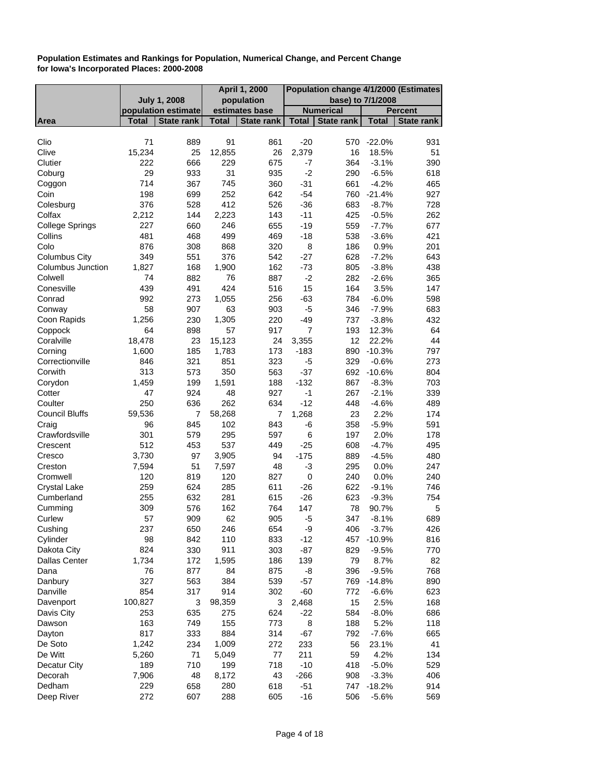|                          |              |                     | April 1, 2000 |                   | Population change 4/1/2000 (Estimates |                   |              |                   |
|--------------------------|--------------|---------------------|---------------|-------------------|---------------------------------------|-------------------|--------------|-------------------|
|                          |              | <b>July 1, 2008</b> |               | population        |                                       | base) to 7/1/2008 |              |                   |
|                          |              | population estimate |               | estimates base    |                                       | <b>Numerical</b>  |              | <b>Percent</b>    |
| Area                     | <b>Total</b> | <b>State rank</b>   | Total         | <b>State rank</b> | <b>Total</b>                          | <b>State rank</b> | <b>Total</b> | <b>State rank</b> |
|                          |              |                     |               |                   |                                       |                   |              |                   |
| Clio                     | 71           | 889                 | 91            | 861               | $-20$                                 | 570               | $-22.0%$     | 931               |
| Clive                    | 15,234       | 25                  | 12,855        | 26                | 2,379                                 | 16                | 18.5%        | 51                |
| Clutier                  | 222          | 666                 | 229           | 675               | $-7$                                  | 364               | $-3.1%$      | 390               |
| Coburg                   | 29           | 933                 | 31            | 935               | $-2$                                  | 290               | $-6.5%$      | 618               |
| Coggon                   | 714          | 367                 | 745           | 360               | $-31$                                 | 661               | $-4.2%$      | 465               |
| Coin                     | 198          | 699                 | 252           | 642               | $-54$                                 | 760               | $-21.4%$     | 927               |
| Colesburg                | 376          | 528                 | 412           | 526               | $-36$                                 | 683               | $-8.7%$      | 728               |
| Colfax                   | 2,212        | 144                 | 2,223         | 143               | $-11$                                 | 425               | $-0.5%$      | 262               |
| <b>College Springs</b>   | 227          | 660                 | 246           | 655               | $-19$                                 | 559               | $-7.7%$      | 677               |
| Collins                  | 481          | 468                 | 499           | 469               | $-18$                                 | 538               | $-3.6%$      | 421               |
| Colo                     | 876          | 308                 | 868           | 320               | 8                                     | 186               | 0.9%         | 201               |
| <b>Columbus City</b>     | 349          | 551                 | 376           | 542               | $-27$                                 | 628               | $-7.2%$      | 643               |
| <b>Columbus Junction</b> | 1,827        | 168                 | 1,900         | 162               | $-73$                                 | 805               | $-3.8%$      | 438               |
| Colwell                  | 74           | 882                 | 76            | 887               | $-2$                                  | 282               | $-2.6%$      | 365               |
| Conesville               | 439          | 491                 | 424           | 516               | 15                                    | 164               | 3.5%         | 147               |
| Conrad                   | 992          | 273                 | 1,055         | 256               | $-63$                                 | 784               | $-6.0%$      | 598               |
| Conway                   | 58           | 907                 | 63            | 903               | -5                                    | 346               | $-7.9%$      | 683               |
| Coon Rapids              | 1,256        | 230                 | 1,305         | 220               | $-49$                                 | 737               | $-3.8%$      | 432               |
| Coppock                  | 64           | 898                 | 57            | 917               | $\overline{7}$                        | 193               | 12.3%        | 64                |
| Coralville               | 18,478       | 23                  | 15,123        | 24                | 3,355                                 | 12                | 22.2%        | 44                |
| Corning                  | 1,600        | 185                 | 1,783         | 173               | $-183$                                | 890               | $-10.3%$     | 797               |
| Correctionville          | 846          | 321                 | 851           | 323               | -5                                    | 329               | $-0.6%$      | 273               |
| Corwith                  | 313          | 573                 | 350           | 563               | $-37$                                 |                   | 692 -10.6%   | 804               |
| Corydon                  | 1,459        | 199                 | 1,591         | 188               | $-132$                                | 867               | $-8.3%$      | 703               |
| Cotter                   | 47           | 924                 | 48            | 927               | $-1$                                  | 267               | $-2.1%$      | 339               |
| Coulter                  | 250          | 636                 | 262           | 634               | $-12$                                 | 448               | $-4.6%$      | 489               |
| <b>Council Bluffs</b>    | 59,536       | 7                   | 58,268        | 7                 | 1,268                                 | 23                | 2.2%         | 174               |
| Craig                    | 96           | 845                 | 102           | 843               | -6                                    | 358               | $-5.9%$      | 591               |
| Crawfordsville           | 301          | 579                 | 295           | 597               | 6                                     | 197               | 2.0%         | 178               |
| Crescent                 | 512          | 453                 | 537           | 449               | $-25$                                 | 608               | $-4.7%$      | 495               |
| Cresco                   | 3,730        | 97                  | 3,905         | 94                | $-175$                                | 889               | $-4.5%$      | 480               |
| Creston                  | 7,594        | 51                  | 7,597         | 48                | $-3$                                  | 295               | 0.0%         | 247               |
| Cromwell                 | 120          | 819                 | 120           | 827               | $\mathbf 0$                           | 240               | 0.0%         | 240               |
| <b>Crystal Lake</b>      | 259          | 624                 | 285           | 611               | $-26$                                 | 622               | $-9.1%$      | 746               |
| Cumberland               | 255          | 632                 | 281           | 615               | $-26$                                 | 623               | $-9.3%$      | 754               |
| Cumming                  | 309          | 576                 | 162           | 764               | 147                                   | 78                | 90.7%        | 5                 |
| Curlew                   | 57           | 909                 | 62            | 905               | -5                                    | 347               | $-8.1%$      | 689               |
| Cushing                  | 237          | 650                 | 246           | 654               | -9                                    | 406               | $-3.7%$      | 426               |
| Cylinder                 | 98           | 842                 | 110           | 833               | $-12$                                 | 457               | $-10.9%$     | 816               |
| Dakota City              | 824          | 330                 | 911           | 303               | $-87$                                 | 829               | $-9.5%$      | 770               |
| <b>Dallas Center</b>     | 1,734        | 172                 | 1,595         | 186               | 139                                   | 79                | 8.7%         | 82                |
| Dana                     | 76           | 877                 | 84            | 875               | -8                                    | 396               | $-9.5%$      | 768               |
|                          | 327          |                     | 384           |                   |                                       | 769               | $-14.8%$     |                   |
| Danbury                  |              | 563                 |               | 539               | $-57$                                 |                   |              | 890               |
| Danville                 | 854          | 317                 | 914           | 302               | $-60$                                 | 772               | $-6.6%$      | 623               |
| Davenport                | 100,827      | 3                   | 98,359        | 3                 | 2,468                                 | 15                | 2.5%         | 168               |
| Davis City               | 253          | 635                 | 275           | 624               | $-22$                                 | 584               | $-8.0%$      | 686               |
| Dawson                   | 163          | 749                 | 155           | 773               | 8                                     | 188               | 5.2%         | 118               |
| Dayton                   | 817          | 333                 | 884           | 314               | $-67$                                 | 792               | $-7.6%$      | 665               |
| De Soto                  | 1,242        | 234                 | 1,009         | 272               | 233                                   | 56                | 23.1%        | 41                |
| De Witt                  | 5,260        | 71                  | 5,049         | 77                | 211                                   | 59                | 4.2%         | 134               |
| Decatur City             | 189          | 710                 | 199           | 718               | $-10$                                 | 418               | $-5.0%$      | 529               |
| Decorah                  | 7,906        | 48                  | 8,172         | 43                | $-266$                                | 908               | $-3.3%$      | 406               |
| Dedham                   | 229          | 658                 | 280           | 618               | $-51$                                 | 747               | $-18.2%$     | 914               |
| Deep River               | 272          | 607                 | 288           | 605               | $-16$                                 | 506               | $-5.6%$      | 569               |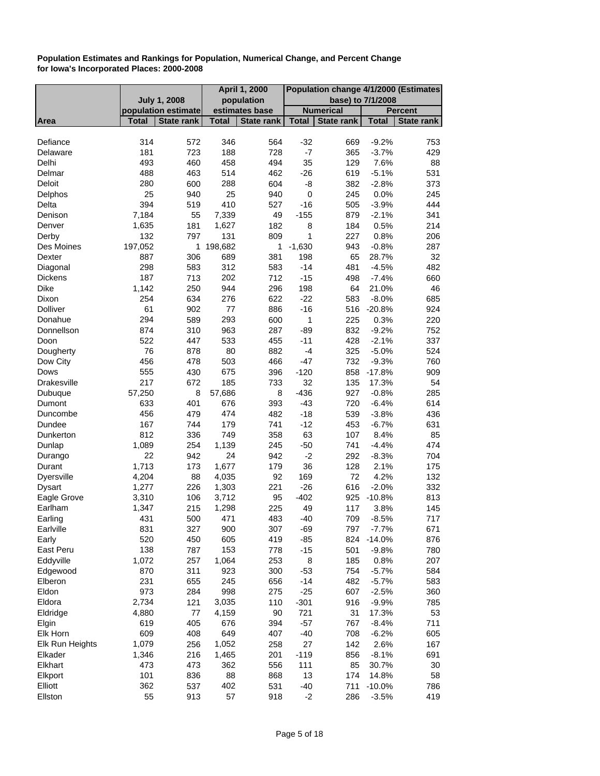|                    |              |                     |              | <b>April 1, 2000</b> | Population change 4/1/2000 (Estimates |                   |              |                |
|--------------------|--------------|---------------------|--------------|----------------------|---------------------------------------|-------------------|--------------|----------------|
|                    |              | <b>July 1, 2008</b> |              | population           |                                       | base) to 7/1/2008 |              |                |
|                    |              | population estimate |              | estimates base       |                                       | <b>Numerical</b>  |              | <b>Percent</b> |
| Area               | <b>Total</b> | <b>State rank</b>   | <b>Total</b> | <b>State rank</b>    | <b>Total</b>                          | <b>State rank</b> | <b>Total</b> | State rank     |
|                    |              |                     |              |                      |                                       |                   |              |                |
| Defiance           | 314          | 572                 | 346          | 564                  | $-32$                                 | 669               | $-9.2%$      | 753            |
| Delaware           | 181          | 723                 | 188          | 728                  | $-7$                                  | 365               | $-3.7%$      | 429            |
| Delhi              | 493          | 460                 | 458          | 494                  | 35                                    | 129               | 7.6%         | 88             |
| Delmar             | 488          | 463                 | 514          | 462                  | $-26$                                 | 619               | $-5.1%$      | 531            |
| <b>Deloit</b>      | 280          | 600                 | 288          | 604                  | -8                                    | 382               | $-2.8%$      | 373            |
| Delphos            | 25           | 940                 | 25           | 940                  | $\boldsymbol{0}$                      | 245               | 0.0%         | 245            |
| Delta              | 394          | 519                 | 410          | 527                  | $-16$                                 | 505               | $-3.9%$      | 444            |
| Denison            | 7,184        | 55                  | 7,339        | 49                   | $-155$                                | 879               | $-2.1%$      | 341            |
| Denver             | 1,635        | 181                 | 1,627        | 182                  | 8                                     | 184               | 0.5%         | 214            |
| Derby              | 132          | 797                 | 131          | 809                  | $\mathbf{1}$                          | 227               | 0.8%         | 206            |
| Des Moines         | 197,052      | 1                   | 198,682      | 1                    | $-1,630$                              | 943               | $-0.8%$      | 287            |
| Dexter             | 887          | 306                 | 689          | 381                  | 198                                   | 65                | 28.7%        | 32             |
| Diagonal           | 298          | 583                 | 312          | 583                  | $-14$                                 | 481               | $-4.5%$      | 482            |
| <b>Dickens</b>     | 187          | 713                 | 202          | 712                  | $-15$                                 | 498               | $-7.4%$      | 660            |
| <b>Dike</b>        | 1,142        | 250                 | 944          | 296                  | 198                                   | 64                | 21.0%        | 46             |
| Dixon              | 254          | 634                 | 276          | 622                  | $-22$                                 | 583               | $-8.0%$      | 685            |
| <b>Dolliver</b>    | 61           | 902                 | 77           | 886                  | $-16$                                 | 516               | $-20.8%$     | 924            |
| Donahue            | 294          | 589                 | 293          | 600                  | 1                                     | 225               | 0.3%         | 220            |
| Donnellson         | 874          | 310                 | 963          | 287                  | $-89$                                 | 832               | $-9.2%$      | 752            |
| Doon               | 522          | 447                 | 533          | 455                  | $-11$                                 | 428               | $-2.1%$      | 337            |
| Dougherty          | 76           | 878                 | 80           | 882                  | $-4$                                  | 325               | $-5.0%$      | 524            |
| Dow City           | 456          | 478                 | 503          | 466                  | $-47$                                 | 732               | $-9.3%$      | 760            |
| Dows               | 555          | 430                 | 675          | 396                  | $-120$                                | 858               | $-17.8%$     | 909            |
| <b>Drakesville</b> | 217          | 672                 | 185          | 733                  | 32                                    | 135               | 17.3%        | 54             |
| Dubuque            | 57,250       | 8                   | 57,686       | 8                    | $-436$                                | 927               | $-0.8%$      | 285            |
| Dumont             | 633          | 401                 | 676          | 393                  | $-43$                                 | 720               | $-6.4%$      | 614            |
| Duncombe           | 456          | 479                 | 474          | 482                  | $-18$                                 | 539               | $-3.8%$      | 436            |
| Dundee             | 167          | 744                 | 179          | 741                  | $-12$                                 | 453               | $-6.7%$      | 631            |
| Dunkerton          | 812          | 336                 | 749          | 358                  | 63                                    | 107               | 8.4%         | 85             |
| Dunlap             | 1,089        | 254                 | 1,139        | 245                  | $-50$                                 | 741               | $-4.4%$      | 474            |
| Durango            | 22           | 942                 | 24           | 942                  | $-2$                                  | 292               | $-8.3%$      | 704            |
| Durant             | 1,713        | 173                 | 1,677        | 179                  | 36                                    | 128               | 2.1%         | 175            |
| <b>Dyersville</b>  | 4,204        | 88                  | 4,035        | 92                   | 169                                   | 72                | 4.2%         | 132            |
| Dysart             | 1,277        | 226                 | 1,303        | 221                  | $-26$                                 | 616               | $-2.0%$      | 332            |
| Eagle Grove        | 3,310        | 106                 | 3,712        | 95                   | $-402$                                | 925               | $-10.8%$     | 813            |
| Earlham            | 1,347        | 215                 | 1,298        | 225                  | 49                                    | 117               | 3.8%         | 145            |
| Earling            | 431          | 500                 | 471          | 483                  | $-40$                                 | 709               | $-8.5%$      | 717            |
| Earlville          | 831          | 327                 | 900          | 307                  | $-69$                                 | 797               | $-7.7%$      | 671            |
| Early              | 520          | 450                 | 605          | 419                  | $-85$                                 | 824               | $-14.0%$     | 876            |
| East Peru          | 138          | 787                 | 153          | 778                  | $-15$                                 | 501               | $-9.8%$      | 780            |
| Eddyville          | 1,072        | 257                 | 1,064        | 253                  | 8                                     | 185               | 0.8%         | 207            |
| Edgewood           | 870          | 311                 | 923          | 300                  | $-53$                                 | 754               | $-5.7%$      | 584            |
| Elberon            | 231          | 655                 | 245          | 656                  | $-14$                                 | 482               | $-5.7%$      | 583            |
| Eldon              | 973          | 284                 | 998          | 275                  | $-25$                                 | 607               | $-2.5%$      | 360            |
| Eldora             | 2,734        | 121                 | 3,035        | 110                  | $-301$                                | 916               | $-9.9%$      | 785            |
| Eldridge           | 4,880        | 77                  | 4,159        | 90                   | 721                                   | 31                | 17.3%        | 53             |
| Elgin              | 619          | 405                 | 676          | 394                  | $-57$                                 | 767               | $-8.4%$      | 711            |
| Elk Horn           | 609          | 408                 | 649          | 407                  | $-40$                                 | 708               | $-6.2%$      | 605            |
| Elk Run Heights    | 1,079        | 256                 | 1,052        | 258                  | 27                                    | 142               | 2.6%         | 167            |
| Elkader            | 1,346        | 216                 | 1,465        | 201                  | $-119$                                | 856               | $-8.1%$      | 691            |
| Elkhart            | 473          | 473                 | 362          | 556                  | 111                                   | 85                | 30.7%        | 30             |
| Elkport            | 101          | 836                 | 88           | 868                  | 13                                    | 174               | 14.8%        | 58             |
| Elliott            | 362          | 537                 | 402          | 531                  | $-40$                                 | 711               | $-10.0%$     | 786            |
| Ellston            | 55           | 913                 | 57           | 918                  | $-2$                                  | 286               | $-3.5%$      | 419            |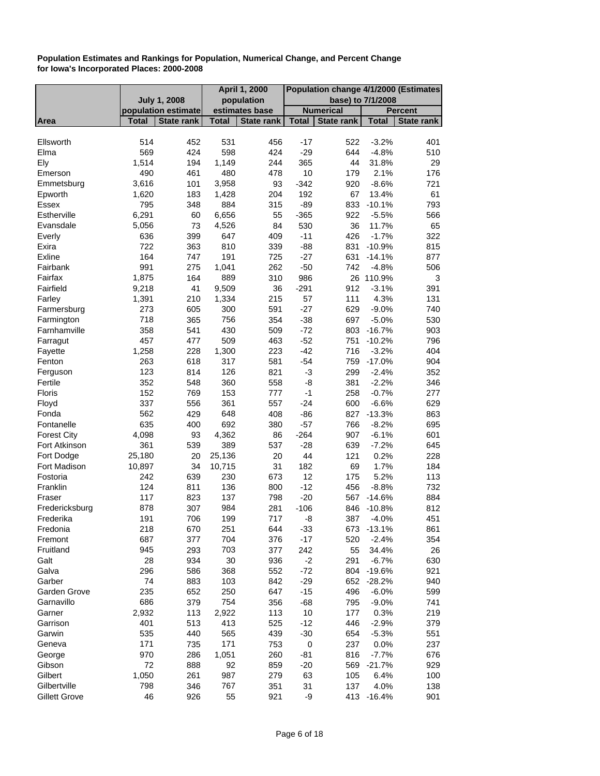|                      |                     |                     |              | <b>April 1, 2000</b> | Population change 4/1/2000 (Estimates |                   |                   |                |
|----------------------|---------------------|---------------------|--------------|----------------------|---------------------------------------|-------------------|-------------------|----------------|
|                      | <b>July 1, 2008</b> |                     |              | population           |                                       | base) to 7/1/2008 |                   |                |
|                      |                     | population estimate |              | estimates base       |                                       | <b>Numerical</b>  |                   | <b>Percent</b> |
| Area                 | <b>Total</b>        | <b>State rank</b>   | <b>Total</b> | <b>State rank</b>    | <b>Total</b>                          | <b>State rank</b> | <b>Total</b>      | State rank     |
| Ellsworth            | 514                 | 452                 | 531          | 456                  | $-17$                                 | 522               | $-3.2%$           | 401            |
|                      |                     |                     |              |                      |                                       |                   |                   |                |
| Elma<br>Ely          | 569<br>1,514        | 424<br>194          | 598<br>1,149 | 424<br>244           | $-29$<br>365                          | 644<br>44         | $-4.8%$<br>31.8%  | 510<br>29      |
|                      |                     |                     |              |                      |                                       |                   |                   |                |
| Emerson              | 490                 | 461                 | 480          | 478<br>93            | 10                                    | 179<br>920        | 2.1%              | 176<br>721     |
| Emmetsburg           | 3,616               | 101                 | 3,958        |                      | $-342$                                |                   | $-8.6%$           |                |
| Epworth              | 1,620               | 183                 | 1,428        | 204                  | 192                                   | 67                | 13.4%<br>$-10.1%$ | 61             |
| <b>Essex</b>         | 795                 | 348                 | 884          | 315                  | $-89$                                 | 833               |                   | 793            |
| Estherville          | 6,291               | 60                  | 6,656        | 55                   | $-365$                                | 922               | $-5.5%$           | 566            |
| Evansdale            | 5,056               | 73                  | 4,526        | 84                   | 530                                   | 36                | 11.7%             | 65             |
| Everly               | 636                 | 399                 | 647          | 409                  | $-11$                                 | 426               | $-1.7%$           | 322            |
| Exira                | 722                 | 363                 | 810          | 339                  | $-88$                                 | 831               | $-10.9%$          | 815            |
| Exline               | 164                 | 747                 | 191          | 725                  | $-27$                                 | 631               | $-14.1%$          | 877            |
| Fairbank             | 991                 | 275                 | 1,041        | 262                  | $-50$                                 | 742               | $-4.8%$           | 506            |
| Fairfax              | 1,875               | 164                 | 889          | 310                  | 986                                   |                   | 26 110.9%         | 3              |
| Fairfield            | 9,218               | 41                  | 9,509        | 36                   | $-291$                                | 912               | $-3.1%$           | 391            |
| Farley               | 1,391               | 210                 | 1,334        | 215                  | 57                                    | 111               | 4.3%              | 131            |
| Farmersburg          | 273                 | 605                 | 300          | 591                  | $-27$                                 | 629               | $-9.0%$           | 740            |
| Farmington           | 718                 | 365                 | 756          | 354                  | $-38$                                 | 697               | $-5.0%$           | 530            |
| Farnhamville         | 358                 | 541                 | 430          | 509                  | $-72$                                 |                   | 803 -16.7%        | 903            |
| Farragut             | 457                 | 477                 | 509          | 463                  | $-52$                                 | 751               | $-10.2%$          | 796            |
| Fayette              | 1,258               | 228                 | 1,300        | 223                  | $-42$                                 | 716               | $-3.2%$           | 404            |
| Fenton               | 263                 | 618                 | 317          | 581                  | $-54$                                 | 759               | $-17.0%$          | 904            |
| Ferguson             | 123                 | 814                 | 126          | 821                  | $-3$                                  | 299               | $-2.4%$           | 352            |
| Fertile              | 352                 | 548                 | 360          | 558                  | -8                                    | 381               | $-2.2%$           | 346            |
| Floris               | 152                 | 769                 | 153          | 777                  | $-1$                                  | 258               | $-0.7%$           | 277            |
| Floyd                | 337                 | 556                 | 361          | 557                  | $-24$                                 | 600               | $-6.6%$           | 629            |
| Fonda                | 562                 | 429                 | 648          | 408                  | $-86$                                 | 827               | $-13.3%$          | 863            |
| Fontanelle           | 635                 | 400                 | 692          | 380                  | $-57$                                 | 766               | $-8.2%$           | 695            |
| <b>Forest City</b>   | 4,098               | 93                  | 4,362        | 86                   | $-264$                                | 907               | $-6.1%$           | 601            |
| Fort Atkinson        | 361                 | 539                 | 389          | 537                  | $-28$                                 | 639               | $-7.2%$           | 645            |
| Fort Dodge           | 25,180              | 20                  | 25,136       | 20                   | 44                                    | 121               | 0.2%              | 228            |
| Fort Madison         | 10,897              | 34                  | 10,715       | 31                   | 182                                   | 69                | 1.7%              | 184            |
| Fostoria             | 242                 | 639                 | 230          | 673                  | 12                                    | 175               | 5.2%              | 113            |
| Franklin             | 124                 | 811                 | 136          | 800                  | $-12$                                 | 456               | $-8.8%$           | 732            |
| Fraser               | 117                 | 823                 | 137          | 798                  | $-20$                                 | 567               | $-14.6%$          | 884            |
| Fredericksburg       | 878                 | 307                 | 984          | 281                  | $-106$                                | 846               | $-10.8%$          | 812            |
| Frederika            | 191                 | 706                 | 199          | 717                  | -8                                    | 387               | $-4.0%$           | 451            |
| Fredonia             | 218                 | 670                 | 251          | 644                  | $-33$                                 |                   | 673 -13.1%        | 861            |
| Fremont              | 687                 | 377                 | 704          | 376                  | $-17$                                 | 520               | $-2.4%$           | 354            |
| Fruitland            | 945                 | 293                 | 703          | 377                  | 242                                   | 55                | 34.4%             | 26             |
| Galt                 | 28                  | 934                 | $30\,$       | 936                  | $-2$                                  | 291               | $-6.7%$           | 630            |
| Galva                | 296                 | 586                 | 368          | 552                  | $-72$                                 |                   | 804 -19.6%        | 921            |
| Garber               | 74                  | 883                 | 103          | 842                  | $-29$                                 |                   | 652 -28.2%        | 940            |
| Garden Grove         | 235                 | 652                 | 250          | 647                  | $-15$                                 | 496               | $-6.0%$           | 599            |
| Garnavillo           | 686                 | 379                 | 754          | 356                  | $-68$                                 | 795               | $-9.0%$           | 741            |
| Garner               | 2,932               | 113                 | 2,922        | 113                  | 10                                    | 177               | 0.3%              | 219            |
| Garrison             | 401                 | 513                 | 413          | 525                  | $-12$                                 | 446               | $-2.9%$           | 379            |
| Garwin               | 535                 | 440                 | 565          | 439                  | $-30$                                 | 654               | $-5.3%$           | 551            |
| Geneva               | 171                 | 735                 | 171          | 753                  | 0                                     | 237               | 0.0%              | 237            |
| George               | 970                 | 286                 | 1,051        | 260                  | $-81$                                 | 816               | $-7.7%$           | 676            |
| Gibson               | 72                  | 888                 | 92           | 859                  | $-20$                                 |                   | 569 -21.7%        | 929            |
| Gilbert              | 1,050               | 261                 | 987          | 279                  | 63                                    | 105               | 6.4%              | 100            |
| Gilbertville         | 798                 | 346                 | 767          | 351                  | 31                                    | 137               | 4.0%              | 138            |
| <b>Gillett Grove</b> | 46                  | 926                 | 55           | 921                  | -9                                    |                   | 413 -16.4%        | 901            |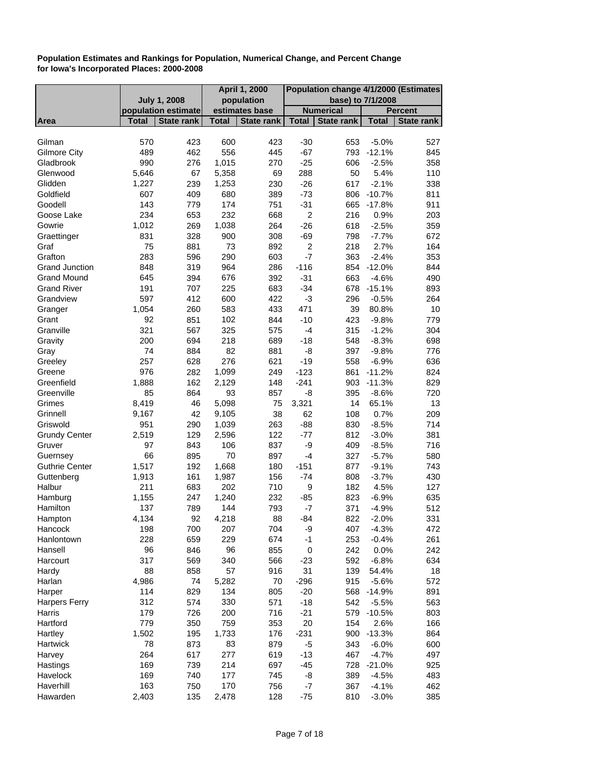|                       |                     |                   | <b>April 1, 2000</b> |                   | Population change 4/1/2000 (Estimates |                   |              |                |
|-----------------------|---------------------|-------------------|----------------------|-------------------|---------------------------------------|-------------------|--------------|----------------|
|                       | <b>July 1, 2008</b> |                   |                      | population        |                                       | base) to 7/1/2008 |              |                |
|                       | population estimate |                   |                      | estimates base    |                                       | <b>Numerical</b>  |              | <b>Percent</b> |
| Area                  | <b>Total</b>        | <b>State rank</b> | <b>Total</b>         | <b>State rank</b> | <b>Total</b>                          | <b>State rank</b> | <b>Total</b> | State rank     |
|                       |                     |                   |                      |                   |                                       |                   |              |                |
| Gilman                | 570                 | 423               | 600                  | 423               | $-30$                                 | 653               | $-5.0%$      | 527            |
| <b>Gilmore City</b>   | 489                 | 462               | 556                  | 445               | $-67$                                 | 793               | $-12.1%$     | 845            |
| Gladbrook             | 990                 | 276               | 1,015                | 270               | $-25$                                 | 606               | $-2.5%$      | 358            |
| Glenwood              | 5,646               | 67                | 5,358                | 69                | 288                                   | 50                | 5.4%         | 110            |
| Glidden               | 1,227               | 239               | 1,253                | 230               | $-26$                                 | 617               | $-2.1%$      | 338            |
| Goldfield             | 607                 | 409               | 680                  | 389               | $-73$                                 |                   | 806 -10.7%   | 811            |
| Goodell               | 143                 | 779               | 174                  | 751               | $-31$                                 |                   | 665 -17.8%   | 911            |
| Goose Lake            | 234                 | 653               | 232                  | 668               | $\boldsymbol{2}$                      | 216               | 0.9%         | 203            |
| Gowrie                | 1,012               | 269               | 1,038                | 264               | $-26$                                 | 618               | $-2.5%$      | 359            |
| Graettinger           | 831                 | 328               | 900                  | 308               | $-69$                                 | 798               | $-7.7%$      | 672            |
| Graf                  | 75                  | 881               | 73                   | 892               | $\overline{\mathbf{c}}$               | 218               | 2.7%         | 164            |
| Grafton               | 283                 | 596               | 290                  | 603               | $-7$                                  | 363               | $-2.4%$      | 353            |
| <b>Grand Junction</b> | 848                 | 319               | 964                  | 286               | $-116$                                | 854               | $-12.0%$     | 844            |
| <b>Grand Mound</b>    | 645                 | 394               | 676                  | 392               | $-31$                                 | 663               | $-4.6%$      | 490            |
| <b>Grand River</b>    | 191                 | 707               | 225                  | 683               | $-34$                                 |                   | 678 -15.1%   | 893            |
| Grandview             | 597                 | 412               | 600                  | 422               | -3                                    | 296               | $-0.5%$      | 264            |
| Granger               | 1,054               | 260               | 583                  | 433               | 471                                   | 39                | 80.8%        | 10             |
| Grant                 | 92                  | 851               | 102                  | 844               | $-10$                                 | 423               | $-9.8%$      | 779            |
| Granville             | 321                 | 567               | 325                  | 575               | $-4$                                  | 315               | $-1.2%$      | 304            |
| Gravity               | 200                 | 694               | 218                  | 689               | $-18$                                 | 548               | $-8.3%$      | 698            |
| Gray                  | 74                  | 884               | 82                   | 881               | -8                                    | 397               | $-9.8%$      | 776            |
| Greeley               | 257                 | 628               | 276                  | 621               | $-19$                                 | 558               | $-6.9%$      | 636            |
| Greene                | 976                 | 282               | 1,099                | 249               | $-123$                                | 861               | $-11.2%$     | 824            |
| Greenfield            | 1,888               | 162               | 2,129                | 148               | $-241$                                | 903               | $-11.3%$     | 829            |
| Greenville            | 85                  | 864               | 93                   | 857               | -8                                    | 395               | $-8.6%$      | 720            |
| Grimes                | 8,419               | 46                | 5,098                | 75                | 3,321                                 | 14                | 65.1%        | 13             |
| Grinnell              | 9,167               | 42                | 9,105                | 38                | 62                                    | 108               | 0.7%         | 209            |
| Griswold              | 951                 | 290               | 1,039                | 263               | $-88$                                 | 830               | $-8.5%$      | 714            |
| <b>Grundy Center</b>  | 2,519               | 129               | 2,596                | 122               | $-77$                                 | 812               | $-3.0%$      | 381            |
| Gruver                | 97                  | 843               | 106                  | 837               | -9                                    | 409               | $-8.5%$      | 716            |
| Guernsey              | 66                  | 895               | 70                   | 897               | $-4$                                  | 327               | $-5.7%$      | 580            |
| <b>Guthrie Center</b> | 1,517               | 192               | 1,668                | 180               | $-151$                                | 877               | $-9.1%$      | 743            |
| Guttenberg            | 1,913               | 161               | 1,987                | 156               | $-74$                                 | 808               | $-3.7%$      | 430            |
| Halbur                | 211                 | 683               | 202                  | 710               | 9                                     | 182               | 4.5%         | 127            |
| Hamburg               | 1,155               | 247               | 1,240                | 232               | $-85$                                 | 823               | $-6.9%$      | 635            |
| Hamilton              | 137                 | 789               | 144                  | 793               | -7                                    | 371               | $-4.9%$      | 512            |
| Hampton               | 4,134               | 92                | 4,218                | 88                | $-84$                                 | 822               | $-2.0%$      | 331            |
| Hancock               | 198                 | 700               | 207                  | 704               | -9                                    | 407               | $-4.3%$      | 472            |
| Hanlontown            | 228                 | 659               | 229                  | 674               | $-1$                                  | 253               | $-0.4%$      | 261            |
| Hansell               | 96                  | 846               | 96                   | 855               | $\pmb{0}$                             | 242               |              | 242            |
| Harcourt              | 317                 |                   | 340                  |                   |                                       |                   | 0.0%         |                |
|                       |                     | 569               |                      | 566               | $-23$                                 | 592               | $-6.8%$      | 634            |
| Hardy                 | 88                  | 858               | 57                   | 916               | 31                                    | 139               | 54.4%        | 18             |
| Harlan                | 4,986               | 74                | 5,282                | 70                | $-296$                                | 915               | $-5.6%$      | 572            |
| Harper                | 114                 | 829               | 134                  | 805               | $-20$                                 | 568               | $-14.9%$     | 891            |
| <b>Harpers Ferry</b>  | 312                 | 574               | 330                  | 571               | $-18$                                 | 542               | $-5.5%$      | 563            |
| Harris                | 179                 | 726               | 200                  | 716               | $-21$                                 | 579               | $-10.5%$     | 803            |
| Hartford              | 779                 | 350               | 759                  | 353               | 20                                    | 154               | 2.6%         | 166            |
| Hartley               | 1,502               | 195               | 1,733                | 176               | $-231$                                | 900               | $-13.3%$     | 864            |
| Hartwick              | 78                  | 873               | 83                   | 879               | -5                                    | 343               | $-6.0%$      | 600            |
| Harvey                | 264                 | 617               | 277                  | 619               | $-13$                                 | 467               | $-4.7%$      | 497            |
| Hastings              | 169                 | 739               | 214                  | 697               | $-45$                                 | 728               | $-21.0%$     | 925            |
| Havelock              | 169                 | 740               | 177                  | 745               | -8                                    | 389               | $-4.5%$      | 483            |
| Haverhill             | 163                 | 750               | 170                  | 756               | $-7$                                  | 367               | $-4.1%$      | 462            |
| Hawarden              | 2,403               | 135               | 2,478                | 128               | $-75$                                 | 810               | $-3.0%$      | 385            |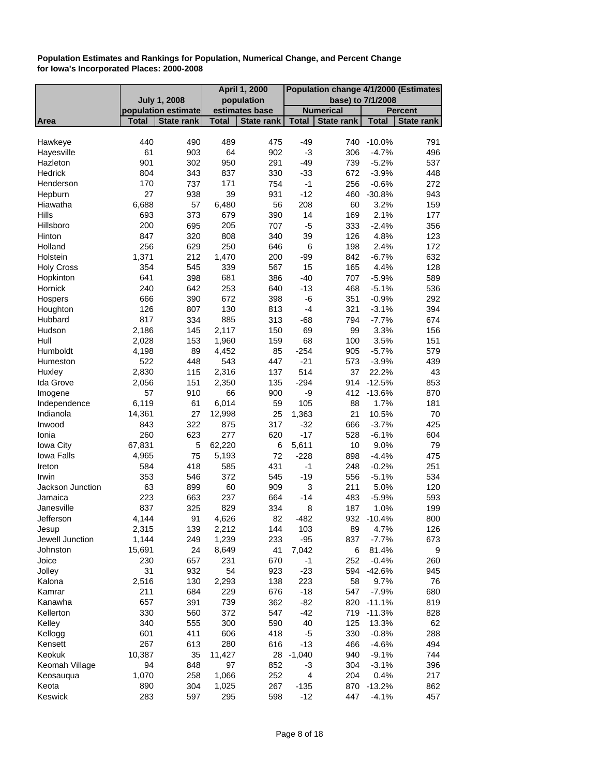|                     |                |                     |                | April 1, 2000     | Population change 4/1/2000 (Estimates |                   |                    |                   |
|---------------------|----------------|---------------------|----------------|-------------------|---------------------------------------|-------------------|--------------------|-------------------|
|                     |                | <b>July 1, 2008</b> |                | population        |                                       | base) to 7/1/2008 |                    |                   |
|                     |                | population estimate |                | estimates base    |                                       | <b>Numerical</b>  |                    | <b>Percent</b>    |
| Area                | <b>Total</b>   | <b>State rank</b>   | <b>Total</b>   | <b>State rank</b> | <b>Total</b>                          | State rank        | <b>Total</b>       | <b>State rank</b> |
|                     |                |                     |                |                   |                                       |                   |                    |                   |
| Hawkeye             | 440            | 490                 | 489            | 475               | $-49$                                 |                   | 740 -10.0%         | 791               |
| Hayesville          | 61             | 903                 | 64             | 902               | $-3$                                  | 306               | $-4.7%$            | 496               |
| Hazleton            | 901            | 302                 | 950            | 291               | $-49$                                 | 739               | $-5.2%$            | 537               |
| Hedrick             | 804            | 343                 | 837            | 330               | $-33$<br>$-1$                         | 672               | $-3.9%$            | 448               |
| Henderson           | 170            | 737                 | 171            | 754               |                                       | 256               | $-0.6%$            | 272               |
| Hepburn             | 27             | 938                 | 39             | 931               | $-12$                                 | 460               | $-30.8%$           | 943               |
| Hiawatha<br>Hills   | 6,688          | 57                  | 6,480          | 56                | 208                                   | 60                | 3.2%<br>2.1%       | 159               |
| Hillsboro           | 693<br>200     | 373                 | 679<br>205     | 390<br>707        | 14<br>$-5$                            | 169<br>333        |                    | 177               |
|                     |                | 695                 |                |                   |                                       |                   | $-2.4%$            | 356               |
| Hinton<br>Holland   | 847<br>256     | 320                 | 808<br>250     | 340               | 39                                    | 126<br>198        | 4.8%<br>2.4%       | 123<br>172        |
|                     |                | 629                 |                | 646               | 6                                     |                   |                    |                   |
| Holstein            | 1,371<br>354   | 212                 | 1,470          | 200               | $-99$                                 | 842               | $-6.7%$            | 632               |
| <b>Holy Cross</b>   |                | 545                 | 339<br>681     | 567               | 15                                    | 165               | 4.4%               | 128               |
| Hopkinton           | 641<br>240     | 398                 | 253            | 386<br>640        | $-40$                                 | 707<br>468        | $-5.9%$<br>$-5.1%$ | 589               |
| Hornick<br>Hospers  |                | 642                 | 672            |                   | $-13$                                 |                   |                    | 536               |
|                     | 666<br>126     | 390                 |                | 398               | $-6$<br>$-4$                          | 351               | $-0.9%$            | 292<br>394        |
| Houghton            | 817            | 807                 | 130<br>885     | 813               |                                       | 321               | $-3.1%$            |                   |
| Hubbard<br>Hudson   |                | 334                 |                | 313               | $-68$<br>69                           | 794<br>99         | $-7.7%$            | 674               |
| Hull                | 2,186<br>2,028 | 145                 | 2,117<br>1,960 | 150               | 68                                    |                   | 3.3%<br>3.5%       | 156<br>151        |
| Humboldt            | 4,198          | 153<br>89           | 4,452          | 159<br>85         | $-254$                                | 100<br>905        | $-5.7%$            | 579               |
| Humeston            | 522            | 448                 | 543            | 447               | $-21$                                 | 573               |                    |                   |
|                     |                |                     |                | 137               | 514                                   | 37                | $-3.9%$<br>22.2%   | 439<br>43         |
| Huxley<br>Ida Grove | 2,830<br>2,056 | 115                 | 2,316          | 135               | $-294$                                | 914               | $-12.5%$           |                   |
| Imogene             | 57             | 151<br>910          | 2,350<br>66    | 900               | -9                                    | 412               | $-13.6%$           | 853<br>870        |
| Independence        | 6,119          | 61                  | 6,014          | 59                | 105                                   | 88                | 1.7%               | 181               |
| Indianola           | 14,361         | 27                  | 12,998         | 25                | 1,363                                 | 21                | 10.5%              | 70                |
| Inwood              | 843            | 322                 | 875            | 317               | $-32$                                 | 666               | $-3.7%$            | 425               |
| Ionia               | 260            | 623                 | 277            | 620               | $-17$                                 | 528               | $-6.1%$            | 604               |
| <b>Iowa City</b>    | 67,831         | 5                   | 62,220         | 6                 | 5,611                                 | 10                | 9.0%               | 79                |
| <b>Iowa Falls</b>   | 4,965          | 75                  | 5,193          | 72                | $-228$                                | 898               | $-4.4%$            | 475               |
| Ireton              | 584            | 418                 | 585            | 431               | $-1$                                  | 248               | $-0.2%$            | 251               |
| Irwin               | 353            | 546                 | 372            | 545               | $-19$                                 | 556               | $-5.1%$            | 534               |
| Jackson Junction    | 63             | 899                 | 60             | 909               | 3                                     | 211               | 5.0%               | 120               |
| Jamaica             | 223            | 663                 | 237            | 664               | $-14$                                 | 483               | $-5.9%$            | 593               |
| Janesville          | 837            | 325                 | 829            | 334               | 8                                     | 187               | 1.0%               | 199               |
| Jefferson           | 4,144          | 91                  | 4,626          | 82                | $-482$                                | 932               | $-10.4%$           | 800               |
| Jesup               | 2,315          | 139                 | 2,212          | 144               | 103                                   | 89                | 4.7%               | 126               |
| Jewell Junction     | 1,144          | 249                 | 1,239          | 233               | $-95$                                 | 837               | $-7.7%$            | 673               |
| Johnston            | 15,691         | 24                  | 8,649          | 41                | 7,042                                 | 6                 | 81.4%              | 9                 |
| Joice               | 230            | 657                 | 231            | 670               | -1                                    | 252               | $-0.4%$            | 260               |
| Jolley              | 31             | 932                 | 54             | 923               | $-23$                                 |                   | 594 -42.6%         | 945               |
| Kalona              | 2,516          | 130                 | 2,293          | 138               | 223                                   | 58                | 9.7%               | 76                |
| Kamrar              | 211            | 684                 | 229            | 676               | $-18$                                 | 547               | $-7.9%$            | 680               |
| Kanawha             | 657            | 391                 | 739            | 362               | $-82$                                 | 820               | $-11.1%$           | 819               |
| Kellerton           | 330            | 560                 | 372            | 547               | $-42$                                 | 719               | -11.3%             | 828               |
| Kelley              | 340            | 555                 | 300            | 590               | 40                                    | 125               | 13.3%              | 62                |
| Kellogg             | 601            | 411                 | 606            | 418               | -5                                    | 330               | $-0.8%$            | 288               |
| Kensett             | 267            | 613                 | 280            | 616               | $-13$                                 | 466               | $-4.6%$            | 494               |
| Keokuk              | 10,387         | 35                  | 11,427         | 28                | $-1,040$                              | 940               | $-9.1%$            | 744               |
| Keomah Village      | 94             | 848                 | 97             | 852               | -3                                    | 304               | $-3.1%$            | 396               |
| Keosauqua           | 1,070          | 258                 | 1,066          | 252               | 4                                     | 204               | 0.4%               | 217               |
| Keota               | 890            | 304                 | 1,025          | 267               | $-135$                                | 870               | $-13.2%$           | 862               |
| Keswick             | 283            | 597                 | 295            | 598               | $-12$                                 | 447               | $-4.1%$            | 457               |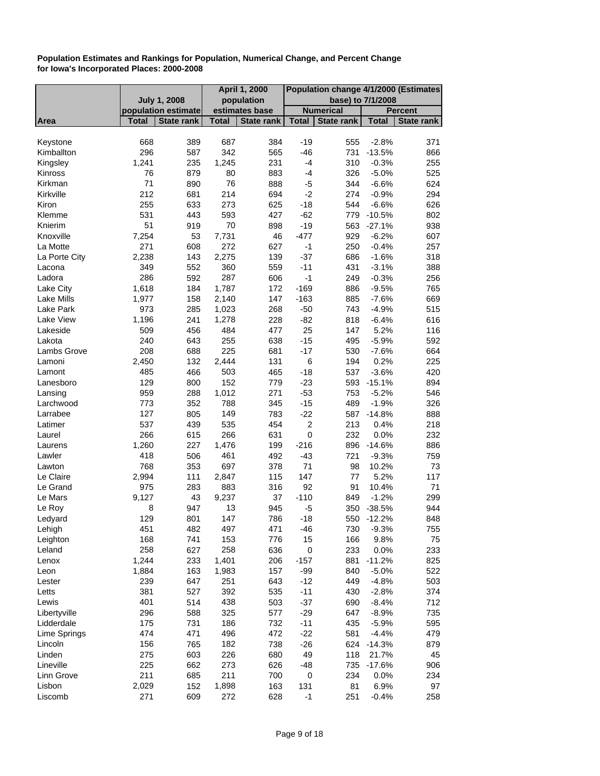|               |              |                     |              | <b>April 1, 2000</b> | Population change 4/1/2000 (Estimates |                   |              |                   |
|---------------|--------------|---------------------|--------------|----------------------|---------------------------------------|-------------------|--------------|-------------------|
|               |              | <b>July 1, 2008</b> |              | population           |                                       | base) to 7/1/2008 |              |                   |
|               |              | population estimate |              | estimates base       |                                       | <b>Numerical</b>  |              | <b>Percent</b>    |
| Area          | <b>Total</b> | <b>State rank</b>   | <b>Total</b> | <b>State rank</b>    | <b>Total</b>                          | <b>State rank</b> | <b>Total</b> | <b>State rank</b> |
|               |              |                     |              |                      |                                       |                   |              |                   |
| Keystone      | 668          | 389                 | 687          | 384                  | $-19$                                 | 555               | $-2.8%$      | 371               |
| Kimballton    | 296          | 587                 | 342          | 565                  | $-46$                                 | 731               | $-13.5%$     | 866               |
| Kingsley      | 1,241        | 235                 | 1,245        | 231                  | $-4$                                  | 310               | $-0.3%$      | 255               |
| Kinross       | 76           | 879                 | 80           | 883                  | $-4$                                  | 326               | $-5.0%$      | 525               |
| Kirkman       | 71           | 890                 | 76           | 888                  | -5                                    | 344               | $-6.6%$      | 624               |
| Kirkville     | 212          | 681                 | 214          | 694                  | $-2$                                  | 274               | $-0.9%$      | 294               |
| Kiron         | 255          | 633                 | 273          | 625                  | $-18$                                 | 544               | $-6.6%$      | 626               |
| Klemme        | 531          | 443                 | 593          | 427                  | $-62$                                 | 779               | $-10.5%$     | 802               |
| Knierim       | 51           | 919                 | 70           | 898                  | $-19$                                 | 563               | $-27.1%$     | 938               |
| Knoxville     | 7,254        | 53                  | 7,731        | 46                   | $-477$                                | 929               | $-6.2%$      | 607               |
| La Motte      | 271          | 608                 | 272          | 627                  | $-1$                                  | 250               | $-0.4%$      | 257               |
| La Porte City | 2,238        | 143                 | 2,275        | 139                  | $-37$                                 | 686               | $-1.6%$      | 318               |
| Lacona        | 349          | 552                 | 360          | 559                  | $-11$                                 | 431               | $-3.1%$      | 388               |
| Ladora        | 286          | 592                 | 287          | 606                  | $-1$                                  | 249               | $-0.3%$      | 256               |
| Lake City     | 1,618        | 184                 | 1,787        | 172                  | $-169$                                | 886               | $-9.5%$      | 765               |
| Lake Mills    | 1,977        | 158                 | 2,140        | 147                  | $-163$                                | 885               | $-7.6%$      | 669               |
| Lake Park     | 973          | 285                 | 1,023        | 268                  | $-50$                                 | 743               | $-4.9%$      | 515               |
| Lake View     | 1,196        | 241                 | 1,278        | 228                  | $-82$                                 | 818               | $-6.4%$      | 616               |
| Lakeside      | 509          | 456                 | 484          | 477                  | 25                                    | 147               | 5.2%         | 116               |
| Lakota        | 240          | 643                 | 255          | 638                  | $-15$                                 | 495               | $-5.9%$      | 592               |
| Lambs Grove   | 208          | 688                 | 225          | 681                  | $-17$                                 | 530               | $-7.6%$      | 664               |
| Lamoni        | 2,450        | 132                 | 2,444        | 131                  | 6                                     | 194               | 0.2%         | 225               |
| Lamont        | 485          | 466                 | 503          | 465                  | $-18$                                 | 537               | $-3.6%$      | 420               |
| Lanesboro     | 129          | 800                 | 152          | 779                  | $-23$                                 |                   | 593 -15.1%   | 894               |
| Lansing       | 959          | 288                 | 1,012        | 271                  | $-53$                                 | 753               | $-5.2%$      | 546               |
| Larchwood     | 773          | 352                 | 788          | 345                  | $-15$                                 | 489               | $-1.9%$      | 326               |
| Larrabee      | 127          | 805                 | 149          | 783                  | $-22$                                 |                   | 587 -14.8%   | 888               |
| Latimer       | 537          | 439                 | 535          | 454                  | $\overline{2}$                        | 213               | 0.4%         | 218               |
| Laurel        | 266          | 615                 | 266          | 631                  | $\pmb{0}$                             | 232               | 0.0%         | 232               |
| Laurens       | 1,260        | 227                 | 1,476        | 199                  | $-216$                                | 896               | $-14.6%$     | 886               |
| Lawler        | 418          | 506                 | 461          | 492                  | $-43$                                 | 721               | $-9.3%$      | 759               |
| Lawton        | 768          | 353                 | 697          | 378                  | 71                                    | 98                | 10.2%        | 73                |
| Le Claire     | 2,994        | 111                 | 2,847        | 115                  | 147                                   | 77                | 5.2%         | 117               |
| Le Grand      | 975          | 283                 | 883          | 316                  | 92                                    | 91                | 10.4%        | 71                |
| Le Mars       | 9,127        | 43                  | 9,237        | 37                   | $-110$                                | 849               | $-1.2%$      | 299               |
| Le Roy        | 8            | 947                 | 13           | 945                  | -5                                    | 350               | $-38.5%$     | 944               |
| Ledyard       | 129          | 801                 | 147          | 786                  | $-18$                                 | 550               | $-12.2%$     | 848               |
| Lehigh        | 451          | 482                 | 497          | 471                  | $-46$                                 | 730               | $-9.3%$      | 755               |
| Leighton      | 168          | 741                 | 153          | 776                  | 15                                    | 166               | 9.8%         | 75                |
| Leland        | 258          | 627                 | 258          | 636                  | 0                                     | 233               | 0.0%         | 233               |
| Lenox         | 1,244        | 233                 | 1,401        | 206                  | $-157$                                | 881               | $-11.2%$     | 825               |
| Leon          | 1,884        | 163                 | 1,983        | 157                  | $-99$                                 | 840               | $-5.0%$      | 522               |
| Lester        | 239          | 647                 | 251          | 643                  | $-12$                                 | 449               | $-4.8%$      | 503               |
| Letts         | 381          | 527                 | 392          | 535                  | $-11$                                 | 430               |              | 374               |
|               | 401          | 514                 | 438          |                      |                                       |                   | $-2.8%$      |                   |
| Lewis         | 296          |                     | 325          | 503                  | $-37$<br>$-29$                        | 690               | $-8.4%$      | 712               |
| Libertyville  |              | 588                 |              | 577                  |                                       | 647               | $-8.9%$      | 735               |
| Lidderdale    | 175          | 731                 | 186          | 732                  | $-11$                                 | 435               | $-5.9%$      | 595               |
| Lime Springs  | 474          | 471                 | 496          | 472                  | $-22$                                 | 581               | $-4.4%$      | 479               |
| Lincoln       | 156          | 765                 | 182          | 738                  | $-26$                                 | 624               | $-14.3%$     | 879               |
| Linden        | 275          | 603                 | 226          | 680                  | 49                                    | 118               | 21.7%        | 45                |
| Lineville     | 225          | 662                 | 273          | 626                  | $-48$                                 | 735               | $-17.6%$     | 906               |
| Linn Grove    | 211          | 685                 | 211          | 700                  | $\pmb{0}$                             | 234               | 0.0%         | 234               |
| Lisbon        | 2,029        | 152                 | 1,898        | 163                  | 131                                   | 81                | 6.9%         | 97                |
| Liscomb       | 271          | 609                 | 272          | 628                  | $-1$                                  | 251               | $-0.4%$      | 258               |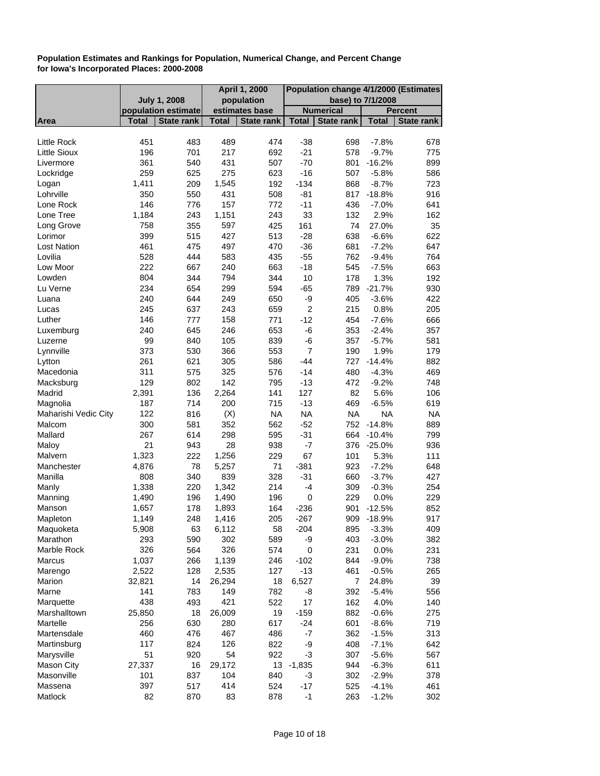|                      |              |                     |              | April 1, 2000     | Population change 4/1/2000 (Estimates |                   |                    |                   |
|----------------------|--------------|---------------------|--------------|-------------------|---------------------------------------|-------------------|--------------------|-------------------|
|                      |              | <b>July 1, 2008</b> |              | population        |                                       |                   | base) to 7/1/2008  |                   |
|                      |              | population estimate |              | estimates base    |                                       | <b>Numerical</b>  |                    | <b>Percent</b>    |
| Area                 | Total        | State rank          | <b>Total</b> | <b>State rank</b> | <b>Total</b>                          | <b>State rank</b> | <b>Total</b>       | <b>State rank</b> |
|                      |              |                     |              |                   |                                       |                   |                    |                   |
| Little Rock          | 451          | 483                 | 489          | 474               | $-38$                                 | 698               | $-7.8%$            | 678               |
| <b>Little Sioux</b>  | 196          | 701                 | 217          | 692               | $-21$                                 | 578               | $-9.7%$            | 775               |
| Livermore            | 361          | 540                 | 431          | 507               | $-70$                                 | 801               | $-16.2%$           | 899               |
| Lockridge<br>Logan   | 259<br>1,411 | 625<br>209          | 275<br>1,545 | 623<br>192        | $-16$<br>$-134$                       | 507<br>868        | $-5.8%$<br>$-8.7%$ | 586<br>723        |
| Lohrville            | 350          | 550                 | 431          | 508               | $-81$                                 |                   | 817 -18.8%         | 916               |
| Lone Rock            | 146          | 776                 | 157          | 772               | $-11$                                 | 436               | $-7.0%$            | 641               |
| Lone Tree            |              |                     |              | 243               | 33                                    | 132               |                    | 162               |
| Long Grove           | 1,184<br>758 | 243<br>355          | 1,151<br>597 | 425               | 161                                   | 74                | 2.9%<br>27.0%      | 35                |
| Lorimor              | 399          | 515                 | 427          | 513               | $-28$                                 | 638               | $-6.6%$            | 622               |
| <b>Lost Nation</b>   | 461          | 475                 | 497          | 470               | $-36$                                 | 681               | $-7.2%$            | 647               |
| Lovilia              | 528          | 444                 | 583          | 435               | $-55$                                 | 762               | $-9.4%$            | 764               |
| Low Moor             | 222          | 667                 | 240          | 663               | $-18$                                 | 545               | $-7.5%$            | 663               |
| Lowden               | 804          | 344                 | 794          | 344               | 10                                    | 178               | 1.3%               | 192               |
| Lu Verne             | 234          | 654                 | 299          | 594               | $-65$                                 | 789               | $-21.7%$           | 930               |
| Luana                | 240          | 644                 | 249          | 650               | -9                                    | 405               | $-3.6%$            | 422               |
| Lucas                | 245          | 637                 | 243          | 659               | $\overline{2}$                        | 215               | 0.8%               | 205               |
| Luther               | 146          | 777                 | 158          | 771               | $-12$                                 | 454               | $-7.6%$            | 666               |
| Luxemburg            | 240          | 645                 | 246          | 653               | -6                                    | 353               | $-2.4%$            | 357               |
| Luzerne              | 99           | 840                 | 105          | 839               | -6                                    | 357               | $-5.7%$            | 581               |
| Lynnville            | 373          | 530                 | 366          | 553               | $\overline{7}$                        | 190               | 1.9%               | 179               |
| Lytton               | 261          | 621                 | 305          | 586               | $-44$                                 | 727               | $-14.4%$           | 882               |
| Macedonia            | 311          | 575                 | 325          | 576               | $-14$                                 | 480               | $-4.3%$            | 469               |
| Macksburg            | 129          | 802                 | 142          | 795               | $-13$                                 | 472               | $-9.2%$            | 748               |
| Madrid               | 2,391        | 136                 | 2,264        | 141               | 127                                   | 82                | 5.6%               | 106               |
| Magnolia             | 187          | 714                 | 200          | 715               | $-13$                                 | 469               | $-6.5%$            | 619               |
| Maharishi Vedic City | 122          | 816                 | (X)          | <b>NA</b>         | <b>NA</b>                             | <b>NA</b>         | <b>NA</b>          | <b>NA</b>         |
| Malcom               | 300          | 581                 | 352          | 562               | $-52$                                 |                   | 752 -14.8%         | 889               |
| Mallard              | 267          | 614                 | 298          | 595               | $-31$                                 | 664               | $-10.4%$           | 799               |
| Maloy                | 21           | 943                 | 28           | 938               | $-7$                                  | 376               | $-25.0%$           | 936               |
| Malvern              | 1,323        | 222                 | 1,256        | 229               | 67                                    | 101               | 5.3%               | 111               |
| Manchester           | 4,876        | 78                  | 5,257        | 71                | $-381$                                | 923               | $-7.2%$            | 648               |
| Manilla              | 808          | 340                 | 839          | 328               | $-31$                                 | 660               | $-3.7%$            | 427               |
| Manly                | 1,338        | 220                 | 1,342        | 214               | $-4$                                  | 309               | $-0.3%$            | 254               |
| Manning              | 1,490        | 196                 | 1,490        | 196               | 0                                     | 229               | 0.0%               | 229               |
| Manson               | 1,657        | 178                 | 1,893        | 164               | $-236$                                | 901               | $-12.5%$           | 852               |
| Mapleton             | 1,149        | 248                 | 1,416        | 205               | $-267$                                | 909               | $-18.9%$           | 917               |
| Maquoketa            | 5,908        | 63                  | 6,112        | 58                | $-204$                                | 895               | $-3.3%$            | 409               |
| Marathon             | 293          | 590                 | 302          | 589               | -9                                    | 403               | $-3.0%$            | 382               |
| Marble Rock          | 326          | 564                 | 326          | 574               | 0                                     | 231               | 0.0%               | 231               |
| Marcus               | 1,037        | 266                 | 1,139        | 246               | $-102$                                | 844               | $-9.0%$            | 738               |
| Marengo              | 2,522        | 128                 | 2,535        | 127               | $-13$                                 | 461               | $-0.5%$            | 265               |
| Marion               | 32,821       | 14                  | 26,294       | 18                | 6,527                                 | 7                 | 24.8%              | 39                |
| Marne                | 141          | 783                 | 149          | 782               | -8                                    | 392               | $-5.4%$            | 556               |
| Marquette            | 438          | 493                 | 421          | 522               | 17                                    | 162               | 4.0%               | 140               |
| Marshalltown         | 25,850       | 18                  | 26,009       | 19                | $-159$                                | 882               | $-0.6%$            | 275               |
| Martelle             | 256          | 630                 | 280          | 617               | $-24$                                 | 601               | $-8.6%$            | 719               |
| Martensdale          | 460          | 476                 | 467          | 486               | $-7$                                  | 362               | $-1.5%$            | 313               |
| Martinsburg          | 117          | 824                 | 126          | 822               | -9                                    | 408               | $-7.1%$            | 642               |
| Marysville           | 51           | 920                 | 54           | 922               | $-3$                                  | 307               | $-5.6%$            | 567               |
| <b>Mason City</b>    | 27,337       | 16                  | 29,172       |                   | 13 -1,835                             | 944               | $-6.3%$            | 611               |
| Masonville           | 101          | 837                 | 104          | 840               | -3                                    | 302               | $-2.9%$            | 378               |
| Massena              | 397          | 517                 | 414          | 524               | $-17$                                 | 525               | $-4.1%$            | 461               |
| Matlock              | 82           | 870                 | 83           | 878               | $-1$                                  | 263               | $-1.2%$            | 302               |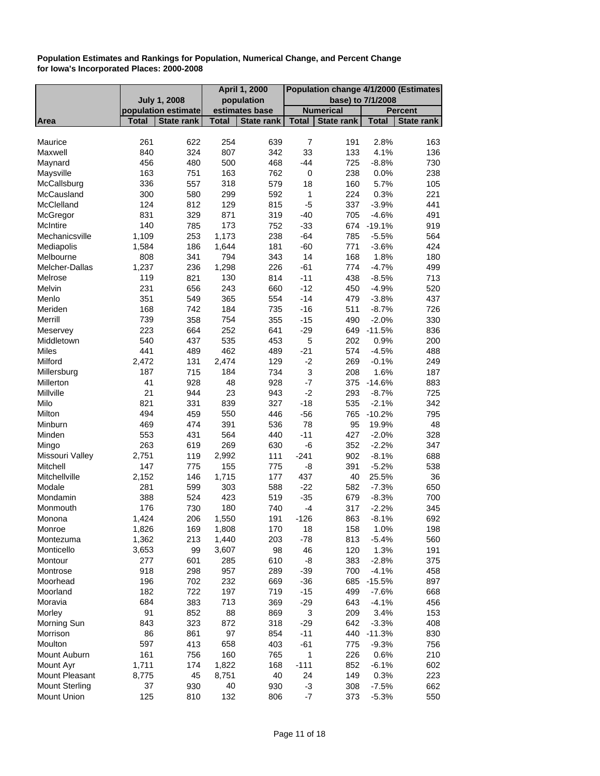|                       |                     |                   |              | <b>April 1, 2000</b> | Population change 4/1/2000 (Estimates |                   |              |                |
|-----------------------|---------------------|-------------------|--------------|----------------------|---------------------------------------|-------------------|--------------|----------------|
|                       | <b>July 1, 2008</b> |                   |              | population           |                                       | base) to 7/1/2008 |              |                |
|                       | population estimate |                   |              | estimates base       |                                       | <b>Numerical</b>  |              | <b>Percent</b> |
| <b>Area</b>           | <b>Total</b>        | <b>State rank</b> | <b>Total</b> | <b>State rank</b>    | <b>Total</b>                          | <b>State rank</b> | <b>Total</b> | State rank     |
|                       |                     |                   |              |                      |                                       |                   |              |                |
| Maurice               | 261                 | 622               | 254          | 639                  | $\overline{7}$                        | 191               | 2.8%         | 163            |
| Maxwell               | 840                 | 324               | 807          | 342                  | 33                                    | 133               | 4.1%         | 136            |
| Maynard               | 456                 | 480               | 500          | 468                  | $-44$                                 | 725               | $-8.8%$      | 730            |
| Maysville             | 163                 | 751               | 163          | 762                  | 0                                     | 238               | 0.0%         | 238            |
| McCallsburg           | 336                 | 557               | 318          | 579                  | 18                                    | 160               | 5.7%         | 105            |
| McCausland            | 300                 | 580               | 299          | 592                  | 1                                     | 224               | 0.3%         | 221            |
| McClelland            | 124                 | 812               | 129          | 815                  | $-5$                                  | 337               | $-3.9%$      | 441            |
| McGregor              | 831                 | 329               | 871          | 319                  | $-40$                                 | 705               | $-4.6%$      | 491            |
| McIntire              | 140                 | 785               | 173          | 752                  | $-33$                                 |                   | 674 -19.1%   | 919            |
| Mechanicsville        | 1,109               | 253               | 1,173        | 238                  | $-64$                                 | 785               | $-5.5%$      | 564            |
| Mediapolis            | 1,584               | 186               | 1,644        | 181                  | $-60$                                 | 771               | $-3.6%$      | 424            |
| Melbourne             | 808                 | 341               | 794          | 343                  | 14                                    | 168               | 1.8%         | 180            |
| Melcher-Dallas        | 1,237               | 236               | 1,298        | 226                  | $-61$                                 | 774               | $-4.7%$      | 499            |
| Melrose               | 119                 | 821               | 130          | 814                  | $-11$                                 | 438               | $-8.5%$      | 713            |
| Melvin                | 231                 | 656               | 243          | 660                  | $-12$                                 | 450               | $-4.9%$      | 520            |
| Menlo                 | 351                 | 549               | 365          | 554                  | $-14$                                 | 479               | $-3.8%$      | 437            |
| Meriden               | 168                 | 742               | 184          | 735                  | $-16$                                 | 511               | $-8.7%$      | 726            |
| Merrill               | 739                 | 358               | 754          | 355                  | $-15$                                 | 490               | $-2.0%$      | 330            |
| Meservey              | 223                 | 664               | 252          | 641                  | $-29$                                 |                   | 649 -11.5%   | 836            |
| Middletown            | 540                 | 437               | 535          | 453                  | 5                                     | 202               | 0.9%         | 200            |
| <b>Miles</b>          | 441                 | 489               | 462          | 489                  | $-21$                                 | 574               | $-4.5%$      | 488            |
| Milford               | 2,472               | 131               | 2,474        | 129                  | $-2$                                  | 269               | $-0.1%$      | 249            |
| Millersburg           | 187                 | 715               | 184          | 734                  | 3                                     | 208               | 1.6%         | 187            |
| Millerton             | 41                  | 928               | 48           | 928                  | $-7$                                  |                   | 375 -14.6%   | 883            |
| Millville             | 21                  | 944               | 23           | 943                  | $-2$                                  | 293               | $-8.7%$      | 725            |
| Milo                  | 821                 | 331               | 839          | 327                  | $-18$                                 | 535               | $-2.1%$      | 342            |
| Milton                | 494                 | 459               | 550          | 446                  | $-56$                                 | 765               | $-10.2%$     | 795            |
| Minburn               | 469                 | 474               | 391          | 536                  | 78                                    | 95                | 19.9%        | 48             |
| Minden                | 553                 | 431               | 564          | 440                  | $-11$                                 | 427               | $-2.0%$      | 328            |
| Mingo                 | 263                 | 619               | 269          | 630                  | $-6$                                  | 352               | $-2.2%$      | 347            |
| Missouri Valley       | 2,751               | 119               | 2,992        | 111                  | $-241$                                | 902               | $-8.1%$      | 688            |
| Mitchell              | 147                 | 775               | 155          | 775                  | -8                                    | 391               | $-5.2%$      | 538            |
| Mitchellville         | 2,152               | 146               | 1,715        | 177                  | 437                                   | 40                | 25.5%        | 36             |
| Modale                | 281                 | 599               | 303          | 588                  | $-22$                                 | 582               | $-7.3%$      | 650            |
| Mondamin              | 388                 | 524               | 423          | 519                  | $-35$                                 | 679               | $-8.3%$      | 700            |
| Monmouth              | 176                 | 730               | 180          | 740                  | $-4$                                  | 317               | $-2.2%$      | 345            |
|                       | 1,424               | 206               | 1,550        | 191                  | $-126$                                | 863               | $-8.1%$      | 692            |
| Monona                |                     |                   |              |                      |                                       |                   |              |                |
| Monroe                | 1,826               | 169               | 1,808        | 170                  | 18                                    | 158               | 1.0%         | 198            |
| Montezuma             | 1,362               | 213               | 1,440        | 203                  | $-78$                                 | 813               | $-5.4%$      | 560            |
| Monticello            | 3,653               | 99                | 3,607        | 98                   | 46                                    | 120               | 1.3%         | 191            |
| Montour               | 277                 | 601               | 285          | 610                  | -8                                    | 383               | $-2.8%$      | 375            |
| Montrose              | 918                 | 298               | 957          | 289                  | $-39$                                 | 700               | $-4.1%$      | 458            |
| Moorhead              | 196                 | 702               | 232          | 669                  | $-36$                                 | 685               | $-15.5%$     | 897            |
| Moorland              | 182                 | 722               | 197          | 719                  | $-15$                                 | 499               | $-7.6%$      | 668            |
| Moravia               | 684                 | 383               | 713          | 369                  | $-29$                                 | 643               | $-4.1%$      | 456            |
| Morley                | 91                  | 852               | 88           | 869                  | $\ensuremath{\mathsf{3}}$             | 209               | 3.4%         | 153            |
| Morning Sun           | 843                 | 323               | 872          | 318                  | $-29$                                 | 642               | $-3.3%$      | 408            |
| Morrison              | 86                  | 861               | 97           | 854                  | $-11$                                 | 440               | $-11.3%$     | 830            |
| Moulton               | 597                 | 413               | 658          | 403                  | $-61$                                 | 775               | $-9.3%$      | 756            |
| Mount Auburn          | 161                 | 756               | 160          | 765                  | 1                                     | 226               | 0.6%         | 210            |
| Mount Ayr             | 1,711               | 174               | 1,822        | 168                  | $-111$                                | 852               | $-6.1%$      | 602            |
| Mount Pleasant        | 8,775               | 45                | 8,751        | 40                   | 24                                    | 149               | 0.3%         | 223            |
| <b>Mount Sterling</b> | 37                  | 930               | 40           | 930                  | $-3$                                  | 308               | $-7.5%$      | 662            |
| <b>Mount Union</b>    | 125                 | 810               | 132          | 806                  | -7                                    | 373               | $-5.3%$      | 550            |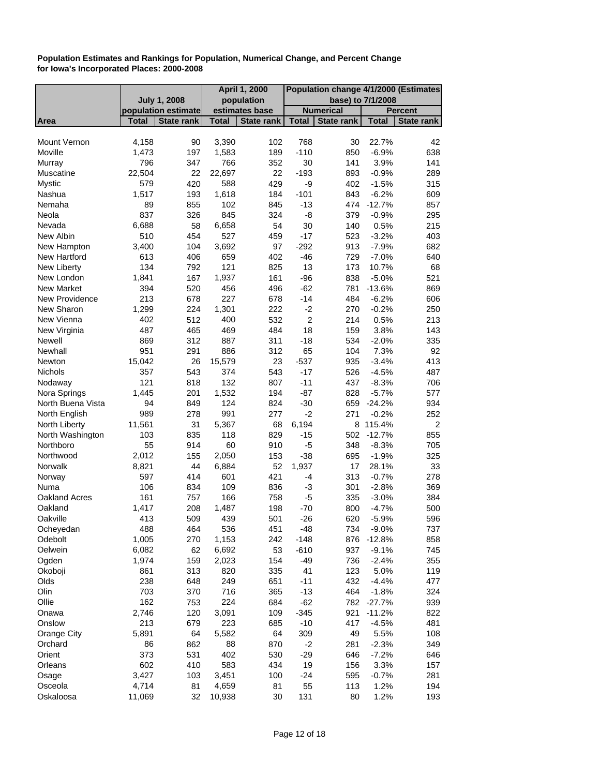|                     |              |                     |              | <b>April 1, 2000</b> | Population change 4/1/2000 (Estimates |                   |                     |                |
|---------------------|--------------|---------------------|--------------|----------------------|---------------------------------------|-------------------|---------------------|----------------|
|                     |              | <b>July 1, 2008</b> |              | population           |                                       | base) to 7/1/2008 |                     |                |
|                     |              | population estimate |              | estimates base       |                                       | <b>Numerical</b>  |                     | <b>Percent</b> |
| Area                | <b>Total</b> | <b>State rank</b>   | <b>Total</b> | <b>State rank</b>    | <b>Total</b>                          | <b>State rank</b> | <b>Total</b>        | State rank     |
|                     |              |                     |              |                      |                                       |                   |                     |                |
| <b>Mount Vernon</b> | 4,158        | 90                  | 3,390        | 102                  | 768                                   | 30                | 22.7%               | 42             |
| Moville             | 1,473        | 197                 | 1,583        | 189                  | $-110$                                | 850               | $-6.9%$             | 638            |
| Murray              | 796          | 347                 | 766          | 352                  | 30                                    | 141               | 3.9%                | 141            |
| Muscatine           | 22,504       | 22                  | 22,697       | 22                   | $-193$                                | 893               | $-0.9%$             | 289            |
| <b>Mystic</b>       | 579          | 420                 | 588          | 429                  | -9                                    | 402               | $-1.5%$             | 315            |
| Nashua              | 1,517        | 193                 | 1,618        | 184                  | $-101$                                | 843               | $-6.2%$<br>$-12.7%$ | 609            |
| Nemaha              | 89           | 855                 | 102          | 845                  | $-13$                                 | 474               |                     | 857            |
| Neola<br>Nevada     | 837          | 326                 | 845          | 324<br>54            | -8                                    | 379<br>140        | $-0.9%$             | 295<br>215     |
|                     | 6,688        | 58                  | 6,658        |                      | 30                                    |                   | 0.5%                |                |
| New Albin           | 510          | 454                 | 527          | 459                  | $-17$                                 | 523               | $-3.2%$             | 403            |
| New Hampton         | 3,400        | 104                 | 3,692        | 97                   | $-292$                                | 913               | $-7.9%$             | 682            |
| New Hartford        | 613          | 406                 | 659          | 402                  | $-46$                                 | 729               | $-7.0%$             | 640            |
| New Liberty         | 134          | 792                 | 121          | 825                  | 13                                    | 173               | 10.7%               | 68             |
| New London          | 1,841        | 167                 | 1,937        | 161                  | $-96$                                 | 838               | $-5.0%$             | 521            |
| New Market          | 394          | 520                 | 456          | 496                  | $-62$                                 | 781               | $-13.6%$            | 869            |
| New Providence      | 213          | 678                 | 227          | 678                  | $-14$                                 | 484               | $-6.2%$             | 606            |
| New Sharon          | 1,299        | 224                 | 1,301        | 222                  | $-2$                                  | 270               | $-0.2%$             | 250            |
| New Vienna          | 402          | 512                 | 400          | 532                  | $\overline{2}$                        | 214               | 0.5%                | 213            |
| New Virginia        | 487          | 465                 | 469          | 484                  | 18                                    | 159               | 3.8%                | 143            |
| Newell              | 869          | 312                 | 887          | 311                  | $-18$                                 | 534               | $-2.0%$             | 335            |
| Newhall             | 951          | 291                 | 886          | 312                  | 65                                    | 104               | 7.3%                | 92             |
| Newton              | 15,042       | 26                  | 15,579       | 23                   | $-537$                                | 935               | $-3.4%$             | 413            |
| <b>Nichols</b>      | 357          | 543                 | 374          | 543                  | $-17$                                 | 526               | $-4.5%$             | 487            |
| Nodaway             | 121          | 818                 | 132          | 807                  | $-11$                                 | 437               | $-8.3%$             | 706            |
| Nora Springs        | 1,445        | 201                 | 1,532        | 194                  | $-87$                                 | 828               | $-5.7%$             | 577            |
| North Buena Vista   | 94           | 849                 | 124          | 824                  | $-30$                                 | 659               | $-24.2%$            | 934            |
| North English       | 989          | 278                 | 991          | 277                  | $-2$                                  | 271               | $-0.2%$             | 252            |
| North Liberty       | 11,561       | 31                  | 5,367        | 68                   | 6,194                                 |                   | 8 115.4%            | $\overline{c}$ |
| North Washington    | 103          | 835                 | 118          | 829                  | $-15$                                 | 502               | $-12.7%$            | 855            |
| Northboro           | 55           | 914                 | 60           | 910                  | $-5$                                  | 348               | $-8.3%$             | 705            |
| Northwood           | 2,012        | 155                 | 2,050        | 153                  | $-38$<br>1,937                        | 695               | $-1.9%$             | 325            |
| Norwalk             | 8,821        | 44                  | 6,884        | 52                   |                                       | 17                | 28.1%               | 33             |
| Norway              | 597          | 414                 | 601          | 421                  | $-4$                                  | 313               | $-0.7%$<br>$-2.8%$  | 278            |
| Numa                | 106          | 834                 | 109          | 836                  | -3                                    | 301               |                     | 369            |
| Oakland Acres       | 161          | 757                 | 166          | 758                  | -5                                    | 335               | $-3.0%$             | 384            |
| Oakland             | 1,417        | 208                 | 1,487        | 198                  | $-70$                                 | 800               | $-4.7%$             | 500            |
| Oakville            | 413          | 509                 | 439          | 501                  | $-26$                                 | 620               | $-5.9%$             | 596            |
| Ocheyedan           | 488          | 464                 | 536          | 451                  | $-48$                                 | 734               | $-9.0%$             | 737            |
| Odebolt             | 1,005        | 270                 | 1,153        | 242                  | $-148$                                | 876               | $-12.8%$            | 858            |
| Oelwein             | 6,082        | 62                  | 6,692        | 53                   | $-610$                                | 937               | $-9.1%$             | 745            |
| Ogden               | 1,974        | 159                 | 2,023        | 154                  | $-49$                                 | 736               | $-2.4%$             | 355            |
| Okoboji             | 861          | 313                 | 820          | 335                  | 41                                    | 123               | 5.0%                | 119            |
| Olds                | 238          | 648                 | 249          | 651                  | $-11$                                 | 432               | $-4.4%$             | 477            |
| Olin                | 703          | 370                 | 716          | 365                  | $-13$                                 | 464               | $-1.8%$             | 324            |
| Ollie               | 162          | 753                 | 224          | 684                  | $-62$                                 | 782               | $-27.7%$            | 939            |
| Onawa               | 2,746        | 120                 | 3,091        | 109                  | $-345$                                | 921               | $-11.2%$            | 822            |
| Onslow              | 213          | 679                 | 223          | 685                  | $-10$                                 | 417               | $-4.5%$             | 481            |
| Orange City         | 5,891        | 64                  | 5,582        | 64                   | 309                                   | 49                | 5.5%                | 108            |
| Orchard             | 86           | 862                 | 88           | 870                  | $-2$                                  | 281               | $-2.3%$             | 349            |
| Orient              | 373          | 531                 | 402          | 530                  | $-29$                                 | 646               | $-7.2%$             | 646            |
| Orleans             | 602          | 410                 | 583          | 434                  | 19                                    | 156               | 3.3%                | 157            |
| Osage               | 3,427        | 103                 | 3,451        | 100                  | $-24$                                 | 595               | $-0.7%$             | 281            |
| Osceola             | 4,714        | 81                  | 4,659        | 81                   | 55                                    | 113               | 1.2%                | 194            |
| Oskaloosa           | 11,069       | 32                  | 10,938       | 30                   | 131                                   | 80                | 1.2%                | 193            |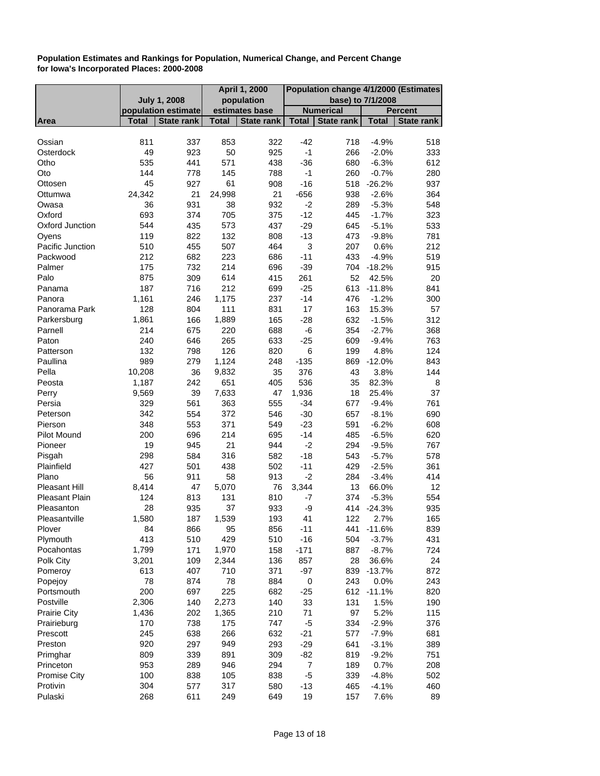|                       |                     |                   | April 1, 2000 |                   | Population change 4/1/2000 (Estimates |                   |              |                |
|-----------------------|---------------------|-------------------|---------------|-------------------|---------------------------------------|-------------------|--------------|----------------|
|                       | <b>July 1, 2008</b> |                   |               | population        |                                       | base) to 7/1/2008 |              |                |
|                       | population estimate |                   |               | estimates base    |                                       | <b>Numerical</b>  |              | <b>Percent</b> |
| Area                  | <b>Total</b>        | <b>State rank</b> | <b>Total</b>  | <b>State rank</b> | <b>Total</b>                          | State rank        | <b>Total</b> | State rank     |
|                       |                     |                   |               |                   |                                       |                   |              |                |
| Ossian                | 811                 | 337               | 853           | 322               | $-42$                                 | 718               | $-4.9%$      | 518            |
| Osterdock             | 49                  | 923               | 50            | 925               | $-1$                                  | 266               | $-2.0%$      | 333            |
| Otho                  | 535                 | 441               | 571           | 438               | $-36$                                 | 680               | $-6.3%$      | 612            |
| Oto                   | 144                 | 778               | 145           | 788               | -1                                    | 260               | $-0.7%$      | 280            |
| Ottosen               | 45                  | 927               | 61            | 908               | $-16$                                 | 518               | $-26.2%$     | 937            |
| Ottumwa               | 24,342              | 21                | 24,998        | 21                | $-656$                                | 938               | $-2.6%$      | 364            |
| Owasa                 | 36                  | 931               | 38            | 932               | $-2$                                  | 289               | $-5.3%$      | 548            |
| Oxford                | 693                 | 374               | 705           | 375               | $-12$                                 | 445               | $-1.7%$      | 323            |
| Oxford Junction       | 544                 | 435               | 573           | 437               | $-29$                                 | 645               | $-5.1%$      | 533            |
| Oyens                 | 119                 | 822               | 132           | 808               | $-13$                                 | 473               | $-9.8%$      | 781            |
| Pacific Junction      | 510                 | 455               | 507           | 464               | $\ensuremath{\mathsf{3}}$             | 207               | 0.6%         | 212            |
| Packwood              | 212                 | 682               | 223           | 686               | $-11$                                 | 433               | $-4.9%$      | 519            |
| Palmer                | 175                 | 732               | 214           | 696               | $-39$                                 | 704               | $-18.2%$     | 915            |
| Palo                  | 875                 | 309               | 614           | 415               | 261                                   | 52                | 42.5%        | 20             |
| Panama                | 187                 | 716               | 212           | 699               | $-25$                                 | 613               | $-11.8%$     | 841            |
| Panora                | 1,161               | 246               | 1,175         | 237               | $-14$                                 | 476               | $-1.2%$      | 300            |
| Panorama Park         | 128                 |                   | 111           |                   | 17                                    | 163               |              | 57             |
|                       |                     | 804               |               | 831               |                                       |                   | 15.3%        |                |
| Parkersburg           | 1,861               | 166               | 1,889         | 165               | $-28$                                 | 632               | $-1.5%$      | 312            |
| Parnell               | 214                 | 675               | 220           | 688               | -6                                    | 354               | $-2.7%$      | 368            |
| Paton                 | 240                 | 646               | 265           | 633               | $-25$                                 | 609               | $-9.4%$      | 763            |
| Patterson             | 132                 | 798               | 126           | 820               | 6                                     | 199               | 4.8%         | 124            |
| Paullina              | 989                 | 279               | 1,124         | 248               | $-135$                                | 869               | $-12.0%$     | 843            |
| Pella                 | 10,208              | 36                | 9,832         | 35                | 376                                   | 43                | 3.8%         | 144            |
| Peosta                | 1,187               | 242               | 651           | 405               | 536                                   | 35                | 82.3%        | 8              |
| Perry                 | 9,569               | 39                | 7,633         | 47                | 1,936                                 | 18                | 25.4%        | 37             |
| Persia                | 329                 | 561               | 363           | 555               | $-34$                                 | 677               | $-9.4%$      | 761            |
| Peterson              | 342                 | 554               | 372           | 546               | $-30$                                 | 657               | $-8.1%$      | 690            |
| Pierson               | 348                 | 553               | 371           | 549               | $-23$                                 | 591               | $-6.2%$      | 608            |
| Pilot Mound           | 200                 | 696               | 214           | 695               | $-14$                                 | 485               | $-6.5%$      | 620            |
| Pioneer               | 19                  | 945               | 21            | 944               | $-2$                                  | 294               | $-9.5%$      | 767            |
| Pisgah                | 298                 | 584               | 316           | 582               | $-18$                                 | 543               | $-5.7%$      | 578            |
| Plainfield            | 427                 | 501               | 438           | 502               | $-11$                                 | 429               | $-2.5%$      | 361            |
| Plano                 | 56                  | 911               | 58            | 913               | $-2$                                  | 284               | $-3.4%$      | 414            |
| <b>Pleasant Hill</b>  | 8,414               | 47                | 5,070         | 76                | 3,344                                 | 13                | 66.0%        | 12             |
| <b>Pleasant Plain</b> | 124                 | 813               | 131           | 810               | -7                                    | 374               | $-5.3%$      | 554            |
| Pleasanton            | 28                  | 935               | 37            | 933               | -9                                    | 414               | $-24.3%$     | 935            |
| Pleasantville         | 1,580               | 187               | 1,539         | 193               | 41                                    | 122               | 2.7%         | 165            |
| Plover                | 84                  | 866               | 95            | 856               | $-11$                                 | 441               | $-11.6%$     | 839            |
| Plymouth              | 413                 | 510               | 429           | 510               | $-16$                                 | 504               | $-3.7%$      | 431            |
| Pocahontas            | 1,799               | 171               | 1,970         | 158               | $-171$                                | 887               | $-8.7%$      | 724            |
| Polk City             | 3,201               | 109               | 2,344         | 136               | 857                                   | 28                | 36.6%        | 24             |
| Pomeroy               | 613                 | 407               | 710           | 371               | $-97$                                 | 839               | $-13.7%$     | 872            |
| Popejoy               | 78                  | 874               | 78            | 884               | $\pmb{0}$                             | 243               | 0.0%         | 243            |
| Portsmouth            | 200                 | 697               | 225           | 682               |                                       |                   | 612 -11.1%   | 820            |
|                       |                     |                   |               |                   | $-25$                                 |                   |              |                |
| Postville             | 2,306               | 140               | 2,273         | 140               | 33                                    | 131               | 1.5%         | 190            |
| <b>Prairie City</b>   | 1,436               | 202               | 1,365         | 210               | 71                                    | 97                | 5.2%         | 115            |
| Prairieburg           | 170                 | 738               | 175           | 747               | $-5$                                  | 334               | $-2.9%$      | 376            |
| Prescott              | 245                 | 638               | 266           | 632               | $-21$                                 | 577               | $-7.9%$      | 681            |
| Preston               | 920                 | 297               | 949           | 293               | $-29$                                 | 641               | $-3.1%$      | 389            |
| Primghar              | 809                 | 339               | 891           | 309               | $-82$                                 | 819               | $-9.2%$      | 751            |
| Princeton             | 953                 | 289               | 946           | 294               | $\overline{7}$                        | 189               | 0.7%         | 208            |
| <b>Promise City</b>   | 100                 | 838               | 105           | 838               | -5                                    | 339               | $-4.8%$      | 502            |
| Protivin              | 304                 | 577               | 317           | 580               | $-13$                                 | 465               | $-4.1%$      | 460            |
| Pulaski               | 268                 | 611               | 249           | 649               | 19                                    | 157               | 7.6%         | 89             |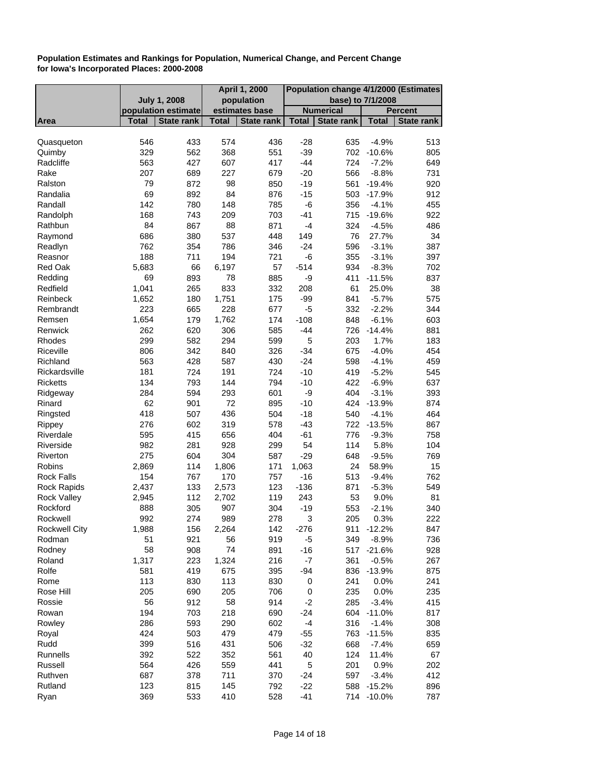|                     |                     |                   | <b>April 1, 2000</b> |                   | Population change 4/1/2000 (Estimates |                   |                       |                |
|---------------------|---------------------|-------------------|----------------------|-------------------|---------------------------------------|-------------------|-----------------------|----------------|
|                     | <b>July 1, 2008</b> |                   |                      | population        |                                       | base) to 7/1/2008 |                       |                |
|                     | population estimate |                   |                      | estimates base    |                                       | <b>Numerical</b>  |                       | <b>Percent</b> |
| <b>Area</b>         | <b>Total</b>        | <b>State rank</b> | <b>Total</b>         | <b>State rank</b> | <b>Total</b>                          | <b>State rank</b> | <b>Total</b>          | State rank     |
|                     | 546                 |                   | 574                  |                   |                                       |                   |                       |                |
| Quasqueton          | 329                 | 433<br>562        | 368                  | 436<br>551        | $-28$<br>$-39$                        | 635<br>702        | $-4.9%$<br>$-10.6%$   | 513            |
| Quimby<br>Radcliffe |                     |                   |                      |                   |                                       |                   |                       | 805            |
|                     | 563                 | 427               | 607                  | 417               | $-44$                                 | 724               | $-7.2%$               | 649            |
| Rake                | 207                 | 689               | 227                  | 679               | $-20$                                 | 566               | $-8.8%$               | 731            |
| Ralston             | 79                  | 872               | 98                   | 850               | $-19$                                 | 561               | $-19.4%$              | 920            |
| Randalia            | 69<br>142           | 892<br>780        | 84                   | 876<br>785        | $-15$                                 | 356               | 503 -17.9%<br>$-4.1%$ | 912<br>455     |
| Randall             |                     |                   | 148                  |                   | $-6$                                  |                   |                       |                |
| Randolph            | 168                 | 743               | 209                  | 703               | $-41$                                 | 715               | $-19.6%$              | 922            |
| Rathbun             | 84                  | 867               | 88                   | 871               | $-4$                                  | 324               | $-4.5%$               | 486            |
| Raymond             | 686                 | 380               | 537                  | 448               | 149                                   | 76                | 27.7%                 | 34             |
| Readlyn             | 762                 | 354               | 786                  | 346               | $-24$                                 | 596               | $-3.1%$               | 387            |
| Reasnor             | 188                 | 711               | 194                  | 721               | -6                                    | 355               | $-3.1%$               | 397            |
| <b>Red Oak</b>      | 5,683               | 66                | 6,197                | 57                | $-514$                                | 934               | $-8.3%$               | 702            |
| Redding             | 69                  | 893               | 78                   | 885               | -9                                    | 411               | $-11.5%$              | 837            |
| Redfield            | 1,041               | 265               | 833                  | 332               | 208                                   | 61                | 25.0%                 | 38             |
| Reinbeck            | 1,652               | 180               | 1,751                | 175               | $-99$                                 | 841               | $-5.7%$               | 575            |
| Rembrandt           | 223                 | 665               | 228                  | 677               | $-5$                                  | 332               | $-2.2%$               | 344            |
| Remsen              | 1,654               | 179               | 1,762                | 174               | $-108$                                | 848               | $-6.1%$               | 603            |
| Renwick             | 262                 | 620               | 306                  | 585               | $-44$                                 |                   | 726 -14.4%            | 881            |
| Rhodes              | 299                 | 582               | 294                  | 599               | 5                                     | 203               | 1.7%                  | 183            |
| Riceville           | 806                 | 342               | 840                  | 326               | $-34$                                 | 675               | $-4.0%$               | 454            |
| Richland            | 563                 | 428               | 587                  | 430               | $-24$                                 | 598               | $-4.1%$               | 459            |
| Rickardsville       | 181                 | 724               | 191                  | 724               | $-10$                                 | 419               | $-5.2%$               | 545            |
| <b>Ricketts</b>     | 134                 | 793               | 144                  | 794               | $-10$                                 | 422               | $-6.9%$               | 637            |
| Ridgeway            | 284                 | 594               | 293                  | 601               | -9                                    | 404               | $-3.1%$               | 393            |
| Rinard              | 62                  | 901               | 72                   | 895               | $-10$                                 | 424               | $-13.9%$              | 874            |
| Ringsted            | 418                 | 507               | 436                  | 504               | $-18$                                 | 540               | $-4.1%$               | 464            |
| Rippey              | 276                 | 602               | 319                  | 578               | $-43$                                 |                   | 722 -13.5%            | 867            |
| Riverdale           | 595                 | 415               | 656                  | 404               | $-61$                                 | 776               | $-9.3%$               | 758            |
| Riverside           | 982                 | 281               | 928                  | 299               | 54                                    | 114               | 5.8%                  | 104            |
| Riverton            | 275                 | 604               | 304                  | 587               | $-29$                                 | 648               | $-9.5%$               | 769            |
| Robins              | 2,869               | 114               | 1,806                | 171               | 1,063                                 | 24                | 58.9%                 | 15             |
| <b>Rock Falls</b>   | 154                 | 767               | 170                  | 757               | $-16$                                 | 513               | $-9.4%$               | 762            |
| <b>Rock Rapids</b>  | 2,437               | 133               | 2,573                | 123               | $-136$                                | 871               | $-5.3%$               | 549            |
| <b>Rock Valley</b>  | 2,945               | 112               | 2,702                | 119               | 243                                   | 53                | 9.0%                  | 81             |
| Rockford            | 888                 | 305               | 907                  | 304               | $-19$                                 | 553               | $-2.1%$               | 340            |
| Rockwell            | 992                 | 274               | 989                  | 278               | 3                                     | 205               | 0.3%                  | 222            |
| Rockwell City       | 1,988               | 156               | 2,264                | 142               | $-276$                                | 911               | -12.2%                | 847            |
| Rodman              | 51                  | 921               | 56                   | 919               | $-5$                                  | 349               | $-8.9%$               | 736            |
| Rodney              | 58                  | 908               | 74                   | 891               | $-16$                                 | 517               | $-21.6%$              | 928            |
| Roland              | 1,317               | 223               | 1,324                | 216               | -7                                    | 361               | $-0.5%$               | 267            |
| Rolfe               | 581                 | 419               | 675                  | 395               | $-94$                                 |                   | 836 -13.9%            | 875            |
| Rome                | 113                 | 830               | 113                  | 830               | $\pmb{0}$                             | 241               | 0.0%                  | 241            |
| Rose Hill           | 205                 | 690               | 205                  | 706               | 0                                     | 235               | 0.0%                  | 235            |
| Rossie              | 56                  | 912               | 58                   | 914               | $-2$                                  | 285               | $-3.4%$               | 415            |
| Rowan               | 194                 | 703               | 218                  | 690               | $-24$                                 |                   | 604 -11.0%            | 817            |
| Rowley              | 286                 | 593               | 290                  | 602               | $-4$                                  | 316               | $-1.4%$               | 308            |
| Royal               | 424                 | 503               | 479                  | 479               | $-55$                                 | 763               | $-11.5%$              | 835            |
| Rudd                | 399                 | 516               | 431                  | 506               | $-32$                                 | 668               | $-7.4%$               | 659            |
| Runnells            | 392                 | 522               | 352                  | 561               | 40                                    | 124               | 11.4%                 | 67             |
| Russell             | 564                 | 426               | 559                  | 441               | 5                                     | 201               | 0.9%                  | 202            |
| Ruthven             | 687                 | 378               | 711                  | 370               | $-24$                                 | 597               | $-3.4%$               | 412            |
| Rutland             | 123                 | 815               | 145                  | 792               | $-22$                                 | 588               | $-15.2%$              | 896            |
| Ryan                | 369                 | 533               | 410                  | 528               | $-41$                                 |                   | 714 -10.0%            | 787            |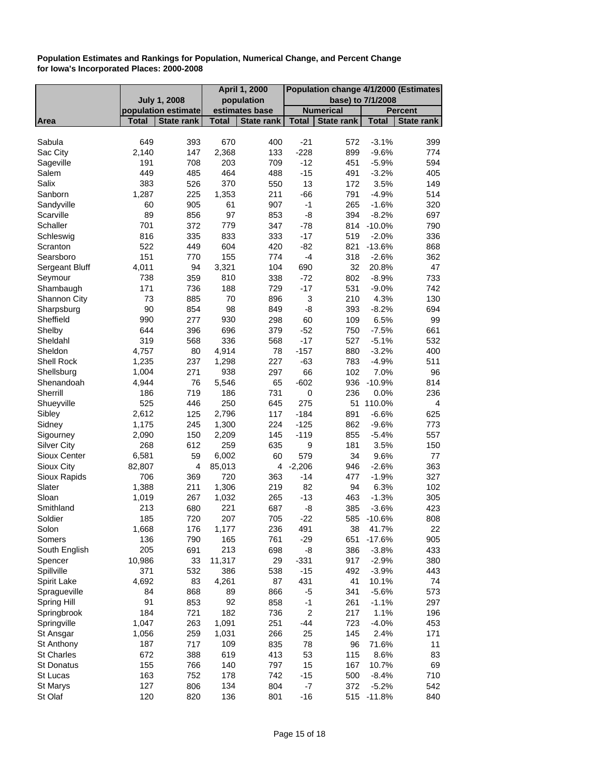|                     | April 1, 2000<br>Population change 4/1/2000 (Estimates |                     |              |                   |                           |                   |              |                   |
|---------------------|--------------------------------------------------------|---------------------|--------------|-------------------|---------------------------|-------------------|--------------|-------------------|
|                     |                                                        | <b>July 1, 2008</b> |              | population        |                           | base) to 7/1/2008 |              |                   |
|                     |                                                        | population estimate |              | estimates base    |                           | <b>Numerical</b>  |              | <b>Percent</b>    |
| Area                | Total                                                  | State rank          | <b>Total</b> | <b>State rank</b> | <b>Total</b>              | <b>State rank</b> | <b>Total</b> | <b>State rank</b> |
|                     |                                                        |                     |              |                   |                           |                   |              |                   |
| Sabula              | 649                                                    | 393                 | 670          | 400               | $-21$                     | 572               | $-3.1%$      | 399               |
| Sac City            | 2,140                                                  | 147                 | 2,368        | 133               | $-228$                    | 899               | $-9.6%$      | 774               |
| Sageville           | 191                                                    | 708                 | 203          | 709               | $-12$                     | 451               | $-5.9%$      | 594               |
| Salem               | 449                                                    | 485                 | 464          | 488               | $-15$                     | 491               | $-3.2%$      | 405               |
| Salix               | 383                                                    | 526                 | 370          | 550               | 13                        | 172               | 3.5%         | 149               |
| Sanborn             | 1,287                                                  | 225                 | 1,353        | 211               | $-66$                     | 791               | $-4.9%$      | 514               |
| Sandyville          | 60                                                     | 905                 | 61           | 907               | $-1$                      | 265               | $-1.6%$      | 320               |
| Scarville           | 89                                                     | 856                 | 97           | 853               | -8                        | 394               | $-8.2%$      | 697               |
| Schaller            | 701                                                    | 372                 | 779          | 347               | $-78$                     |                   | 814 -10.0%   | 790               |
| Schleswig           | 816                                                    | 335                 | 833          | 333               | $-17$                     | 519               | $-2.0%$      | 336               |
| Scranton            | 522                                                    | 449                 | 604          | 420               | $-82$                     | 821               | $-13.6%$     | 868               |
| Searsboro           | 151                                                    | 770                 | 155          | 774               | $-4$                      | 318               | $-2.6%$      | 362               |
| Sergeant Bluff      | 4,011                                                  | 94                  | 3,321        | 104               | 690                       | 32                | 20.8%        | 47                |
| Seymour             | 738                                                    | 359                 | 810          | 338               | $-72$                     | 802               | $-8.9%$      | 733               |
| Shambaugh           | 171                                                    | 736                 | 188          | 729               | $-17$                     | 531               | $-9.0%$      | 742               |
| <b>Shannon City</b> | 73                                                     | 885                 | 70           | 896               | $\ensuremath{\mathsf{3}}$ | 210               | 4.3%         | 130               |
| Sharpsburg          | 90                                                     | 854                 | 98           | 849               | -8                        | 393               | $-8.2%$      | 694               |
| Sheffield           | 990                                                    | 277                 | 930          | 298               | 60                        | 109               | 6.5%         | 99                |
| Shelby              | 644                                                    | 396                 | 696          | 379               | $-52$                     | 750               | $-7.5%$      | 661               |
| Sheldahl            | 319                                                    | 568                 | 336          | 568               | $-17$                     | 527               | $-5.1%$      | 532               |
| Sheldon             | 4,757                                                  | 80                  | 4,914        | 78                | $-157$                    | 880               | $-3.2%$      | 400               |
| Shell Rock          | 1,235                                                  | 237                 | 1,298        | 227               | $-63$                     | 783               | $-4.9%$      | 511               |
| Shellsburg          | 1,004                                                  | 271                 | 938          | 297               | 66                        | 102               | 7.0%         | 96                |
| Shenandoah          | 4,944                                                  | 76                  | 5,546        | 65                | $-602$                    | 936               | $-10.9%$     | 814               |
| Sherrill            | 186                                                    | 719                 | 186          | 731               | $\mathbf 0$               | 236               | 0.0%         | 236               |
| Shueyville          | 525                                                    | 446                 | 250          | 645               | 275                       |                   | 51 110.0%    | 4                 |
| Sibley              | 2,612                                                  | 125                 | 2,796        | 117               | $-184$                    | 891               | $-6.6%$      | 625               |
| Sidney              | 1,175                                                  | 245                 | 1,300        | 224               | $-125$                    | 862               | $-9.6%$      | 773               |
| Sigourney           | 2,090                                                  | 150                 | 2,209        | 145               | $-119$                    | 855               | $-5.4%$      | 557               |
| <b>Silver City</b>  | 268                                                    | 612                 | 259          | 635               | 9                         | 181               | 3.5%         | 150               |
| Sioux Center        | 6,581                                                  | 59                  | 6,002        | 60                | 579                       | 34                | 9.6%         | 77                |
| Sioux City          | 82,807                                                 | 4                   | 85,013       | 4                 | $-2,206$                  | 946               | $-2.6%$      | 363               |
| Sioux Rapids        | 706                                                    | 369                 | 720          | 363               | $-14$                     | 477               | $-1.9%$      | 327               |
| Slater              | 1,388                                                  | 211                 | 1,306        | 219               | 82                        | 94                | 6.3%         | 102               |
| Sloan               | 1,019                                                  | 267                 | 1,032        | 265               | $-13$                     | 463               | $-1.3%$      | 305               |
| Smithland           | 213                                                    | 680                 | 221          | 687               | -8                        | 385               | $-3.6%$      | 423               |
| Soldier             | 185                                                    | 720                 | 207          | 705               | $-22$                     | 585               | $-10.6%$     | 808               |
| Solon               | 1,668                                                  | 176                 | 1,177        | 236               | 491                       | 38                | 41.7%        | 22                |
| Somers              | 136                                                    | 790                 | 165          | 761               | $-29$                     | 651               | $-17.6%$     | 905               |
| South English       | 205                                                    | 691                 | 213          | 698               | -8                        | 386               | $-3.8%$      | 433               |
| Spencer             | 10,986                                                 | 33                  | 11,317       | 29                | $-331$                    | 917               | $-2.9%$      | 380               |
| Spillville          | 371                                                    | 532                 | 386          | 538               | $-15$                     | 492               | $-3.9%$      | 443               |
| Spirit Lake         | 4,692                                                  | 83                  | 4,261        | 87                | 431                       | 41                | 10.1%        | 74                |
| Spragueville        | 84                                                     | 868                 | 89           | 866               | -5                        | 341               | $-5.6%$      | 573               |
| Spring Hill         | 91                                                     | 853                 | 92           | 858               | $-1$                      | 261               | $-1.1%$      | 297               |
| Springbrook         | 184                                                    | 721                 | 182          | 736               | $\boldsymbol{2}$          | 217               | 1.1%         | 196               |
| Springville         | 1,047                                                  | 263                 | 1,091        | 251               | $-44$                     | 723               | $-4.0%$      | 453               |
| St Ansgar           | 1,056                                                  | 259                 | 1,031        | 266               | 25                        | 145               | 2.4%         | 171               |
| St Anthony          | 187                                                    | 717                 | 109          | 835               | 78                        | 96                | 71.6%        | 11                |
| <b>St Charles</b>   | 672                                                    | 388                 | 619          | 413               | 53                        | 115               | 8.6%         | 83                |
| <b>St Donatus</b>   | 155                                                    | 766                 | 140          | 797               | 15                        | 167               | 10.7%        | 69                |
| St Lucas            | 163                                                    | 752                 | 178          | 742               | $-15$                     | 500               | $-8.4%$      | 710               |
| St Marys            | 127                                                    | 806                 | 134          | 804               | $-7$                      | 372               | $-5.2%$      | 542               |
| St Olaf             | 120                                                    | 820                 | 136          | 801               | $-16$                     | 515               | $-11.8%$     | 840               |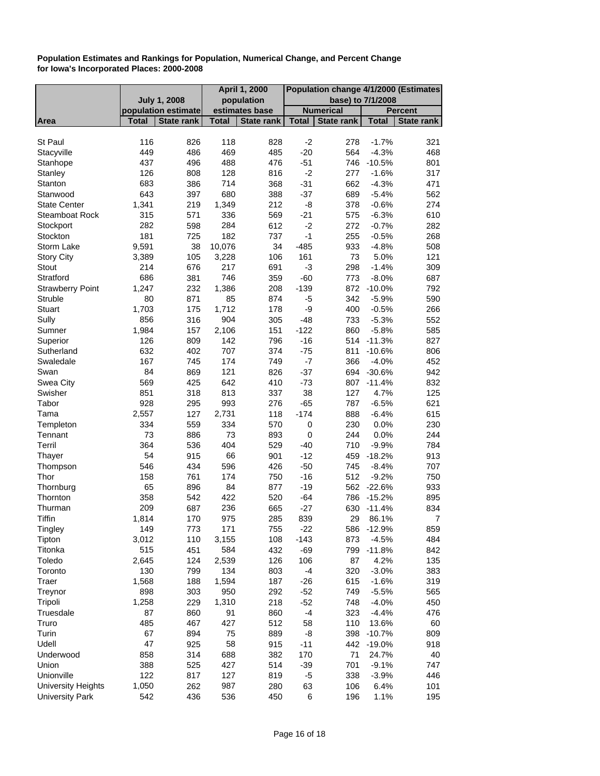|                           |                     |                     |              | April 1, 2000     | Population change 4/1/2000 (Estimates |                   |                   |                   |
|---------------------------|---------------------|---------------------|--------------|-------------------|---------------------------------------|-------------------|-------------------|-------------------|
|                           | <b>July 1, 2008</b> |                     |              | population        |                                       |                   | base) to 7/1/2008 |                   |
|                           |                     | population estimate |              | estimates base    |                                       | <b>Numerical</b>  |                   | <b>Percent</b>    |
| Area                      | <b>Total</b>        | <b>State rank</b>   | <b>Total</b> | <b>State rank</b> | <b>Total</b>                          | <b>State rank</b> | <b>Total</b>      | <b>State rank</b> |
|                           |                     |                     |              |                   |                                       |                   |                   |                   |
| St Paul                   | 116                 | 826                 | 118          | 828               | $-2$                                  | 278               | $-1.7%$           | 321               |
| Stacyville                | 449                 | 486                 | 469          | 485               | $-20$                                 | 564               | $-4.3%$           | 468               |
| Stanhope                  | 437                 | 496                 | 488          | 476               | $-51$                                 | 746               | $-10.5%$          | 801               |
| Stanley                   | 126                 | 808                 | 128          | 816               | $-2$                                  | 277               | $-1.6%$           | 317               |
| Stanton                   | 683                 | 386                 | 714          | 368               | $-31$                                 | 662               | $-4.3%$           | 471               |
| Stanwood                  | 643                 | 397                 | 680          | 388               | $-37$                                 | 689               | $-5.4%$           | 562               |
| <b>State Center</b>       | 1,341               | 219                 | 1,349        | 212               | -8                                    | 378               | $-0.6%$           | 274               |
| Steamboat Rock            | 315                 | 571                 | 336          | 569               | $-21$                                 | 575               | $-6.3%$           | 610               |
| Stockport                 | 282                 | 598                 | 284          | 612               | $-2$                                  | 272               | $-0.7%$           | 282               |
| Stockton                  | 181                 | 725                 | 182          | 737               | $-1$                                  | 255               | $-0.5%$           | 268               |
| Storm Lake                | 9,591               | 38                  | 10,076       | 34                | $-485$                                | 933               | $-4.8%$           | 508               |
| <b>Story City</b>         | 3,389               | 105                 | 3,228        | 106               | 161                                   | 73                | 5.0%              | 121               |
| Stout                     | 214                 | 676                 | 217          | 691               | -3                                    | 298               | $-1.4%$           | 309               |
| Stratford                 | 686                 | 381                 | 746          | 359               | $-60$                                 | 773               | $-8.0%$           | 687               |
| <b>Strawberry Point</b>   | 1,247               | 232                 | 1,386        | 208               | $-139$                                |                   | 872 -10.0%        | 792               |
| Struble                   | 80                  | 871                 | 85           | 874               | $-5$                                  | 342               | $-5.9%$           | 590               |
| <b>Stuart</b>             | 1,703               | 175                 | 1,712        | 178               | -9                                    | 400               | $-0.5%$           | 266               |
| Sully                     | 856                 | 316                 | 904          | 305               | $-48$                                 | 733               | $-5.3%$           | 552               |
| Sumner                    | 1,984               | 157                 | 2,106        | 151               | $-122$                                | 860               | $-5.8%$           | 585               |
| Superior                  | 126                 | 809                 | 142          | 796               | $-16$                                 | 514               | $-11.3%$          | 827               |
| Sutherland                | 632                 | 402                 | 707          | 374               | $-75$                                 | 811               | $-10.6%$          | 806               |
| Swaledale                 | 167                 | 745                 | 174          | 749               | $-7$                                  | 366               | $-4.0%$           | 452               |
| Swan                      | 84                  | 869                 | 121          | 826               | $-37$                                 | 694               | $-30.6%$          | 942               |
| Swea City                 | 569                 | 425                 | 642          | 410               | $-73$                                 |                   | 807 -11.4%        | 832               |
| Swisher                   | 851                 | 318                 | 813          | 337               | 38                                    | 127               | 4.7%              | 125               |
| Tabor                     | 928                 | 295                 | 993          | 276               | $-65$                                 | 787               | $-6.5%$           | 621               |
| Tama                      | 2,557               | 127                 | 2,731        | 118               | $-174$                                | 888               | $-6.4%$           | 615               |
| Templeton                 | 334                 | 559                 | 334          | 570               | 0                                     | 230               | 0.0%              | 230               |
| Tennant                   | 73                  | 886                 | 73           | 893               | $\pmb{0}$                             | 244               | 0.0%              | 244               |
| Terril                    | 364                 | 536                 | 404          | 529               | $-40$                                 | 710               | $-9.9%$           | 784               |
| Thayer                    | 54                  | 915                 | 66           | 901               | $-12$                                 | 459               | $-18.2%$          | 913               |
| Thompson                  | 546                 | 434                 | 596          | 426               | $-50$                                 | 745               | $-8.4%$           | 707               |
| Thor                      | 158                 | 761                 | 174          | 750               | $-16$                                 | 512               | $-9.2%$           | 750               |
| Thornburg                 | 65                  | 896                 | 84           | 877               | $-19$                                 |                   | 562 -22.6%        | 933               |
| Thornton                  | 358                 | 542                 | 422          | 520               | $-64$                                 | 786               | $-15.2%$          | 895               |
| Thurman                   | 209                 | 687                 | 236          | 665               | $-27$                                 | 630               | $-11.4%$          | 834               |
| Tiffin                    | 1,814               | 170                 | 975          | 285               | 839                                   | 29                | 86.1%             | $\overline{7}$    |
| Tingley                   | 149                 | 773                 | 171          | 755               | $-22$                                 |                   | 586 -12.9%        | 859               |
| Tipton                    | 3,012               | 110                 | 3,155        | 108               | $-143$                                | 873               | $-4.5%$           | 484               |
| Titonka                   | 515                 | 451                 | 584          | 432               | $-69$                                 | 799               | $-11.8%$          | 842               |
| Toledo                    | 2,645               | 124                 | 2,539        | 126               | 106                                   | 87                | 4.2%              | 135               |
| Toronto                   | 130                 | 799                 | 134          | 803               | $-4$                                  | 320               | $-3.0%$           | 383               |
| Traer                     | 1,568               | 188                 | 1,594        | 187               | $-26$                                 | 615               | $-1.6%$           | 319               |
| Treynor                   | 898                 | 303                 | 950          | 292               | $-52$                                 | 749               | $-5.5%$           | 565               |
| Tripoli                   | 1,258               | 229                 | 1,310        | 218               | $-52$                                 | 748               | $-4.0%$           | 450               |
| Truesdale                 | 87                  | 860                 | 91           | 860               | $-4$                                  | 323               | $-4.4%$           | 476               |
| Truro                     | 485                 | 467                 | 427          | 512               | 58                                    | 110               | 13.6%             | 60                |
| Turin                     | 67                  | 894                 | 75           | 889               | -8                                    | 398               | $-10.7%$          | 809               |
| Udell                     | 47                  | 925                 | 58           | 915               | $-11$                                 | 442               | $-19.0%$          | 918               |
| Underwood                 | 858                 | 314                 | 688          | 382               | 170                                   | 71                | 24.7%             | 40                |
| Union                     | 388                 | 525                 | 427          | 514               | $-39$                                 | 701               | $-9.1%$           | 747               |
| Unionville                | 122                 | 817                 | 127          | 819               | $-5$                                  | 338               | $-3.9%$           | 446               |
| <b>University Heights</b> | 1,050               | 262                 | 987          | 280               | 63                                    | 106               | 6.4%              | 101               |
| <b>University Park</b>    | 542                 | 436                 | 536          | 450               | 6                                     | 196               | 1.1%              | 195               |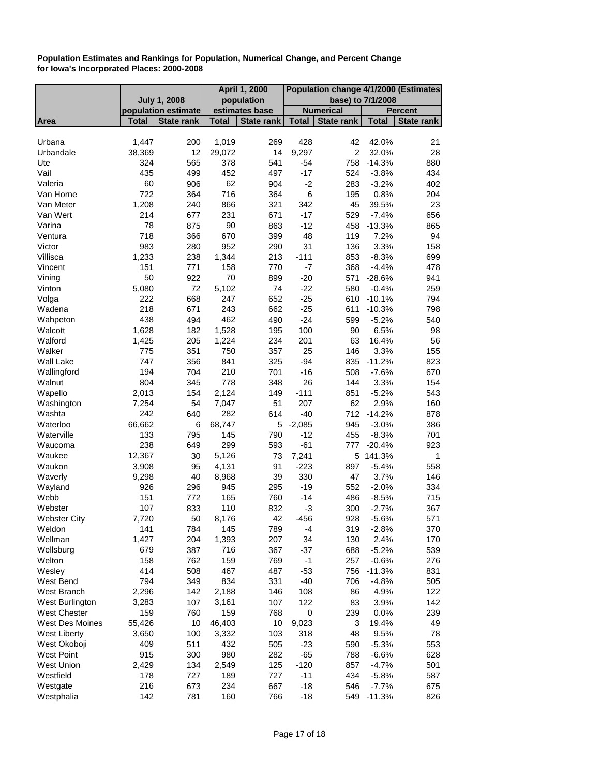|                     |              |                                                        |              | April 1, 2000     | Population change 4/1/2000 (Estimates |                  |              |                   |
|---------------------|--------------|--------------------------------------------------------|--------------|-------------------|---------------------------------------|------------------|--------------|-------------------|
|                     |              | <b>July 1, 2008</b><br>population<br>base) to 7/1/2008 |              |                   |                                       |                  |              |                   |
|                     |              | population estimate                                    |              | estimates base    |                                       | <b>Numerical</b> |              | <b>Percent</b>    |
| Area                | Total        | <b>State rank</b>                                      | <b>Total</b> | <b>State rank</b> | <b>Total</b>                          | State rank       | <b>Total</b> | <b>State rank</b> |
|                     |              |                                                        |              |                   |                                       |                  |              |                   |
| Urbana              | 1,447        | 200                                                    | 1,019        | 269               | 428                                   | 42               | 42.0%        | 21                |
| Urbandale           | 38,369       | 12                                                     | 29,072       | 14                | 9,297                                 | $\overline{2}$   | 32.0%        | 28                |
| Ute                 | 324          | 565                                                    | 378          | 541               | $-54$                                 | 758              | $-14.3%$     | 880               |
| Vail                | 435          | 499                                                    | 452          | 497               | $-17$                                 | 524              | $-3.8%$      | 434               |
| Valeria             | 60           | 906                                                    | 62           | 904               | $-2$                                  | 283              | $-3.2%$      | 402               |
| Van Horne           | 722          | 364                                                    | 716          | 364               | $\,6$                                 | 195              | 0.8%         | 204               |
| Van Meter           | 1,208        | 240                                                    | 866          | 321               | 342                                   | 45               | 39.5%        | 23                |
| Van Wert            | 214          | 677                                                    | 231          | 671               | $-17$                                 | 529              | $-7.4%$      | 656               |
| Varina              | 78           | 875                                                    | 90           | 863               | $-12$                                 | 458              | $-13.3%$     | 865               |
| Ventura             | 718          | 366                                                    | 670          | 399               | 48                                    | 119              | 7.2%         | 94                |
| Victor              | 983          | 280                                                    | 952          | 290               | 31                                    | 136              | 3.3%         | 158               |
| Villisca            | 1,233        | 238                                                    | 1,344        | 213               | $-111$                                | 853              | $-8.3%$      | 699               |
| Vincent             | 151          | 771                                                    | 158          | 770               | $-7$                                  | 368              | $-4.4%$      | 478               |
| Vining              | 50           | 922                                                    | 70           | 899               | $-20$                                 | 571              | $-28.6%$     | 941               |
| Vinton              | 5,080        | 72                                                     | 5,102        | 74                | $-22$                                 | 580              | $-0.4%$      | 259               |
| Volga               | 222          | 668                                                    | 247          | 652               | $-25$                                 | 610              | $-10.1%$     | 794               |
| Wadena              | 218          | 671                                                    | 243          | 662               | $-25$                                 | 611              | $-10.3%$     | 798               |
| Wahpeton            | 438          | 494                                                    | 462          | 490               | $-24$                                 | 599              | $-5.2%$      | 540               |
| Walcott             | 1,628        | 182                                                    | 1,528        | 195               | 100                                   | 90               | 6.5%         | 98                |
| Walford             | 1,425        | 205                                                    | 1,224        | 234               | 201                                   | 63               | 16.4%        | 56                |
| Walker              | 775          | 351                                                    | 750          | 357               | 25                                    | 146              | 3.3%         | 155               |
| Wall Lake           | 747          | 356                                                    | 841          | 325               | $-94$                                 | 835              | $-11.2%$     | 823               |
| Wallingford         | 194          | 704                                                    | 210          | 701               | $-16$                                 | 508              | $-7.6%$      | 670               |
| Walnut              | 804          | 345                                                    | 778          | 348               | 26                                    | 144              | 3.3%         | 154               |
| Wapello             | 2,013        | 154                                                    | 2,124        | 149               | $-111$                                | 851              | $-5.2%$      | 543               |
| Washington          | 7,254        | 54                                                     | 7,047        | 51                | 207                                   | 62               | 2.9%         | 160               |
| Washta              | 242          | 640                                                    | 282          | 614               | $-40$                                 |                  | 712 -14.2%   | 878               |
| Waterloo            | 66,662       | 6                                                      | 68,747       | 5                 | $-2,085$                              | 945              | $-3.0%$      | 386               |
| Waterville          | 133          | 795                                                    | 145          | 790               | $-12$                                 | 455              | $-8.3%$      | 701               |
| Waucoma             | 238          | 649                                                    | 299          | 593               | $-61$                                 | 777              | $-20.4%$     | 923               |
| Waukee              | 12,367       | 30                                                     | 5,126        | 73                | 7,241                                 |                  | 5 141.3%     | 1                 |
| Waukon              | 3,908        | 95                                                     | 4,131        | 91                | $-223$                                | 897              | $-5.4%$      | 558               |
| Waverly             | 9,298        | 40                                                     | 8,968        | 39                | 330                                   | 47               | 3.7%         | 146               |
| Wayland             | 926          | 296                                                    | 945          | 295               | $-19$                                 | 552              | $-2.0%$      | 334               |
| Webb                | 151          | 772                                                    | 165          | 760               | $-14$                                 | 486              | $-8.5%$      | 715               |
| Webster             | 107          | 833                                                    | 110          | 832               | -3                                    | 300              | $-2.7%$      | 367               |
| <b>Webster City</b> | 7,720        | 50                                                     | 8,176        | 42                | $-456$                                | 928              | $-5.6%$      | 571               |
| Weldon              | 141          | 784                                                    | 145          | 789               | $-4$                                  | 319              | $-2.8%$      | 370               |
| Wellman             | 1,427        | 204                                                    | 1,393        | 207               | 34                                    | 130              | 2.4%         | 170               |
| Wellsburg           | 679          | 387                                                    | 716          | 367               | $-37$                                 | 688              | $-5.2%$      | 539               |
| Welton              | 158          | 762                                                    | 159          | 769               | $-1$                                  | 257              | $-0.6%$      | 276               |
| Wesley              | 414          | 508                                                    | 467          | 487               | $-53$                                 | 756              | $-11.3%$     | 831               |
| West Bend           | 794          | 349                                                    | 834          | 331               | $-40$                                 | 706              | $-4.8%$      | 505               |
| West Branch         | 2,296        | 142                                                    | 2,188        | 146               | 108                                   | 86               |              | 122               |
| West Burlington     |              |                                                        |              |                   |                                       |                  | 4.9%         |                   |
|                     | 3,283<br>159 | 107                                                    | 3,161        | 107               | 122<br>$\mathbf 0$                    | 83               | 3.9%         | 142               |
| <b>West Chester</b> |              | 760                                                    | 159          | 768               |                                       | 239              | 0.0%         | 239               |
| West Des Moines     | 55,426       | 10                                                     | 46,403       | 10                | 9,023                                 | 3                | 19.4%        | 49                |
| <b>West Liberty</b> | 3,650        | 100                                                    | 3,332        | 103               | 318                                   | 48               | 9.5%         | 78                |
| West Okoboji        | 409          | 511                                                    | 432          | 505               | $-23$                                 | 590              | $-5.3%$      | 553               |
| <b>West Point</b>   | 915          | 300                                                    | 980          | 282               | $-65$                                 | 788              | $-6.6%$      | 628               |
| <b>West Union</b>   | 2,429        | 134                                                    | 2,549        | 125               | $-120$                                | 857              | $-4.7%$      | 501               |
| Westfield           | 178          | 727                                                    | 189          | 727               | $-11$                                 | 434              | $-5.8%$      | 587               |
| Westgate            | 216          | 673                                                    | 234          | 667               | $-18$                                 | 546              | $-7.7%$      | 675               |
| Westphalia          | 142          | 781                                                    | 160          | 766               | $-18$                                 | 549              | $-11.3%$     | 826               |